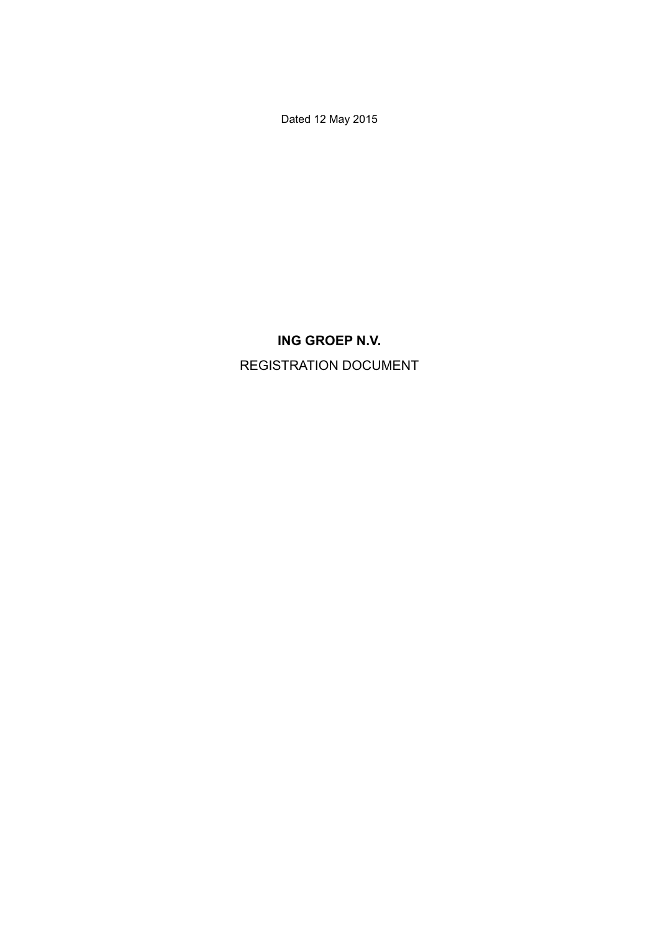Dated 12 May 2015

# **ING GROEP N.V.** REGISTRATION DOCUMENT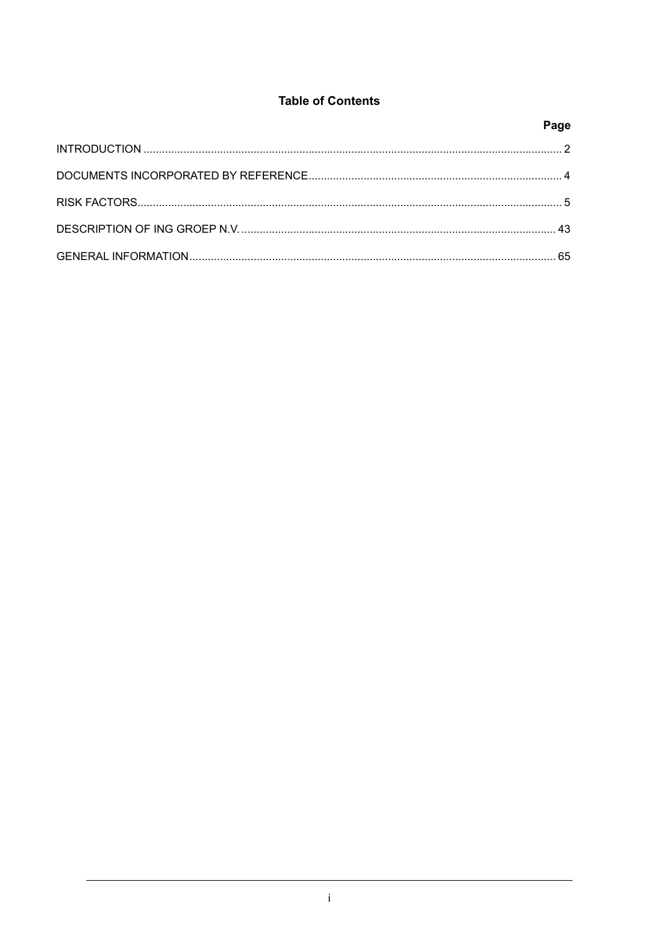# **Table of Contents**

| Page |
|------|
|      |
|      |
|      |
|      |
|      |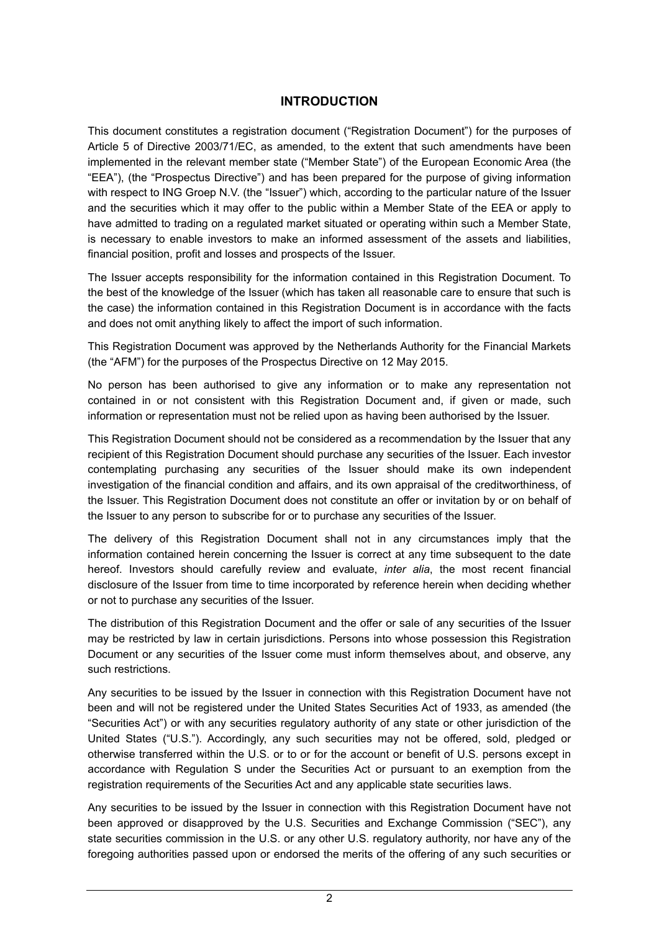# **INTRODUCTION**

This document constitutes a registration document ("Registration Document") for the purposes of Article 5 of Directive 2003/71/EC, as amended, to the extent that such amendments have been implemented in the relevant member state ("Member State") of the European Economic Area (the "EEA"), (the "Prospectus Directive") and has been prepared for the purpose of giving information with respect to ING Groep N.V. (the "Issuer") which, according to the particular nature of the Issuer and the securities which it may offer to the public within a Member State of the EEA or apply to have admitted to trading on a regulated market situated or operating within such a Member State, is necessary to enable investors to make an informed assessment of the assets and liabilities, financial position, profit and losses and prospects of the Issuer.

The Issuer accepts responsibility for the information contained in this Registration Document. To the best of the knowledge of the Issuer (which has taken all reasonable care to ensure that such is the case) the information contained in this Registration Document is in accordance with the facts and does not omit anything likely to affect the import of such information.

This Registration Document was approved by the Netherlands Authority for the Financial Markets (the "AFM") for the purposes of the Prospectus Directive on 12 May 2015.

No person has been authorised to give any information or to make any representation not contained in or not consistent with this Registration Document and, if given or made, such information or representation must not be relied upon as having been authorised by the Issuer.

This Registration Document should not be considered as a recommendation by the Issuer that any recipient of this Registration Document should purchase any securities of the Issuer. Each investor contemplating purchasing any securities of the Issuer should make its own independent investigation of the financial condition and affairs, and its own appraisal of the creditworthiness, of the Issuer. This Registration Document does not constitute an offer or invitation by or on behalf of the Issuer to any person to subscribe for or to purchase any securities of the Issuer.

The delivery of this Registration Document shall not in any circumstances imply that the information contained herein concerning the Issuer is correct at any time subsequent to the date hereof. Investors should carefully review and evaluate, *inter alia*, the most recent financial disclosure of the Issuer from time to time incorporated by reference herein when deciding whether or not to purchase any securities of the Issuer.

The distribution of this Registration Document and the offer or sale of any securities of the Issuer may be restricted by law in certain jurisdictions. Persons into whose possession this Registration Document or any securities of the Issuer come must inform themselves about, and observe, any such restrictions.

Any securities to be issued by the Issuer in connection with this Registration Document have not been and will not be registered under the United States Securities Act of 1933, as amended (the "Securities Act") or with any securities regulatory authority of any state or other jurisdiction of the United States ("U.S."). Accordingly, any such securities may not be offered, sold, pledged or otherwise transferred within the U.S. or to or for the account or benefit of U.S. persons except in accordance with Regulation S under the Securities Act or pursuant to an exemption from the registration requirements of the Securities Act and any applicable state securities laws.

Any securities to be issued by the Issuer in connection with this Registration Document have not been approved or disapproved by the U.S. Securities and Exchange Commission ("SEC"), any state securities commission in the U.S. or any other U.S. regulatory authority, nor have any of the foregoing authorities passed upon or endorsed the merits of the offering of any such securities or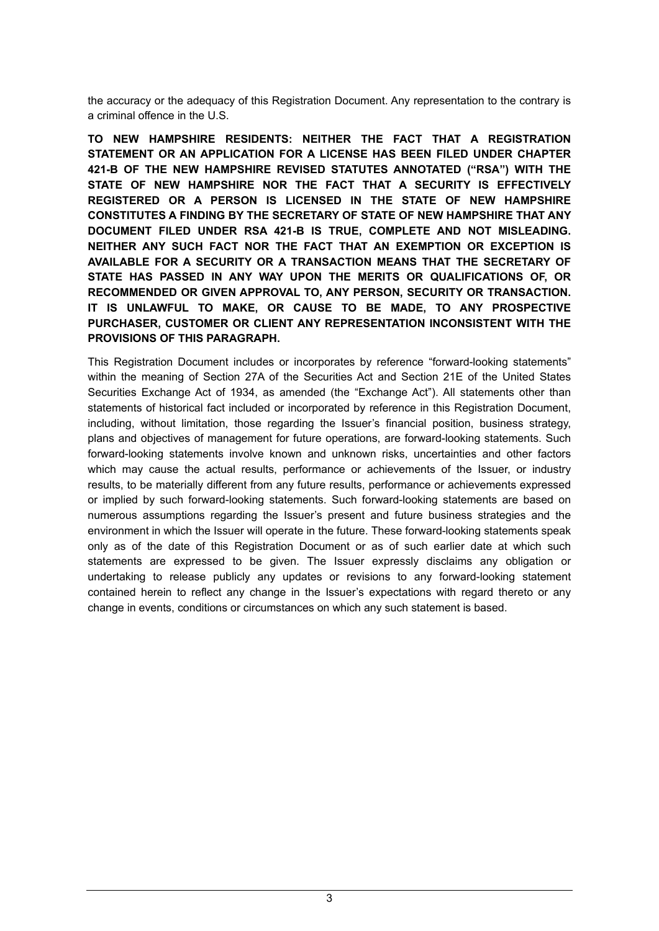the accuracy or the adequacy of this Registration Document. Any representation to the contrary is a criminal offence in the U.S.

**TO NEW HAMPSHIRE RESIDENTS: NEITHER THE FACT THAT A REGISTRATION STATEMENT OR AN APPLICATION FOR A LICENSE HAS BEEN FILED UNDER CHAPTER 421-B OF THE NEW HAMPSHIRE REVISED STATUTES ANNOTATED ("RSA") WITH THE STATE OF NEW HAMPSHIRE NOR THE FACT THAT A SECURITY IS EFFECTIVELY REGISTERED OR A PERSON IS LICENSED IN THE STATE OF NEW HAMPSHIRE CONSTITUTES A FINDING BY THE SECRETARY OF STATE OF NEW HAMPSHIRE THAT ANY DOCUMENT FILED UNDER RSA 421-B IS TRUE, COMPLETE AND NOT MISLEADING. NEITHER ANY SUCH FACT NOR THE FACT THAT AN EXEMPTION OR EXCEPTION IS AVAILABLE FOR A SECURITY OR A TRANSACTION MEANS THAT THE SECRETARY OF STATE HAS PASSED IN ANY WAY UPON THE MERITS OR QUALIFICATIONS OF, OR RECOMMENDED OR GIVEN APPROVAL TO, ANY PERSON, SECURITY OR TRANSACTION. IT IS UNLAWFUL TO MAKE, OR CAUSE TO BE MADE, TO ANY PROSPECTIVE PURCHASER, CUSTOMER OR CLIENT ANY REPRESENTATION INCONSISTENT WITH THE PROVISIONS OF THIS PARAGRAPH.**

This Registration Document includes or incorporates by reference "forward-looking statements" within the meaning of Section 27A of the Securities Act and Section 21E of the United States Securities Exchange Act of 1934, as amended (the "Exchange Act"). All statements other than statements of historical fact included or incorporated by reference in this Registration Document, including, without limitation, those regarding the Issuer's financial position, business strategy, plans and objectives of management for future operations, are forward-looking statements. Such forward-looking statements involve known and unknown risks, uncertainties and other factors which may cause the actual results, performance or achievements of the Issuer, or industry results, to be materially different from any future results, performance or achievements expressed or implied by such forward-looking statements. Such forward-looking statements are based on numerous assumptions regarding the Issuer's present and future business strategies and the environment in which the Issuer will operate in the future. These forward-looking statements speak only as of the date of this Registration Document or as of such earlier date at which such statements are expressed to be given. The Issuer expressly disclaims any obligation or undertaking to release publicly any updates or revisions to any forward-looking statement contained herein to reflect any change in the Issuer's expectations with regard thereto or any change in events, conditions or circumstances on which any such statement is based.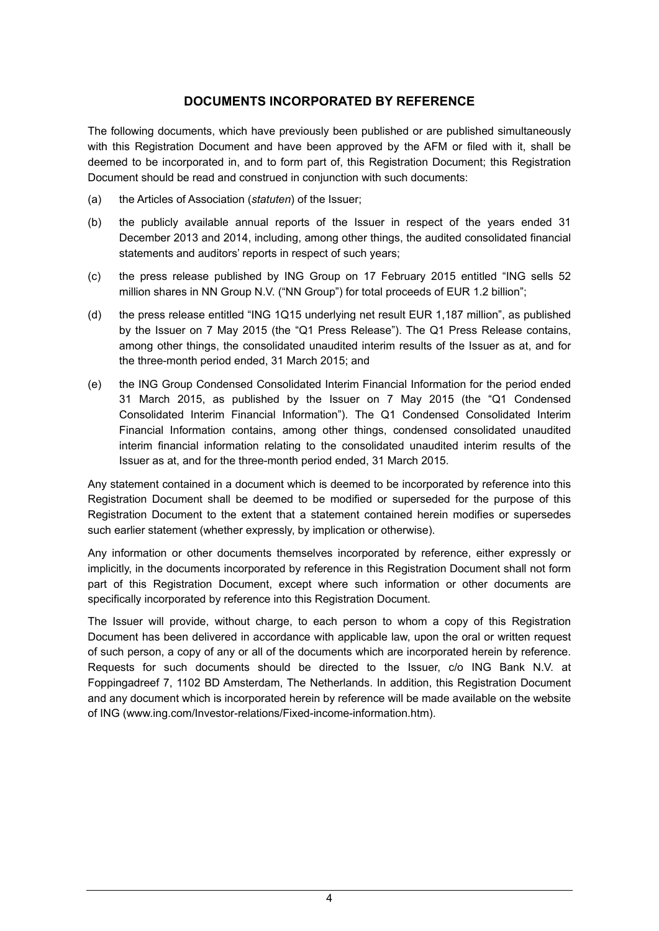# **DOCUMENTS INCORPORATED BY REFERENCE**

The following documents, which have previously been published or are published simultaneously with this Registration Document and have been approved by the AFM or filed with it, shall be deemed to be incorporated in, and to form part of, this Registration Document; this Registration Document should be read and construed in conjunction with such documents:

- (a) the Articles of Association (*statuten*) of the Issuer;
- (b) the publicly available annual reports of the Issuer in respect of the years ended 31 December 2013 and 2014, including, among other things, the audited consolidated financial statements and auditors' reports in respect of such years;
- (c) the press release published by ING Group on 17 February 2015 entitled "ING sells 52 million shares in NN Group N.V. ("NN Group") for total proceeds of EUR 1.2 billion";
- (d) the press release entitled "ING 1Q15 underlying net result EUR 1,187 million", as published by the Issuer on 7 May 2015 (the "Q1 Press Release"). The Q1 Press Release contains, among other things, the consolidated unaudited interim results of the Issuer as at, and for the three-month period ended, 31 March 2015; and
- (e) the ING Group Condensed Consolidated Interim Financial Information for the period ended 31 March 2015, as published by the Issuer on 7 May 2015 (the "Q1 Condensed Consolidated Interim Financial Information"). The Q1 Condensed Consolidated Interim Financial Information contains, among other things, condensed consolidated unaudited interim financial information relating to the consolidated unaudited interim results of the Issuer as at, and for the three-month period ended, 31 March 2015.

Any statement contained in a document which is deemed to be incorporated by reference into this Registration Document shall be deemed to be modified or superseded for the purpose of this Registration Document to the extent that a statement contained herein modifies or supersedes such earlier statement (whether expressly, by implication or otherwise).

Any information or other documents themselves incorporated by reference, either expressly or implicitly, in the documents incorporated by reference in this Registration Document shall not form part of this Registration Document, except where such information or other documents are specifically incorporated by reference into this Registration Document.

The Issuer will provide, without charge, to each person to whom a copy of this Registration Document has been delivered in accordance with applicable law, upon the oral or written request of such person, a copy of any or all of the documents which are incorporated herein by reference. Requests for such documents should be directed to the Issuer, c/o ING Bank N.V. at Foppingadreef 7, 1102 BD Amsterdam, The Netherlands. In addition, this Registration Document and any document which is incorporated herein by reference will be made available on the website of ING (www.ing.com/Investor-relations/Fixed-income-information.htm).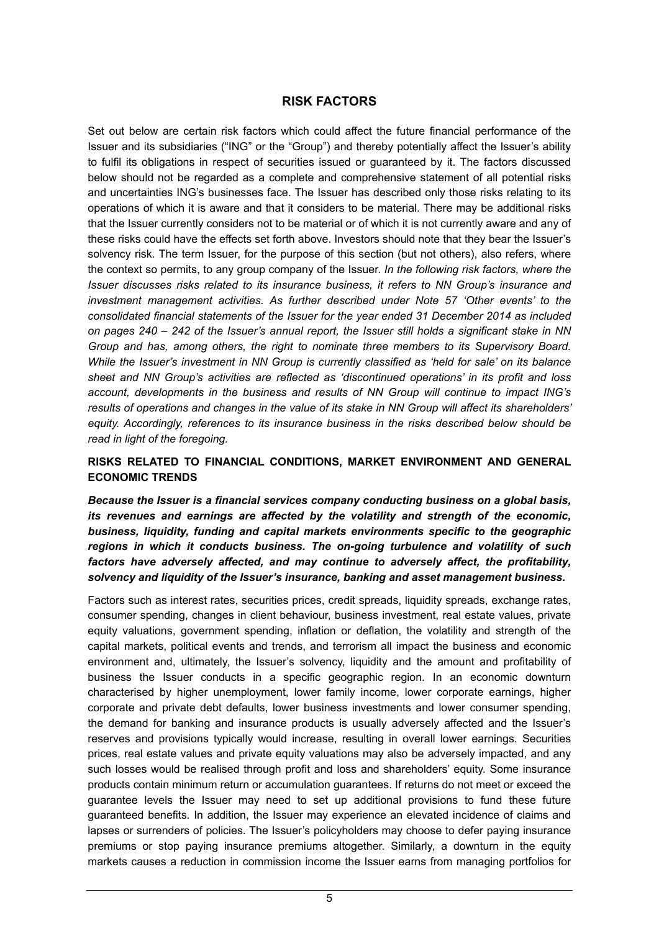# **RISK FACTORS**

Set out below are certain risk factors which could affect the future financial performance of the Issuer and its subsidiaries ("ING" or the "Group") and thereby potentially affect the Issuer's ability to fulfil its obligations in respect of securities issued or guaranteed by it. The factors discussed below should not be regarded as a complete and comprehensive statement of all potential risks and uncertainties ING's businesses face. The Issuer has described only those risks relating to its operations of which it is aware and that it considers to be material. There may be additional risks that the Issuer currently considers not to be material or of which it is not currently aware and any of these risks could have the effects set forth above. Investors should note that they bear the Issuer's solvency risk. The term Issuer, for the purpose of this section (but not others), also refers, where the context so permits, to any group company of the Issuer. *In the following risk factors, where the Issuer discusses risks related to its insurance business, it refers to NN Group's insurance and investment management activities. As further described under Note 57 'Other events' to the consolidated financial statements of the Issuer for the year ended 31 December 2014 as included on pages 240 – 242 of the Issuer's annual report, the Issuer still holds a significant stake in NN Group and has, among others, the right to nominate three members to its Supervisory Board. While the Issuer's investment in NN Group is currently classified as 'held for sale' on its balance sheet and NN Group's activities are reflected as 'discontinued operations' in its profit and loss account, developments in the business and results of NN Group will continue to impact ING's results of operations and changes in the value of its stake in NN Group will affect its shareholders' equity. Accordingly, references to its insurance business in the risks described below should be read in light of the foregoing.*

### **RISKS RELATED TO FINANCIAL CONDITIONS, MARKET ENVIRONMENT AND GENERAL ECONOMIC TRENDS**

*Because the Issuer is a financial services company conducting business on a global basis, its revenues and earnings are affected by the volatility and strength of the economic, business, liquidity, funding and capital markets environments specific to the geographic regions in which it conducts business. The on-going turbulence and volatility of such factors have adversely affected, and may continue to adversely affect, the profitability, solvency and liquidity of the Issuer's insurance, banking and asset management business.* 

Factors such as interest rates, securities prices, credit spreads, liquidity spreads, exchange rates, consumer spending, changes in client behaviour, business investment, real estate values, private equity valuations, government spending, inflation or deflation, the volatility and strength of the capital markets, political events and trends, and terrorism all impact the business and economic environment and, ultimately, the Issuer's solvency, liquidity and the amount and profitability of business the Issuer conducts in a specific geographic region. In an economic downturn characterised by higher unemployment, lower family income, lower corporate earnings, higher corporate and private debt defaults, lower business investments and lower consumer spending, the demand for banking and insurance products is usually adversely affected and the Issuer's reserves and provisions typically would increase, resulting in overall lower earnings. Securities prices, real estate values and private equity valuations may also be adversely impacted, and any such losses would be realised through profit and loss and shareholders' equity. Some insurance products contain minimum return or accumulation guarantees. If returns do not meet or exceed the guarantee levels the Issuer may need to set up additional provisions to fund these future guaranteed benefits. In addition, the Issuer may experience an elevated incidence of claims and lapses or surrenders of policies. The Issuer's policyholders may choose to defer paying insurance premiums or stop paying insurance premiums altogether. Similarly, a downturn in the equity markets causes a reduction in commission income the Issuer earns from managing portfolios for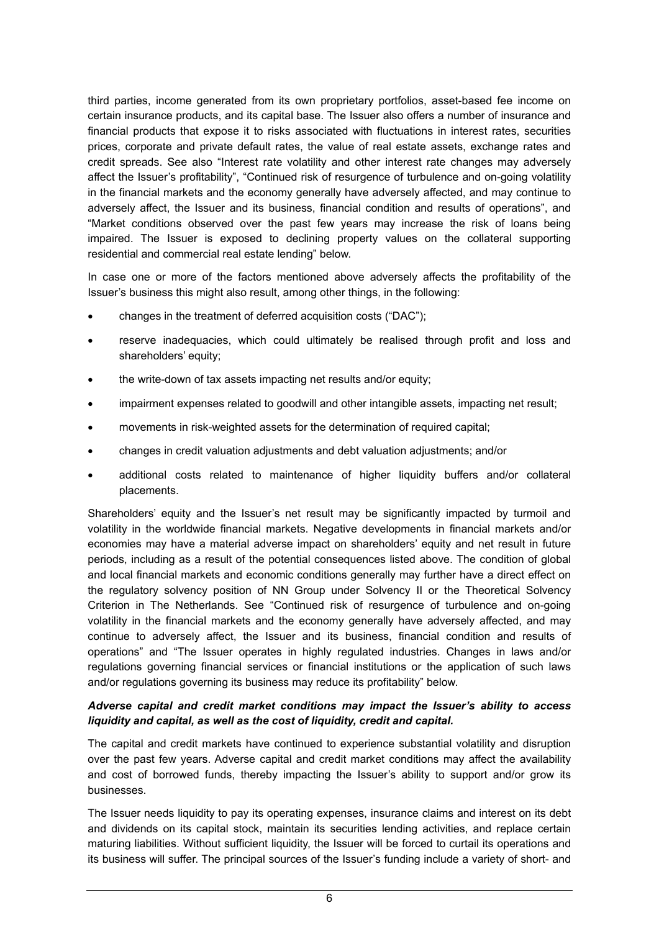third parties, income generated from its own proprietary portfolios, asset-based fee income on certain insurance products, and its capital base. The Issuer also offers a number of insurance and financial products that expose it to risks associated with fluctuations in interest rates, securities prices, corporate and private default rates, the value of real estate assets, exchange rates and credit spreads. See also "Interest rate volatility and other interest rate changes may adversely affect the Issuer's profitability", "Continued risk of resurgence of turbulence and on-going volatility in the financial markets and the economy generally have adversely affected, and may continue to adversely affect, the Issuer and its business, financial condition and results of operations", and "Market conditions observed over the past few years may increase the risk of loans being impaired. The Issuer is exposed to declining property values on the collateral supporting residential and commercial real estate lending" below.

In case one or more of the factors mentioned above adversely affects the profitability of the Issuer's business this might also result, among other things, in the following:

- changes in the treatment of deferred acquisition costs ("DAC");
- reserve inadequacies, which could ultimately be realised through profit and loss and shareholders' equity;
- the write-down of tax assets impacting net results and/or equity;
- impairment expenses related to goodwill and other intangible assets, impacting net result;
- movements in risk-weighted assets for the determination of required capital;
- changes in credit valuation adjustments and debt valuation adjustments; and/or
- additional costs related to maintenance of higher liquidity buffers and/or collateral placements.

Shareholders' equity and the Issuer's net result may be significantly impacted by turmoil and volatility in the worldwide financial markets. Negative developments in financial markets and/or economies may have a material adverse impact on shareholders' equity and net result in future periods, including as a result of the potential consequences listed above. The condition of global and local financial markets and economic conditions generally may further have a direct effect on the regulatory solvency position of NN Group under Solvency II or the Theoretical Solvency Criterion in The Netherlands. See "Continued risk of resurgence of turbulence and on-going volatility in the financial markets and the economy generally have adversely affected, and may continue to adversely affect, the Issuer and its business, financial condition and results of operations" and "The Issuer operates in highly regulated industries. Changes in laws and/or regulations governing financial services or financial institutions or the application of such laws and/or regulations governing its business may reduce its profitability" below.

### *Adverse capital and credit market conditions may impact the Issuer's ability to access liquidity and capital, as well as the cost of liquidity, credit and capital.*

The capital and credit markets have continued to experience substantial volatility and disruption over the past few years. Adverse capital and credit market conditions may affect the availability and cost of borrowed funds, thereby impacting the Issuer's ability to support and/or grow its businesses.

The Issuer needs liquidity to pay its operating expenses, insurance claims and interest on its debt and dividends on its capital stock, maintain its securities lending activities, and replace certain maturing liabilities. Without sufficient liquidity, the Issuer will be forced to curtail its operations and its business will suffer. The principal sources of the Issuer's funding include a variety of short- and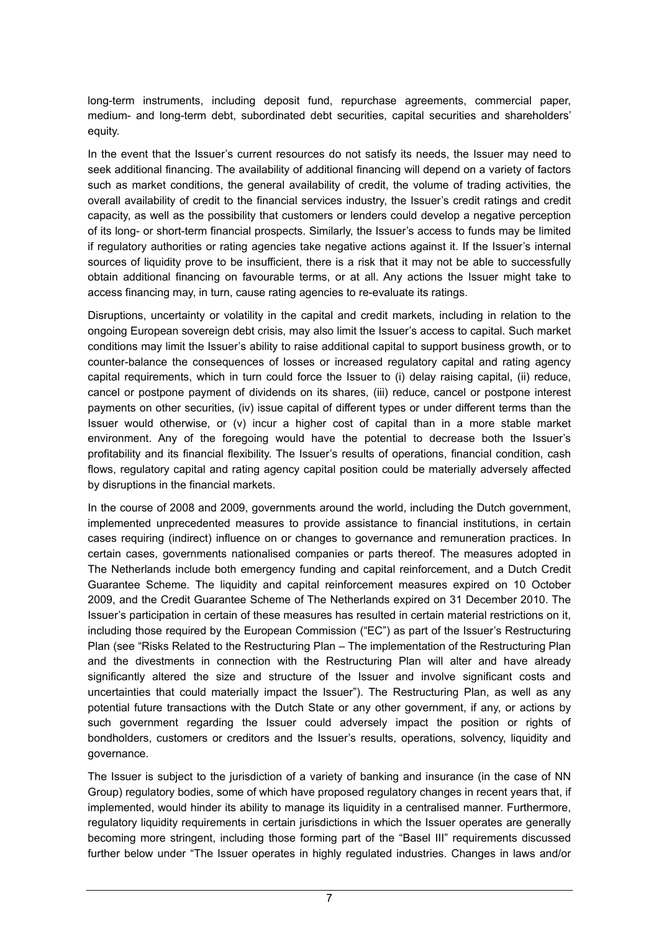long-term instruments, including deposit fund, repurchase agreements, commercial paper, medium- and long-term debt, subordinated debt securities, capital securities and shareholders' equity.

In the event that the Issuer's current resources do not satisfy its needs, the Issuer may need to seek additional financing. The availability of additional financing will depend on a variety of factors such as market conditions, the general availability of credit, the volume of trading activities, the overall availability of credit to the financial services industry, the Issuer's credit ratings and credit capacity, as well as the possibility that customers or lenders could develop a negative perception of its long- or short-term financial prospects. Similarly, the Issuer's access to funds may be limited if regulatory authorities or rating agencies take negative actions against it. If the Issuer's internal sources of liquidity prove to be insufficient, there is a risk that it may not be able to successfully obtain additional financing on favourable terms, or at all. Any actions the Issuer might take to access financing may, in turn, cause rating agencies to re-evaluate its ratings.

Disruptions, uncertainty or volatility in the capital and credit markets, including in relation to the ongoing European sovereign debt crisis, may also limit the Issuer's access to capital. Such market conditions may limit the Issuer's ability to raise additional capital to support business growth, or to counter-balance the consequences of losses or increased regulatory capital and rating agency capital requirements, which in turn could force the Issuer to (i) delay raising capital, (ii) reduce, cancel or postpone payment of dividends on its shares, (iii) reduce, cancel or postpone interest payments on other securities, (iv) issue capital of different types or under different terms than the Issuer would otherwise, or (v) incur a higher cost of capital than in a more stable market environment. Any of the foregoing would have the potential to decrease both the Issuer's profitability and its financial flexibility. The Issuer's results of operations, financial condition, cash flows, regulatory capital and rating agency capital position could be materially adversely affected by disruptions in the financial markets.

In the course of 2008 and 2009, governments around the world, including the Dutch government, implemented unprecedented measures to provide assistance to financial institutions, in certain cases requiring (indirect) influence on or changes to governance and remuneration practices. In certain cases, governments nationalised companies or parts thereof. The measures adopted in The Netherlands include both emergency funding and capital reinforcement, and a Dutch Credit Guarantee Scheme. The liquidity and capital reinforcement measures expired on 10 October 2009, and the Credit Guarantee Scheme of The Netherlands expired on 31 December 2010. The Issuer's participation in certain of these measures has resulted in certain material restrictions on it, including those required by the European Commission ("EC") as part of the Issuer's Restructuring Plan (see "Risks Related to the Restructuring Plan – The implementation of the Restructuring Plan and the divestments in connection with the Restructuring Plan will alter and have already significantly altered the size and structure of the Issuer and involve significant costs and uncertainties that could materially impact the Issuer"). The Restructuring Plan, as well as any potential future transactions with the Dutch State or any other government, if any, or actions by such government regarding the Issuer could adversely impact the position or rights of bondholders, customers or creditors and the Issuer's results, operations, solvency, liquidity and governance.

The Issuer is subject to the jurisdiction of a variety of banking and insurance (in the case of NN Group) regulatory bodies, some of which have proposed regulatory changes in recent years that, if implemented, would hinder its ability to manage its liquidity in a centralised manner. Furthermore, regulatory liquidity requirements in certain jurisdictions in which the Issuer operates are generally becoming more stringent, including those forming part of the "Basel III" requirements discussed further below under "The Issuer operates in highly regulated industries. Changes in laws and/or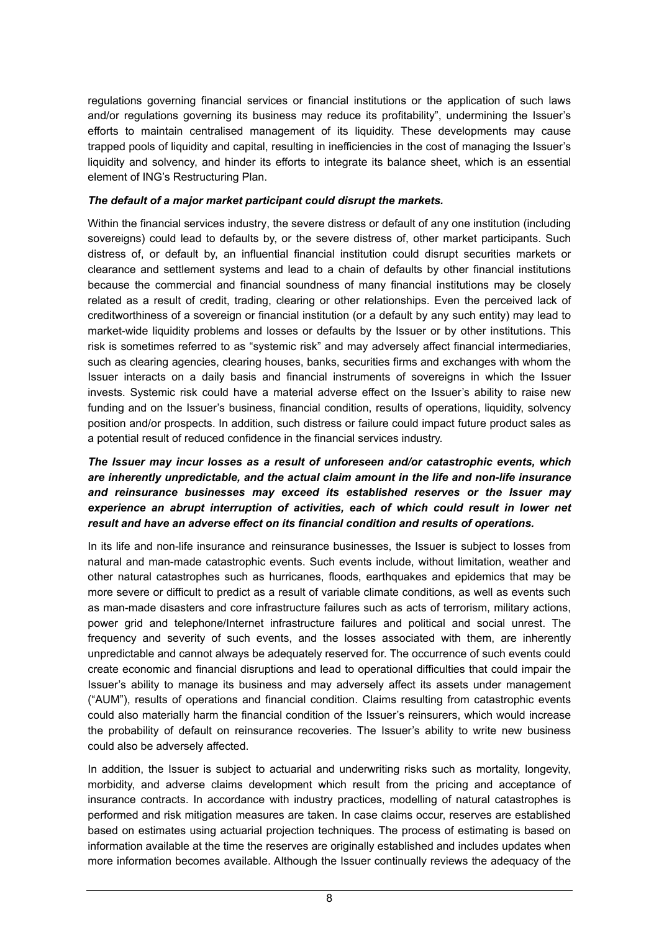regulations governing financial services or financial institutions or the application of such laws and/or regulations governing its business may reduce its profitability", undermining the Issuer's efforts to maintain centralised management of its liquidity. These developments may cause trapped pools of liquidity and capital, resulting in inefficiencies in the cost of managing the Issuer's liquidity and solvency, and hinder its efforts to integrate its balance sheet, which is an essential element of ING's Restructuring Plan.

### *The default of a major market participant could disrupt the markets.*

Within the financial services industry, the severe distress or default of any one institution (including sovereigns) could lead to defaults by, or the severe distress of, other market participants. Such distress of, or default by, an influential financial institution could disrupt securities markets or clearance and settlement systems and lead to a chain of defaults by other financial institutions because the commercial and financial soundness of many financial institutions may be closely related as a result of credit, trading, clearing or other relationships. Even the perceived lack of creditworthiness of a sovereign or financial institution (or a default by any such entity) may lead to market-wide liquidity problems and losses or defaults by the Issuer or by other institutions. This risk is sometimes referred to as "systemic risk" and may adversely affect financial intermediaries, such as clearing agencies, clearing houses, banks, securities firms and exchanges with whom the Issuer interacts on a daily basis and financial instruments of sovereigns in which the Issuer invests. Systemic risk could have a material adverse effect on the Issuer's ability to raise new funding and on the Issuer's business, financial condition, results of operations, liquidity, solvency position and/or prospects. In addition, such distress or failure could impact future product sales as a potential result of reduced confidence in the financial services industry.

### *The Issuer may incur losses as a result of unforeseen and/or catastrophic events, which are inherently unpredictable, and the actual claim amount in the life and non-life insurance and reinsurance businesses may exceed its established reserves or the Issuer may*  experience an abrupt interruption of activities, each of which could result in lower net *result and have an adverse effect on its financial condition and results of operations.*

In its life and non-life insurance and reinsurance businesses, the Issuer is subject to losses from natural and man-made catastrophic events. Such events include, without limitation, weather and other natural catastrophes such as hurricanes, floods, earthquakes and epidemics that may be more severe or difficult to predict as a result of variable climate conditions, as well as events such as man-made disasters and core infrastructure failures such as acts of terrorism, military actions, power grid and telephone/Internet infrastructure failures and political and social unrest. The frequency and severity of such events, and the losses associated with them, are inherently unpredictable and cannot always be adequately reserved for. The occurrence of such events could create economic and financial disruptions and lead to operational difficulties that could impair the Issuer's ability to manage its business and may adversely affect its assets under management ("AUM"), results of operations and financial condition. Claims resulting from catastrophic events could also materially harm the financial condition of the Issuer's reinsurers, which would increase the probability of default on reinsurance recoveries. The Issuer's ability to write new business could also be adversely affected.

In addition, the Issuer is subject to actuarial and underwriting risks such as mortality, longevity, morbidity, and adverse claims development which result from the pricing and acceptance of insurance contracts. In accordance with industry practices, modelling of natural catastrophes is performed and risk mitigation measures are taken. In case claims occur, reserves are established based on estimates using actuarial projection techniques. The process of estimating is based on information available at the time the reserves are originally established and includes updates when more information becomes available. Although the Issuer continually reviews the adequacy of the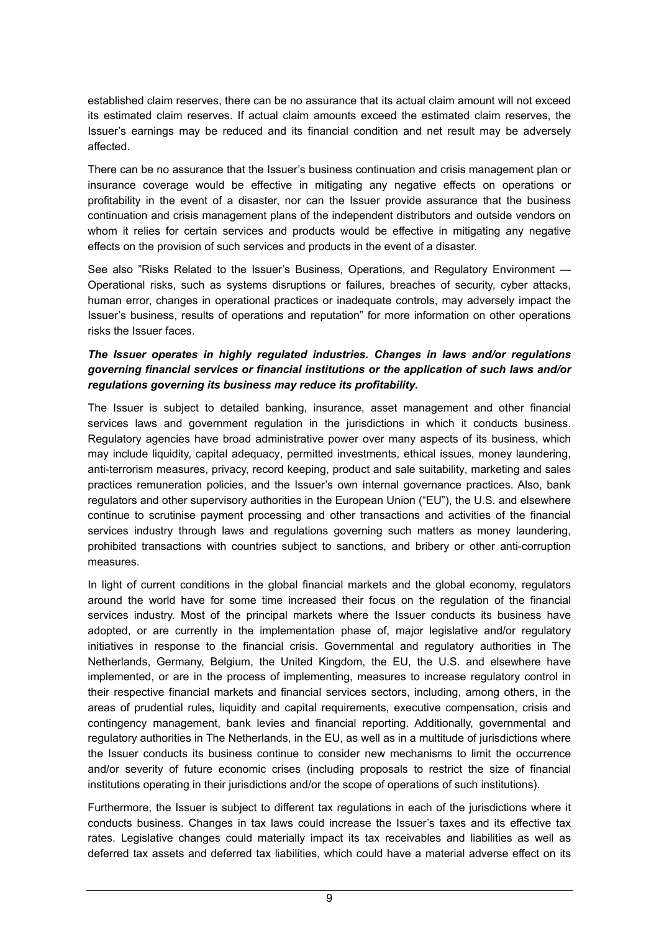established claim reserves, there can be no assurance that its actual claim amount will not exceed its estimated claim reserves. If actual claim amounts exceed the estimated claim reserves, the Issuer's earnings may be reduced and its financial condition and net result may be adversely affected.

There can be no assurance that the Issuer's business continuation and crisis management plan or insurance coverage would be effective in mitigating any negative effects on operations or profitability in the event of a disaster, nor can the Issuer provide assurance that the business continuation and crisis management plans of the independent distributors and outside vendors on whom it relies for certain services and products would be effective in mitigating any negative effects on the provision of such services and products in the event of a disaster.

See also "Risks Related to the Issuer's Business, Operations, and Regulatory Environment — Operational risks, such as systems disruptions or failures, breaches of security, cyber attacks, human error, changes in operational practices or inadequate controls, may adversely impact the Issuer's business, results of operations and reputation" for more information on other operations risks the Issuer faces.

### *The Issuer operates in highly regulated industries. Changes in laws and/or regulations governing financial services or financial institutions or the application of such laws and/or regulations governing its business may reduce its profitability.*

The Issuer is subject to detailed banking, insurance, asset management and other financial services laws and government regulation in the jurisdictions in which it conducts business. Regulatory agencies have broad administrative power over many aspects of its business, which may include liquidity, capital adequacy, permitted investments, ethical issues, money laundering, anti-terrorism measures, privacy, record keeping, product and sale suitability, marketing and sales practices remuneration policies, and the Issuer's own internal governance practices. Also, bank regulators and other supervisory authorities in the European Union ("EU"), the U.S. and elsewhere continue to scrutinise payment processing and other transactions and activities of the financial services industry through laws and regulations governing such matters as money laundering, prohibited transactions with countries subject to sanctions, and bribery or other anti-corruption measures.

In light of current conditions in the global financial markets and the global economy, regulators around the world have for some time increased their focus on the regulation of the financial services industry. Most of the principal markets where the Issuer conducts its business have adopted, or are currently in the implementation phase of, major legislative and/or regulatory initiatives in response to the financial crisis. Governmental and regulatory authorities in The Netherlands, Germany, Belgium, the United Kingdom, the EU, the U.S. and elsewhere have implemented, or are in the process of implementing, measures to increase regulatory control in their respective financial markets and financial services sectors, including, among others, in the areas of prudential rules, liquidity and capital requirements, executive compensation, crisis and contingency management, bank levies and financial reporting. Additionally, governmental and regulatory authorities in The Netherlands, in the EU, as well as in a multitude of jurisdictions where the Issuer conducts its business continue to consider new mechanisms to limit the occurrence and/or severity of future economic crises (including proposals to restrict the size of financial institutions operating in their jurisdictions and/or the scope of operations of such institutions).

Furthermore, the Issuer is subject to different tax regulations in each of the jurisdictions where it conducts business. Changes in tax laws could increase the Issuer's taxes and its effective tax rates. Legislative changes could materially impact its tax receivables and liabilities as well as deferred tax assets and deferred tax liabilities, which could have a material adverse effect on its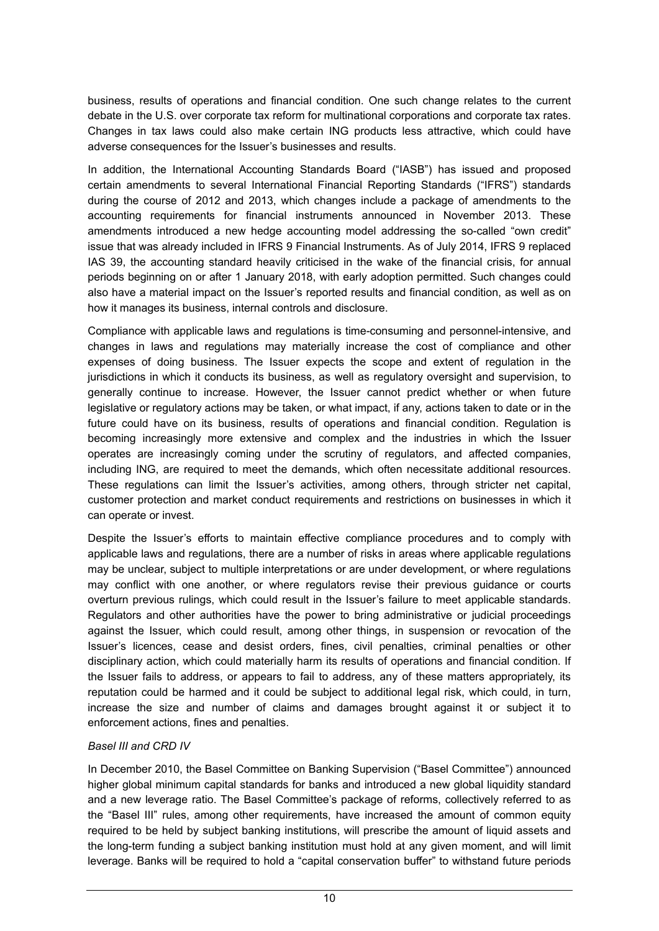business, results of operations and financial condition. One such change relates to the current debate in the U.S. over corporate tax reform for multinational corporations and corporate tax rates. Changes in tax laws could also make certain ING products less attractive, which could have adverse consequences for the Issuer's businesses and results.

In addition, the International Accounting Standards Board ("IASB") has issued and proposed certain amendments to several International Financial Reporting Standards ("IFRS") standards during the course of 2012 and 2013, which changes include a package of amendments to the accounting requirements for financial instruments announced in November 2013. These amendments introduced a new hedge accounting model addressing the so-called "own credit" issue that was already included in IFRS 9 Financial Instruments. As of July 2014, IFRS 9 replaced IAS 39, the accounting standard heavily criticised in the wake of the financial crisis, for annual periods beginning on or after 1 January 2018, with early adoption permitted. Such changes could also have a material impact on the Issuer's reported results and financial condition, as well as on how it manages its business, internal controls and disclosure.

Compliance with applicable laws and regulations is time-consuming and personnel-intensive, and changes in laws and regulations may materially increase the cost of compliance and other expenses of doing business. The Issuer expects the scope and extent of regulation in the jurisdictions in which it conducts its business, as well as regulatory oversight and supervision, to generally continue to increase. However, the Issuer cannot predict whether or when future legislative or regulatory actions may be taken, or what impact, if any, actions taken to date or in the future could have on its business, results of operations and financial condition. Regulation is becoming increasingly more extensive and complex and the industries in which the Issuer operates are increasingly coming under the scrutiny of regulators, and affected companies, including ING, are required to meet the demands, which often necessitate additional resources. These regulations can limit the Issuer's activities, among others, through stricter net capital, customer protection and market conduct requirements and restrictions on businesses in which it can operate or invest.

Despite the Issuer's efforts to maintain effective compliance procedures and to comply with applicable laws and regulations, there are a number of risks in areas where applicable regulations may be unclear, subject to multiple interpretations or are under development, or where regulations may conflict with one another, or where regulators revise their previous guidance or courts overturn previous rulings, which could result in the Issuer's failure to meet applicable standards. Regulators and other authorities have the power to bring administrative or judicial proceedings against the Issuer, which could result, among other things, in suspension or revocation of the Issuer's licences, cease and desist orders, fines, civil penalties, criminal penalties or other disciplinary action, which could materially harm its results of operations and financial condition. If the Issuer fails to address, or appears to fail to address, any of these matters appropriately, its reputation could be harmed and it could be subject to additional legal risk, which could, in turn, increase the size and number of claims and damages brought against it or subject it to enforcement actions, fines and penalties.

### *Basel III and CRD IV*

In December 2010, the Basel Committee on Banking Supervision ("Basel Committee") announced higher global minimum capital standards for banks and introduced a new global liquidity standard and a new leverage ratio. The Basel Committee's package of reforms, collectively referred to as the "Basel III" rules, among other requirements, have increased the amount of common equity required to be held by subject banking institutions, will prescribe the amount of liquid assets and the long-term funding a subject banking institution must hold at any given moment, and will limit leverage. Banks will be required to hold a "capital conservation buffer" to withstand future periods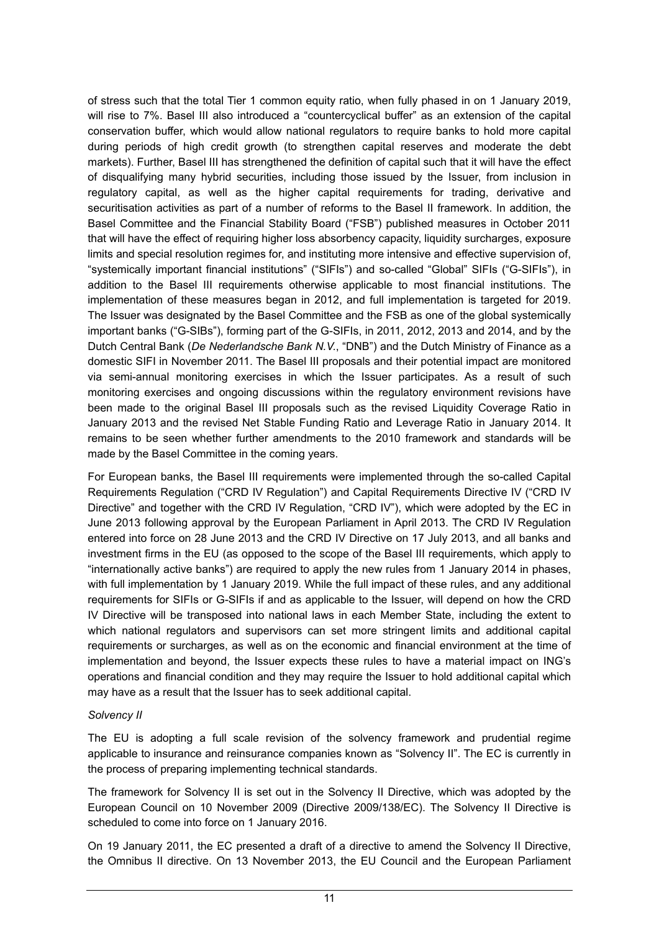of stress such that the total Tier 1 common equity ratio, when fully phased in on 1 January 2019, will rise to 7%. Basel III also introduced a "countercyclical buffer" as an extension of the capital conservation buffer, which would allow national regulators to require banks to hold more capital during periods of high credit growth (to strengthen capital reserves and moderate the debt markets). Further, Basel III has strengthened the definition of capital such that it will have the effect of disqualifying many hybrid securities, including those issued by the Issuer, from inclusion in regulatory capital, as well as the higher capital requirements for trading, derivative and securitisation activities as part of a number of reforms to the Basel II framework. In addition, the Basel Committee and the Financial Stability Board ("FSB") published measures in October 2011 that will have the effect of requiring higher loss absorbency capacity, liquidity surcharges, exposure limits and special resolution regimes for, and instituting more intensive and effective supervision of, "systemically important financial institutions" ("SIFIs") and so-called "Global" SIFIs ("G-SIFIs"), in addition to the Basel III requirements otherwise applicable to most financial institutions. The implementation of these measures began in 2012, and full implementation is targeted for 2019. The Issuer was designated by the Basel Committee and the FSB as one of the global systemically important banks ("G-SIBs"), forming part of the G-SIFIs, in 2011, 2012, 2013 and 2014, and by the Dutch Central Bank (*De Nederlandsche Bank N.V.*, "DNB") and the Dutch Ministry of Finance as a domestic SIFI in November 2011. The Basel III proposals and their potential impact are monitored via semi-annual monitoring exercises in which the Issuer participates. As a result of such monitoring exercises and ongoing discussions within the regulatory environment revisions have been made to the original Basel III proposals such as the revised Liquidity Coverage Ratio in January 2013 and the revised Net Stable Funding Ratio and Leverage Ratio in January 2014. It remains to be seen whether further amendments to the 2010 framework and standards will be made by the Basel Committee in the coming years.

For European banks, the Basel III requirements were implemented through the so-called Capital Requirements Regulation ("CRD IV Regulation") and Capital Requirements Directive IV ("CRD IV Directive" and together with the CRD IV Regulation, "CRD IV"), which were adopted by the EC in June 2013 following approval by the European Parliament in April 2013. The CRD IV Regulation entered into force on 28 June 2013 and the CRD IV Directive on 17 July 2013, and all banks and investment firms in the EU (as opposed to the scope of the Basel III requirements, which apply to "internationally active banks") are required to apply the new rules from 1 January 2014 in phases, with full implementation by 1 January 2019. While the full impact of these rules, and any additional requirements for SIFIs or G-SIFIs if and as applicable to the Issuer, will depend on how the CRD IV Directive will be transposed into national laws in each Member State, including the extent to which national regulators and supervisors can set more stringent limits and additional capital requirements or surcharges, as well as on the economic and financial environment at the time of implementation and beyond, the Issuer expects these rules to have a material impact on ING's operations and financial condition and they may require the Issuer to hold additional capital which may have as a result that the Issuer has to seek additional capital.

#### *Solvency II*

The EU is adopting a full scale revision of the solvency framework and prudential regime applicable to insurance and reinsurance companies known as "Solvency II". The EC is currently in the process of preparing implementing technical standards.

The framework for Solvency II is set out in the Solvency II Directive, which was adopted by the European Council on 10 November 2009 (Directive 2009/138/EC). The Solvency II Directive is scheduled to come into force on 1 January 2016.

On 19 January 2011, the EC presented a draft of a directive to amend the Solvency II Directive, the Omnibus II directive. On 13 November 2013, the EU Council and the European Parliament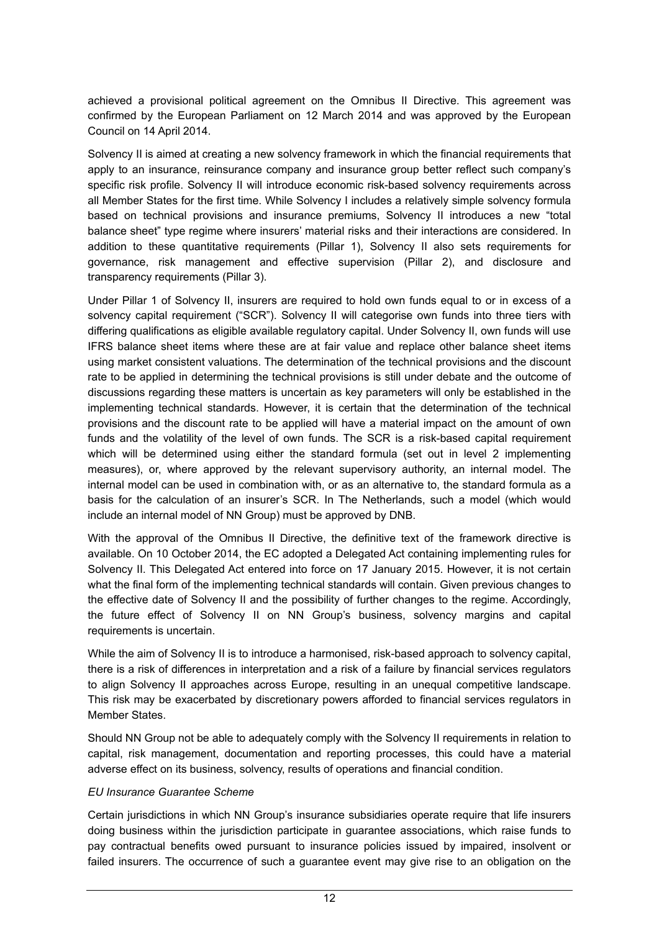achieved a provisional political agreement on the Omnibus II Directive. This agreement was confirmed by the European Parliament on 12 March 2014 and was approved by the European Council on 14 April 2014.

Solvency II is aimed at creating a new solvency framework in which the financial requirements that apply to an insurance, reinsurance company and insurance group better reflect such company's specific risk profile. Solvency II will introduce economic risk-based solvency requirements across all Member States for the first time. While Solvency I includes a relatively simple solvency formula based on technical provisions and insurance premiums, Solvency II introduces a new "total balance sheet" type regime where insurers' material risks and their interactions are considered. In addition to these quantitative requirements (Pillar 1), Solvency II also sets requirements for governance, risk management and effective supervision (Pillar 2), and disclosure and transparency requirements (Pillar 3).

Under Pillar 1 of Solvency II, insurers are required to hold own funds equal to or in excess of a solvency capital requirement ("SCR"). Solvency II will categorise own funds into three tiers with differing qualifications as eligible available regulatory capital. Under Solvency II, own funds will use IFRS balance sheet items where these are at fair value and replace other balance sheet items using market consistent valuations. The determination of the technical provisions and the discount rate to be applied in determining the technical provisions is still under debate and the outcome of discussions regarding these matters is uncertain as key parameters will only be established in the implementing technical standards. However, it is certain that the determination of the technical provisions and the discount rate to be applied will have a material impact on the amount of own funds and the volatility of the level of own funds. The SCR is a risk-based capital requirement which will be determined using either the standard formula (set out in level 2 implementing measures), or, where approved by the relevant supervisory authority, an internal model. The internal model can be used in combination with, or as an alternative to, the standard formula as a basis for the calculation of an insurer's SCR. In The Netherlands, such a model (which would include an internal model of NN Group) must be approved by DNB.

With the approval of the Omnibus II Directive, the definitive text of the framework directive is available. On 10 October 2014, the EC adopted a Delegated Act containing implementing rules for Solvency II. This Delegated Act entered into force on 17 January 2015. However, it is not certain what the final form of the implementing technical standards will contain. Given previous changes to the effective date of Solvency II and the possibility of further changes to the regime. Accordingly, the future effect of Solvency II on NN Group's business, solvency margins and capital requirements is uncertain.

While the aim of Solvency II is to introduce a harmonised, risk-based approach to solvency capital, there is a risk of differences in interpretation and a risk of a failure by financial services regulators to align Solvency II approaches across Europe, resulting in an unequal competitive landscape. This risk may be exacerbated by discretionary powers afforded to financial services regulators in Member States.

Should NN Group not be able to adequately comply with the Solvency II requirements in relation to capital, risk management, documentation and reporting processes, this could have a material adverse effect on its business, solvency, results of operations and financial condition.

### *EU Insurance Guarantee Scheme*

Certain jurisdictions in which NN Group's insurance subsidiaries operate require that life insurers doing business within the jurisdiction participate in guarantee associations, which raise funds to pay contractual benefits owed pursuant to insurance policies issued by impaired, insolvent or failed insurers. The occurrence of such a guarantee event may give rise to an obligation on the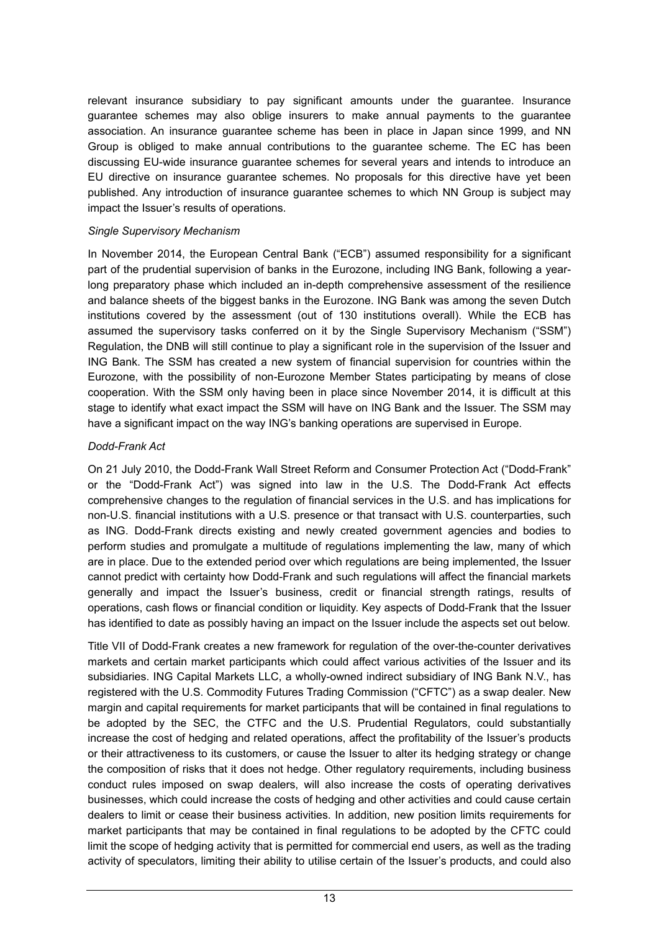relevant insurance subsidiary to pay significant amounts under the guarantee. Insurance guarantee schemes may also oblige insurers to make annual payments to the guarantee association. An insurance guarantee scheme has been in place in Japan since 1999, and NN Group is obliged to make annual contributions to the guarantee scheme. The EC has been discussing EU-wide insurance guarantee schemes for several years and intends to introduce an EU directive on insurance guarantee schemes. No proposals for this directive have yet been published. Any introduction of insurance guarantee schemes to which NN Group is subject may impact the Issuer's results of operations.

#### *Single Supervisory Mechanism*

In November 2014, the European Central Bank ("ECB") assumed responsibility for a significant part of the prudential supervision of banks in the Eurozone, including ING Bank, following a yearlong preparatory phase which included an in-depth comprehensive assessment of the resilience and balance sheets of the biggest banks in the Eurozone. ING Bank was among the seven Dutch institutions covered by the assessment (out of 130 institutions overall). While the ECB has assumed the supervisory tasks conferred on it by the Single Supervisory Mechanism ("SSM") Regulation, the DNB will still continue to play a significant role in the supervision of the Issuer and ING Bank. The SSM has created a new system of financial supervision for countries within the Eurozone, with the possibility of non-Eurozone Member States participating by means of close cooperation. With the SSM only having been in place since November 2014, it is difficult at this stage to identify what exact impact the SSM will have on ING Bank and the Issuer. The SSM may have a significant impact on the way ING's banking operations are supervised in Europe.

### *Dodd-Frank Act*

On 21 July 2010, the Dodd-Frank Wall Street Reform and Consumer Protection Act ("Dodd-Frank" or the "Dodd-Frank Act") was signed into law in the U.S. The Dodd-Frank Act effects comprehensive changes to the regulation of financial services in the U.S. and has implications for non-U.S. financial institutions with a U.S. presence or that transact with U.S. counterparties, such as ING. Dodd-Frank directs existing and newly created government agencies and bodies to perform studies and promulgate a multitude of regulations implementing the law, many of which are in place. Due to the extended period over which regulations are being implemented, the Issuer cannot predict with certainty how Dodd-Frank and such regulations will affect the financial markets generally and impact the Issuer's business, credit or financial strength ratings, results of operations, cash flows or financial condition or liquidity. Key aspects of Dodd-Frank that the Issuer has identified to date as possibly having an impact on the Issuer include the aspects set out below.

Title VII of Dodd-Frank creates a new framework for regulation of the over-the-counter derivatives markets and certain market participants which could affect various activities of the Issuer and its subsidiaries. ING Capital Markets LLC, a wholly-owned indirect subsidiary of ING Bank N.V., has registered with the U.S. Commodity Futures Trading Commission ("CFTC") as a swap dealer. New margin and capital requirements for market participants that will be contained in final regulations to be adopted by the SEC, the CTFC and the U.S. Prudential Regulators, could substantially increase the cost of hedging and related operations, affect the profitability of the Issuer's products or their attractiveness to its customers, or cause the Issuer to alter its hedging strategy or change the composition of risks that it does not hedge. Other regulatory requirements, including business conduct rules imposed on swap dealers, will also increase the costs of operating derivatives businesses, which could increase the costs of hedging and other activities and could cause certain dealers to limit or cease their business activities. In addition, new position limits requirements for market participants that may be contained in final regulations to be adopted by the CFTC could limit the scope of hedging activity that is permitted for commercial end users, as well as the trading activity of speculators, limiting their ability to utilise certain of the Issuer's products, and could also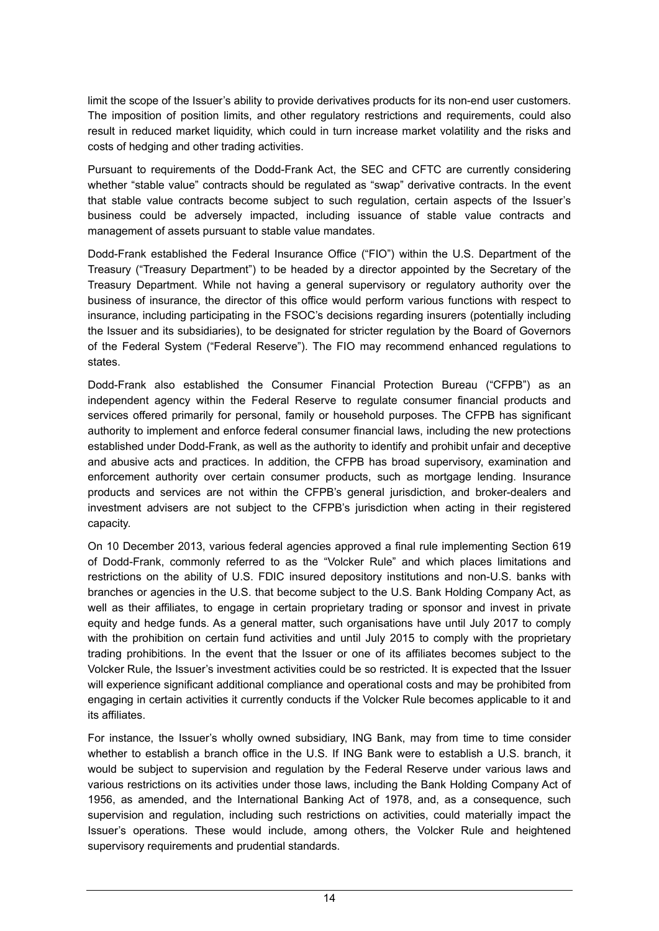limit the scope of the Issuer's ability to provide derivatives products for its non-end user customers. The imposition of position limits, and other regulatory restrictions and requirements, could also result in reduced market liquidity, which could in turn increase market volatility and the risks and costs of hedging and other trading activities.

Pursuant to requirements of the Dodd-Frank Act, the SEC and CFTC are currently considering whether "stable value" contracts should be regulated as "swap" derivative contracts. In the event that stable value contracts become subject to such regulation, certain aspects of the Issuer's business could be adversely impacted, including issuance of stable value contracts and management of assets pursuant to stable value mandates.

Dodd-Frank established the Federal Insurance Office ("FIO") within the U.S. Department of the Treasury ("Treasury Department") to be headed by a director appointed by the Secretary of the Treasury Department. While not having a general supervisory or regulatory authority over the business of insurance, the director of this office would perform various functions with respect to insurance, including participating in the FSOC's decisions regarding insurers (potentially including the Issuer and its subsidiaries), to be designated for stricter regulation by the Board of Governors of the Federal System ("Federal Reserve"). The FIO may recommend enhanced regulations to states.

Dodd-Frank also established the Consumer Financial Protection Bureau ("CFPB") as an independent agency within the Federal Reserve to regulate consumer financial products and services offered primarily for personal, family or household purposes. The CFPB has significant authority to implement and enforce federal consumer financial laws, including the new protections established under Dodd-Frank, as well as the authority to identify and prohibit unfair and deceptive and abusive acts and practices. In addition, the CFPB has broad supervisory, examination and enforcement authority over certain consumer products, such as mortgage lending. Insurance products and services are not within the CFPB's general jurisdiction, and broker-dealers and investment advisers are not subject to the CFPB's jurisdiction when acting in their registered capacity.

On 10 December 2013, various federal agencies approved a final rule implementing Section 619 of Dodd-Frank, commonly referred to as the "Volcker Rule" and which places limitations and restrictions on the ability of U.S. FDIC insured depository institutions and non-U.S. banks with branches or agencies in the U.S. that become subject to the U.S. Bank Holding Company Act, as well as their affiliates, to engage in certain proprietary trading or sponsor and invest in private equity and hedge funds. As a general matter, such organisations have until July 2017 to comply with the prohibition on certain fund activities and until July 2015 to comply with the proprietary trading prohibitions. In the event that the Issuer or one of its affiliates becomes subject to the Volcker Rule, the Issuer's investment activities could be so restricted. It is expected that the Issuer will experience significant additional compliance and operational costs and may be prohibited from engaging in certain activities it currently conducts if the Volcker Rule becomes applicable to it and its affiliates.

For instance, the Issuer's wholly owned subsidiary, ING Bank, may from time to time consider whether to establish a branch office in the U.S. If ING Bank were to establish a U.S. branch, it would be subject to supervision and regulation by the Federal Reserve under various laws and various restrictions on its activities under those laws, including the Bank Holding Company Act of 1956, as amended, and the International Banking Act of 1978, and, as a consequence, such supervision and regulation, including such restrictions on activities, could materially impact the Issuer's operations. These would include, among others, the Volcker Rule and heightened supervisory requirements and prudential standards.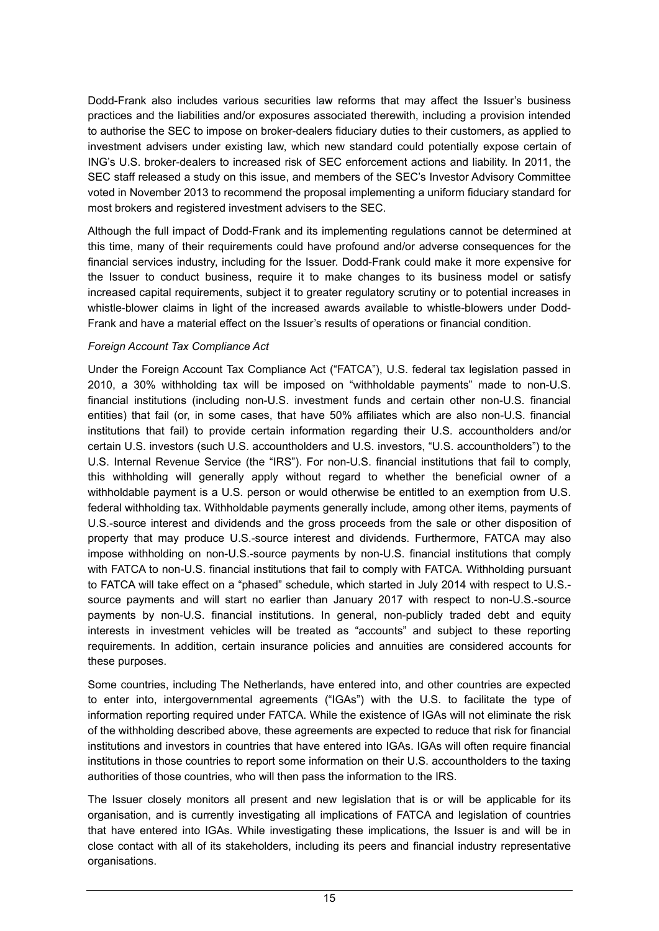Dodd-Frank also includes various securities law reforms that may affect the Issuer's business practices and the liabilities and/or exposures associated therewith, including a provision intended to authorise the SEC to impose on broker-dealers fiduciary duties to their customers, as applied to investment advisers under existing law, which new standard could potentially expose certain of ING's U.S. broker-dealers to increased risk of SEC enforcement actions and liability. In 2011, the SEC staff released a study on this issue, and members of the SEC's Investor Advisory Committee voted in November 2013 to recommend the proposal implementing a uniform fiduciary standard for most brokers and registered investment advisers to the SEC.

Although the full impact of Dodd-Frank and its implementing regulations cannot be determined at this time, many of their requirements could have profound and/or adverse consequences for the financial services industry, including for the Issuer. Dodd-Frank could make it more expensive for the Issuer to conduct business, require it to make changes to its business model or satisfy increased capital requirements, subject it to greater regulatory scrutiny or to potential increases in whistle-blower claims in light of the increased awards available to whistle-blowers under Dodd-Frank and have a material effect on the Issuer's results of operations or financial condition.

### *Foreign Account Tax Compliance Act*

Under the Foreign Account Tax Compliance Act ("FATCA"), U.S. federal tax legislation passed in 2010, a 30% withholding tax will be imposed on "withholdable payments" made to non-U.S. financial institutions (including non-U.S. investment funds and certain other non-U.S. financial entities) that fail (or, in some cases, that have 50% affiliates which are also non-U.S. financial institutions that fail) to provide certain information regarding their U.S. accountholders and/or certain U.S. investors (such U.S. accountholders and U.S. investors, "U.S. accountholders") to the U.S. Internal Revenue Service (the "IRS"). For non-U.S. financial institutions that fail to comply, this withholding will generally apply without regard to whether the beneficial owner of a withholdable payment is a U.S. person or would otherwise be entitled to an exemption from U.S. federal withholding tax. Withholdable payments generally include, among other items, payments of U.S.-source interest and dividends and the gross proceeds from the sale or other disposition of property that may produce U.S.-source interest and dividends. Furthermore, FATCA may also impose withholding on non-U.S.-source payments by non-U.S. financial institutions that comply with FATCA to non-U.S. financial institutions that fail to comply with FATCA. Withholding pursuant to FATCA will take effect on a "phased" schedule, which started in July 2014 with respect to U.S. source payments and will start no earlier than January 2017 with respect to non-U.S.-source payments by non-U.S. financial institutions. In general, non-publicly traded debt and equity interests in investment vehicles will be treated as "accounts" and subject to these reporting requirements. In addition, certain insurance policies and annuities are considered accounts for these purposes.

Some countries, including The Netherlands, have entered into, and other countries are expected to enter into, intergovernmental agreements ("IGAs") with the U.S. to facilitate the type of information reporting required under FATCA. While the existence of IGAs will not eliminate the risk of the withholding described above, these agreements are expected to reduce that risk for financial institutions and investors in countries that have entered into IGAs. IGAs will often require financial institutions in those countries to report some information on their U.S. accountholders to the taxing authorities of those countries, who will then pass the information to the IRS.

The Issuer closely monitors all present and new legislation that is or will be applicable for its organisation, and is currently investigating all implications of FATCA and legislation of countries that have entered into IGAs. While investigating these implications, the Issuer is and will be in close contact with all of its stakeholders, including its peers and financial industry representative organisations.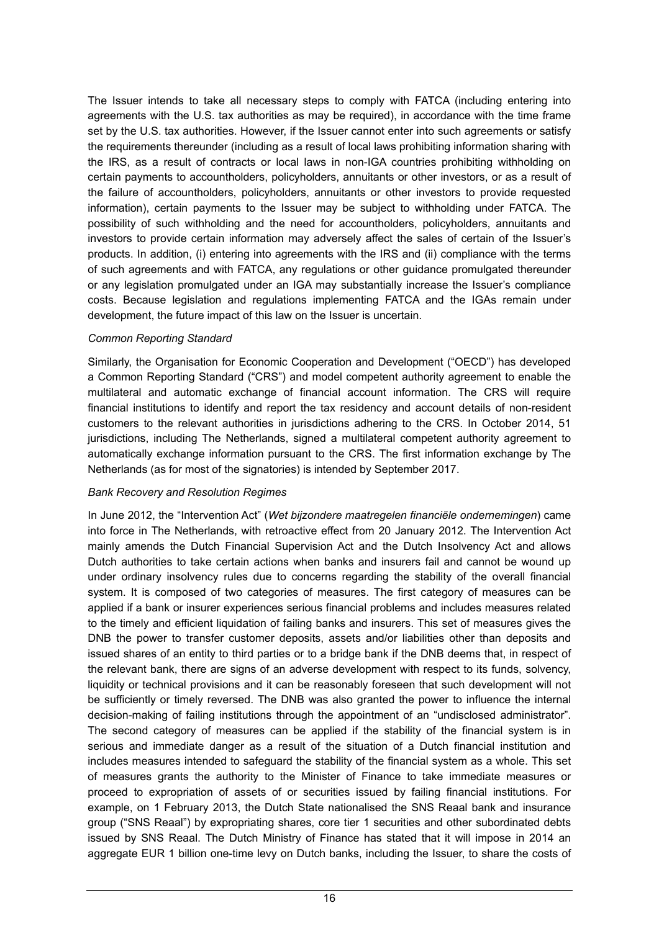The Issuer intends to take all necessary steps to comply with FATCA (including entering into agreements with the U.S. tax authorities as may be required), in accordance with the time frame set by the U.S. tax authorities. However, if the Issuer cannot enter into such agreements or satisfy the requirements thereunder (including as a result of local laws prohibiting information sharing with the IRS, as a result of contracts or local laws in non-IGA countries prohibiting withholding on certain payments to accountholders, policyholders, annuitants or other investors, or as a result of the failure of accountholders, policyholders, annuitants or other investors to provide requested information), certain payments to the Issuer may be subject to withholding under FATCA. The possibility of such withholding and the need for accountholders, policyholders, annuitants and investors to provide certain information may adversely affect the sales of certain of the Issuer's products. In addition, (i) entering into agreements with the IRS and (ii) compliance with the terms of such agreements and with FATCA, any regulations or other guidance promulgated thereunder or any legislation promulgated under an IGA may substantially increase the Issuer's compliance costs. Because legislation and regulations implementing FATCA and the IGAs remain under development, the future impact of this law on the Issuer is uncertain.

### *Common Reporting Standard*

Similarly, the Organisation for Economic Cooperation and Development ("OECD") has developed a Common Reporting Standard ("CRS") and model competent authority agreement to enable the multilateral and automatic exchange of financial account information. The CRS will require financial institutions to identify and report the tax residency and account details of non-resident customers to the relevant authorities in jurisdictions adhering to the CRS. In October 2014, 51 jurisdictions, including The Netherlands, signed a multilateral competent authority agreement to automatically exchange information pursuant to the CRS. The first information exchange by The Netherlands (as for most of the signatories) is intended by September 2017.

#### *Bank Recovery and Resolution Regimes*

In June 2012, the "Intervention Act" (*Wet bijzondere maatregelen financiële ondernemingen*) came into force in The Netherlands, with retroactive effect from 20 January 2012. The Intervention Act mainly amends the Dutch Financial Supervision Act and the Dutch Insolvency Act and allows Dutch authorities to take certain actions when banks and insurers fail and cannot be wound up under ordinary insolvency rules due to concerns regarding the stability of the overall financial system. It is composed of two categories of measures. The first category of measures can be applied if a bank or insurer experiences serious financial problems and includes measures related to the timely and efficient liquidation of failing banks and insurers. This set of measures gives the DNB the power to transfer customer deposits, assets and/or liabilities other than deposits and issued shares of an entity to third parties or to a bridge bank if the DNB deems that, in respect of the relevant bank, there are signs of an adverse development with respect to its funds, solvency, liquidity or technical provisions and it can be reasonably foreseen that such development will not be sufficiently or timely reversed. The DNB was also granted the power to influence the internal decision-making of failing institutions through the appointment of an "undisclosed administrator". The second category of measures can be applied if the stability of the financial system is in serious and immediate danger as a result of the situation of a Dutch financial institution and includes measures intended to safeguard the stability of the financial system as a whole. This set of measures grants the authority to the Minister of Finance to take immediate measures or proceed to expropriation of assets of or securities issued by failing financial institutions. For example, on 1 February 2013, the Dutch State nationalised the SNS Reaal bank and insurance group ("SNS Reaal") by expropriating shares, core tier 1 securities and other subordinated debts issued by SNS Reaal. The Dutch Ministry of Finance has stated that it will impose in 2014 an aggregate EUR 1 billion one-time levy on Dutch banks, including the Issuer, to share the costs of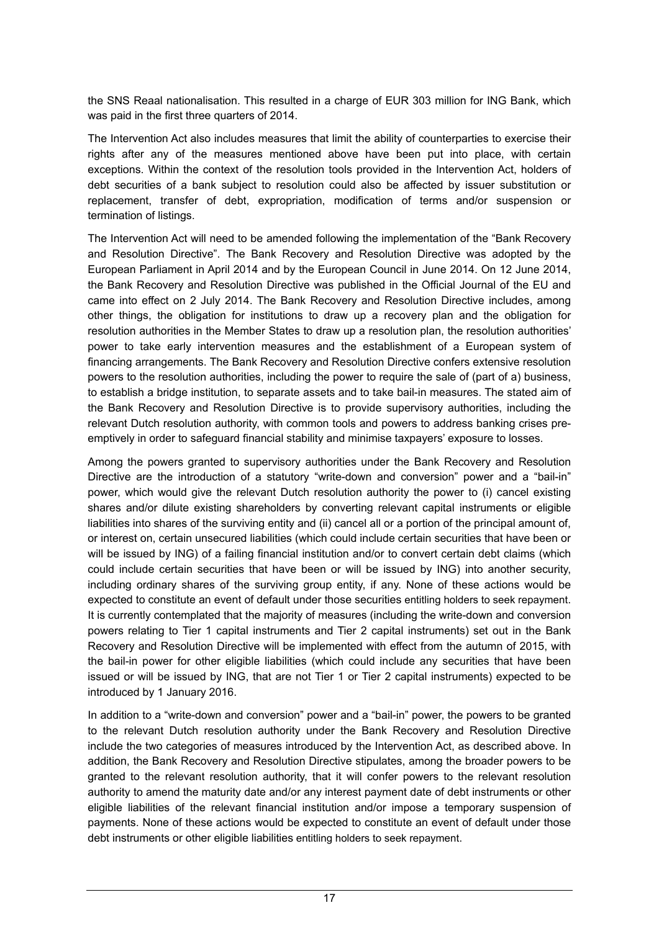the SNS Reaal nationalisation. This resulted in a charge of EUR 303 million for ING Bank, which was paid in the first three quarters of 2014.

The Intervention Act also includes measures that limit the ability of counterparties to exercise their rights after any of the measures mentioned above have been put into place, with certain exceptions. Within the context of the resolution tools provided in the Intervention Act, holders of debt securities of a bank subject to resolution could also be affected by issuer substitution or replacement, transfer of debt, expropriation, modification of terms and/or suspension or termination of listings.

The Intervention Act will need to be amended following the implementation of the "Bank Recovery and Resolution Directive". The Bank Recovery and Resolution Directive was adopted by the European Parliament in April 2014 and by the European Council in June 2014. On 12 June 2014, the Bank Recovery and Resolution Directive was published in the Official Journal of the EU and came into effect on 2 July 2014. The Bank Recovery and Resolution Directive includes, among other things, the obligation for institutions to draw up a recovery plan and the obligation for resolution authorities in the Member States to draw up a resolution plan, the resolution authorities' power to take early intervention measures and the establishment of a European system of financing arrangements. The Bank Recovery and Resolution Directive confers extensive resolution powers to the resolution authorities, including the power to require the sale of (part of a) business, to establish a bridge institution, to separate assets and to take bail-in measures. The stated aim of the Bank Recovery and Resolution Directive is to provide supervisory authorities, including the relevant Dutch resolution authority, with common tools and powers to address banking crises preemptively in order to safeguard financial stability and minimise taxpayers' exposure to losses.

Among the powers granted to supervisory authorities under the Bank Recovery and Resolution Directive are the introduction of a statutory "write-down and conversion" power and a "bail-in" power, which would give the relevant Dutch resolution authority the power to (i) cancel existing shares and/or dilute existing shareholders by converting relevant capital instruments or eligible liabilities into shares of the surviving entity and (ii) cancel all or a portion of the principal amount of, or interest on, certain unsecured liabilities (which could include certain securities that have been or will be issued by ING) of a failing financial institution and/or to convert certain debt claims (which could include certain securities that have been or will be issued by ING) into another security, including ordinary shares of the surviving group entity, if any. None of these actions would be expected to constitute an event of default under those securities entitling holders to seek repayment. It is currently contemplated that the majority of measures (including the write-down and conversion powers relating to Tier 1 capital instruments and Tier 2 capital instruments) set out in the Bank Recovery and Resolution Directive will be implemented with effect from the autumn of 2015, with the bail-in power for other eligible liabilities (which could include any securities that have been issued or will be issued by ING, that are not Tier 1 or Tier 2 capital instruments) expected to be introduced by 1 January 2016.

In addition to a "write-down and conversion" power and a "bail-in" power, the powers to be granted to the relevant Dutch resolution authority under the Bank Recovery and Resolution Directive include the two categories of measures introduced by the Intervention Act, as described above. In addition, the Bank Recovery and Resolution Directive stipulates, among the broader powers to be granted to the relevant resolution authority, that it will confer powers to the relevant resolution authority to amend the maturity date and/or any interest payment date of debt instruments or other eligible liabilities of the relevant financial institution and/or impose a temporary suspension of payments. None of these actions would be expected to constitute an event of default under those debt instruments or other eligible liabilities entitling holders to seek repayment.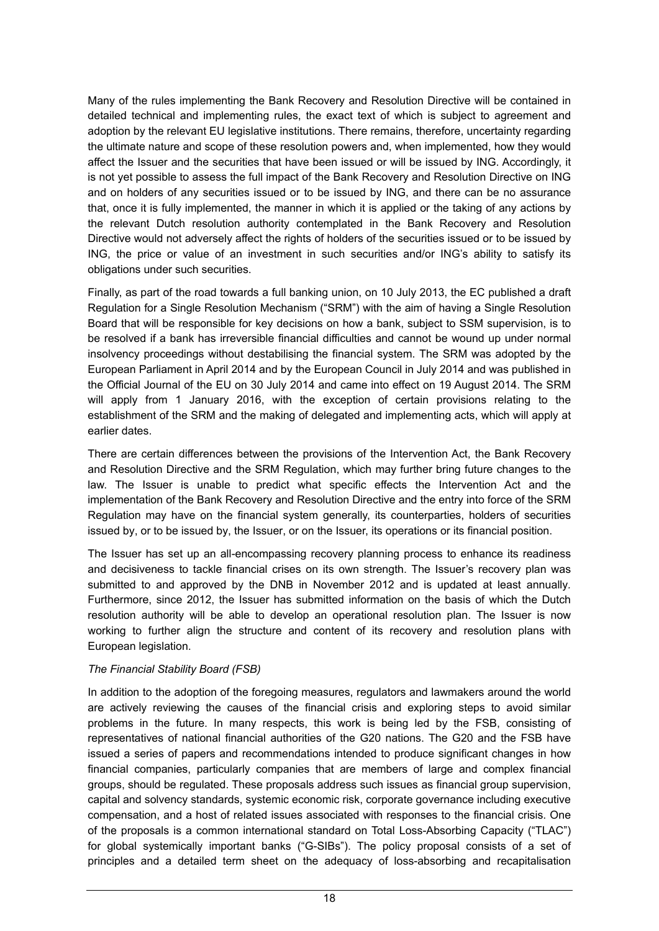Many of the rules implementing the Bank Recovery and Resolution Directive will be contained in detailed technical and implementing rules, the exact text of which is subject to agreement and adoption by the relevant EU legislative institutions. There remains, therefore, uncertainty regarding the ultimate nature and scope of these resolution powers and, when implemented, how they would affect the Issuer and the securities that have been issued or will be issued by ING. Accordingly, it is not yet possible to assess the full impact of the Bank Recovery and Resolution Directive on ING and on holders of any securities issued or to be issued by ING, and there can be no assurance that, once it is fully implemented, the manner in which it is applied or the taking of any actions by the relevant Dutch resolution authority contemplated in the Bank Recovery and Resolution Directive would not adversely affect the rights of holders of the securities issued or to be issued by ING, the price or value of an investment in such securities and/or ING's ability to satisfy its obligations under such securities.

Finally, as part of the road towards a full banking union, on 10 July 2013, the EC published a draft Regulation for a Single Resolution Mechanism ("SRM") with the aim of having a Single Resolution Board that will be responsible for key decisions on how a bank, subject to SSM supervision, is to be resolved if a bank has irreversible financial difficulties and cannot be wound up under normal insolvency proceedings without destabilising the financial system. The SRM was adopted by the European Parliament in April 2014 and by the European Council in July 2014 and was published in the Official Journal of the EU on 30 July 2014 and came into effect on 19 August 2014. The SRM will apply from 1 January 2016, with the exception of certain provisions relating to the establishment of the SRM and the making of delegated and implementing acts, which will apply at earlier dates.

There are certain differences between the provisions of the Intervention Act, the Bank Recovery and Resolution Directive and the SRM Regulation, which may further bring future changes to the law. The Issuer is unable to predict what specific effects the Intervention Act and the implementation of the Bank Recovery and Resolution Directive and the entry into force of the SRM Regulation may have on the financial system generally, its counterparties, holders of securities issued by, or to be issued by, the Issuer, or on the Issuer, its operations or its financial position.

The Issuer has set up an all-encompassing recovery planning process to enhance its readiness and decisiveness to tackle financial crises on its own strength. The Issuer's recovery plan was submitted to and approved by the DNB in November 2012 and is updated at least annually*.*  Furthermore, since 2012, the Issuer has submitted information on the basis of which the Dutch resolution authority will be able to develop an operational resolution plan. The Issuer is now working to further align the structure and content of its recovery and resolution plans with European legislation.

### *The Financial Stability Board (FSB)*

In addition to the adoption of the foregoing measures, regulators and lawmakers around the world are actively reviewing the causes of the financial crisis and exploring steps to avoid similar problems in the future. In many respects, this work is being led by the FSB, consisting of representatives of national financial authorities of the G20 nations. The G20 and the FSB have issued a series of papers and recommendations intended to produce significant changes in how financial companies, particularly companies that are members of large and complex financial groups, should be regulated. These proposals address such issues as financial group supervision, capital and solvency standards, systemic economic risk, corporate governance including executive compensation, and a host of related issues associated with responses to the financial crisis. One of the proposals is a common international standard on Total Loss-Absorbing Capacity ("TLAC") for global systemically important banks ("G-SIBs"). The policy proposal consists of a set of principles and a detailed term sheet on the adequacy of loss-absorbing and recapitalisation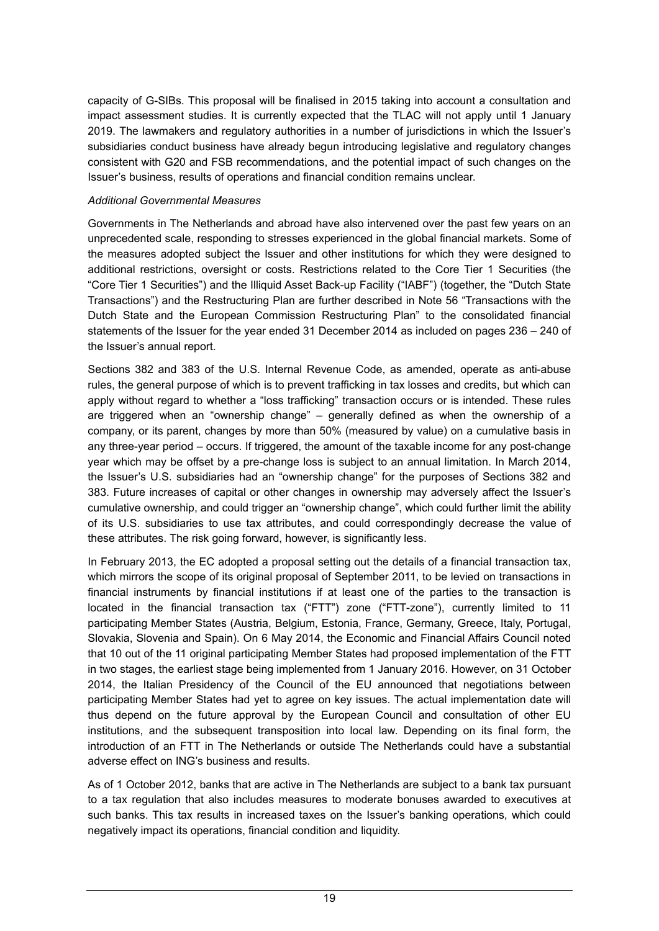capacity of G-SIBs. This proposal will be finalised in 2015 taking into account a consultation and impact assessment studies. It is currently expected that the TLAC will not apply until 1 January 2019. The lawmakers and regulatory authorities in a number of jurisdictions in which the Issuer's subsidiaries conduct business have already begun introducing legislative and regulatory changes consistent with G20 and FSB recommendations, and the potential impact of such changes on the Issuer's business, results of operations and financial condition remains unclear.

#### *Additional Governmental Measures*

Governments in The Netherlands and abroad have also intervened over the past few years on an unprecedented scale, responding to stresses experienced in the global financial markets. Some of the measures adopted subject the Issuer and other institutions for which they were designed to additional restrictions, oversight or costs. Restrictions related to the Core Tier 1 Securities (the "Core Tier 1 Securities") and the Illiquid Asset Back-up Facility ("IABF") (together, the "Dutch State Transactions") and the Restructuring Plan are further described in Note 56 "Transactions with the Dutch State and the European Commission Restructuring Plan" to the consolidated financial statements of the Issuer for the year ended 31 December 2014 as included on pages 236 – 240 of the Issuer's annual report.

Sections 382 and 383 of the U.S. Internal Revenue Code, as amended, operate as anti-abuse rules, the general purpose of which is to prevent trafficking in tax losses and credits, but which can apply without regard to whether a "loss trafficking" transaction occurs or is intended. These rules are triggered when an "ownership change" – generally defined as when the ownership of a company, or its parent, changes by more than 50% (measured by value) on a cumulative basis in any three-year period – occurs. If triggered, the amount of the taxable income for any post-change year which may be offset by a pre-change loss is subject to an annual limitation. In March 2014, the Issuer's U.S. subsidiaries had an "ownership change" for the purposes of Sections 382 and 383. Future increases of capital or other changes in ownership may adversely affect the Issuer's cumulative ownership, and could trigger an "ownership change", which could further limit the ability of its U.S. subsidiaries to use tax attributes, and could correspondingly decrease the value of these attributes. The risk going forward, however, is significantly less.

In February 2013, the EC adopted a proposal setting out the details of a financial transaction tax, which mirrors the scope of its original proposal of September 2011, to be levied on transactions in financial instruments by financial institutions if at least one of the parties to the transaction is located in the financial transaction tax ("FTT") zone ("FTT-zone"), currently limited to 11 participating Member States (Austria, Belgium, Estonia, France, Germany, Greece, Italy, Portugal, Slovakia, Slovenia and Spain). On 6 May 2014, the Economic and Financial Affairs Council noted that 10 out of the 11 original participating Member States had proposed implementation of the FTT in two stages, the earliest stage being implemented from 1 January 2016. However, on 31 October 2014, the Italian Presidency of the Council of the EU announced that negotiations between participating Member States had yet to agree on key issues. The actual implementation date will thus depend on the future approval by the European Council and consultation of other EU institutions, and the subsequent transposition into local law. Depending on its final form, the introduction of an FTT in The Netherlands or outside The Netherlands could have a substantial adverse effect on ING's business and results.

As of 1 October 2012, banks that are active in The Netherlands are subject to a bank tax pursuant to a tax regulation that also includes measures to moderate bonuses awarded to executives at such banks. This tax results in increased taxes on the Issuer's banking operations, which could negatively impact its operations, financial condition and liquidity.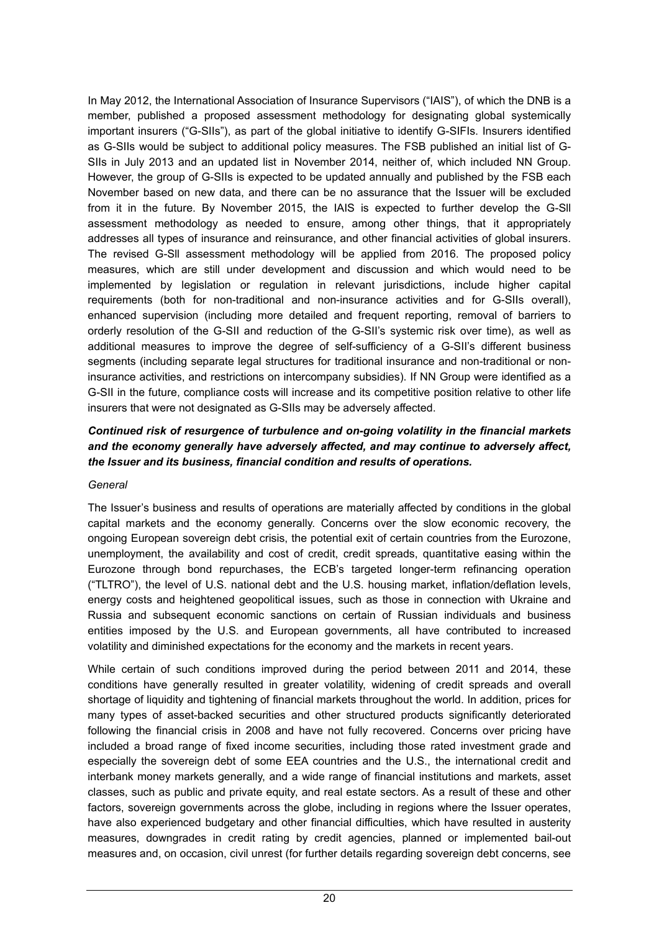In May 2012, the International Association of Insurance Supervisors ("IAIS"), of which the DNB is a member, published a proposed assessment methodology for designating global systemically important insurers ("G-SIIs"), as part of the global initiative to identify G-SIFIs. Insurers identified as G-SIIs would be subject to additional policy measures. The FSB published an initial list of G-SIIs in July 2013 and an updated list in November 2014, neither of, which included NN Group. However, the group of G-SIIs is expected to be updated annually and published by the FSB each November based on new data, and there can be no assurance that the Issuer will be excluded from it in the future. By November 2015, the IAIS is expected to further develop the G-Sll assessment methodology as needed to ensure, among other things, that it appropriately addresses all types of insurance and reinsurance, and other financial activities of global insurers. The revised G-Sll assessment methodology will be applied from 2016. The proposed policy measures, which are still under development and discussion and which would need to be implemented by legislation or regulation in relevant jurisdictions, include higher capital requirements (both for non-traditional and non-insurance activities and for G-SIIs overall), enhanced supervision (including more detailed and frequent reporting, removal of barriers to orderly resolution of the G-SII and reduction of the G-SII's systemic risk over time), as well as additional measures to improve the degree of self-sufficiency of a G-SII's different business segments (including separate legal structures for traditional insurance and non-traditional or noninsurance activities, and restrictions on intercompany subsidies). If NN Group were identified as a G-SII in the future, compliance costs will increase and its competitive position relative to other life insurers that were not designated as G-SIIs may be adversely affected.

## *Continued risk of resurgence of turbulence and on-going volatility in the financial markets and the economy generally have adversely affected, and may continue to adversely affect, the Issuer and its business, financial condition and results of operations.*

#### *General*

The Issuer's business and results of operations are materially affected by conditions in the global capital markets and the economy generally. Concerns over the slow economic recovery, the ongoing European sovereign debt crisis, the potential exit of certain countries from the Eurozone, unemployment, the availability and cost of credit, credit spreads, quantitative easing within the Eurozone through bond repurchases, the ECB's targeted longer-term refinancing operation ("TLTRO"), the level of U.S. national debt and the U.S. housing market, inflation/deflation levels, energy costs and heightened geopolitical issues, such as those in connection with Ukraine and Russia and subsequent economic sanctions on certain of Russian individuals and business entities imposed by the U.S. and European governments, all have contributed to increased volatility and diminished expectations for the economy and the markets in recent years.

While certain of such conditions improved during the period between 2011 and 2014, these conditions have generally resulted in greater volatility, widening of credit spreads and overall shortage of liquidity and tightening of financial markets throughout the world. In addition, prices for many types of asset-backed securities and other structured products significantly deteriorated following the financial crisis in 2008 and have not fully recovered. Concerns over pricing have included a broad range of fixed income securities, including those rated investment grade and especially the sovereign debt of some EEA countries and the U.S., the international credit and interbank money markets generally, and a wide range of financial institutions and markets, asset classes, such as public and private equity, and real estate sectors. As a result of these and other factors, sovereign governments across the globe, including in regions where the Issuer operates, have also experienced budgetary and other financial difficulties, which have resulted in austerity measures, downgrades in credit rating by credit agencies, planned or implemented bail-out measures and, on occasion, civil unrest (for further details regarding sovereign debt concerns, see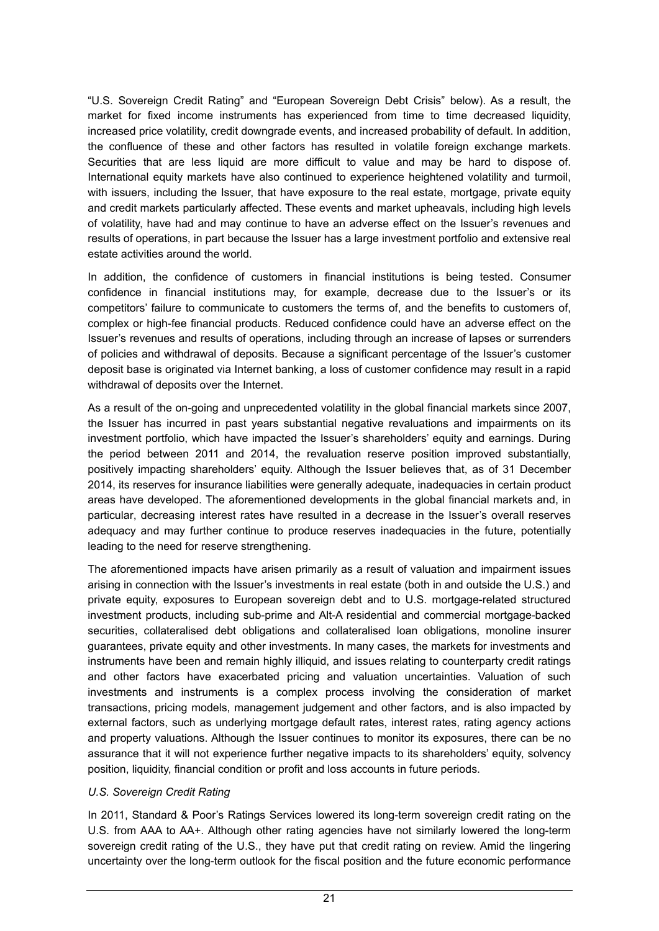"U.S. Sovereign Credit Rating" and "European Sovereign Debt Crisis" below). As a result, the market for fixed income instruments has experienced from time to time decreased liquidity, increased price volatility, credit downgrade events, and increased probability of default. In addition, the confluence of these and other factors has resulted in volatile foreign exchange markets. Securities that are less liquid are more difficult to value and may be hard to dispose of. International equity markets have also continued to experience heightened volatility and turmoil, with issuers, including the Issuer, that have exposure to the real estate, mortgage, private equity and credit markets particularly affected. These events and market upheavals, including high levels of volatility, have had and may continue to have an adverse effect on the Issuer's revenues and results of operations, in part because the Issuer has a large investment portfolio and extensive real estate activities around the world.

In addition, the confidence of customers in financial institutions is being tested. Consumer confidence in financial institutions may, for example, decrease due to the Issuer's or its competitors' failure to communicate to customers the terms of, and the benefits to customers of, complex or high-fee financial products. Reduced confidence could have an adverse effect on the Issuer's revenues and results of operations, including through an increase of lapses or surrenders of policies and withdrawal of deposits. Because a significant percentage of the Issuer's customer deposit base is originated via Internet banking, a loss of customer confidence may result in a rapid withdrawal of deposits over the Internet.

As a result of the on-going and unprecedented volatility in the global financial markets since 2007, the Issuer has incurred in past years substantial negative revaluations and impairments on its investment portfolio, which have impacted the Issuer's shareholders' equity and earnings. During the period between 2011 and 2014, the revaluation reserve position improved substantially, positively impacting shareholders' equity. Although the Issuer believes that, as of 31 December 2014, its reserves for insurance liabilities were generally adequate, inadequacies in certain product areas have developed. The aforementioned developments in the global financial markets and, in particular, decreasing interest rates have resulted in a decrease in the Issuer's overall reserves adequacy and may further continue to produce reserves inadequacies in the future, potentially leading to the need for reserve strengthening.

The aforementioned impacts have arisen primarily as a result of valuation and impairment issues arising in connection with the Issuer's investments in real estate (both in and outside the U.S.) and private equity, exposures to European sovereign debt and to U.S. mortgage-related structured investment products, including sub-prime and Alt-A residential and commercial mortgage-backed securities, collateralised debt obligations and collateralised loan obligations, monoline insurer guarantees, private equity and other investments. In many cases, the markets for investments and instruments have been and remain highly illiquid, and issues relating to counterparty credit ratings and other factors have exacerbated pricing and valuation uncertainties. Valuation of such investments and instruments is a complex process involving the consideration of market transactions, pricing models, management judgement and other factors, and is also impacted by external factors, such as underlying mortgage default rates, interest rates, rating agency actions and property valuations. Although the Issuer continues to monitor its exposures, there can be no assurance that it will not experience further negative impacts to its shareholders' equity, solvency position, liquidity, financial condition or profit and loss accounts in future periods.

### *U.S. Sovereign Credit Rating*

In 2011, Standard & Poor's Ratings Services lowered its long-term sovereign credit rating on the U.S. from AAA to AA+. Although other rating agencies have not similarly lowered the long-term sovereign credit rating of the U.S., they have put that credit rating on review. Amid the lingering uncertainty over the long-term outlook for the fiscal position and the future economic performance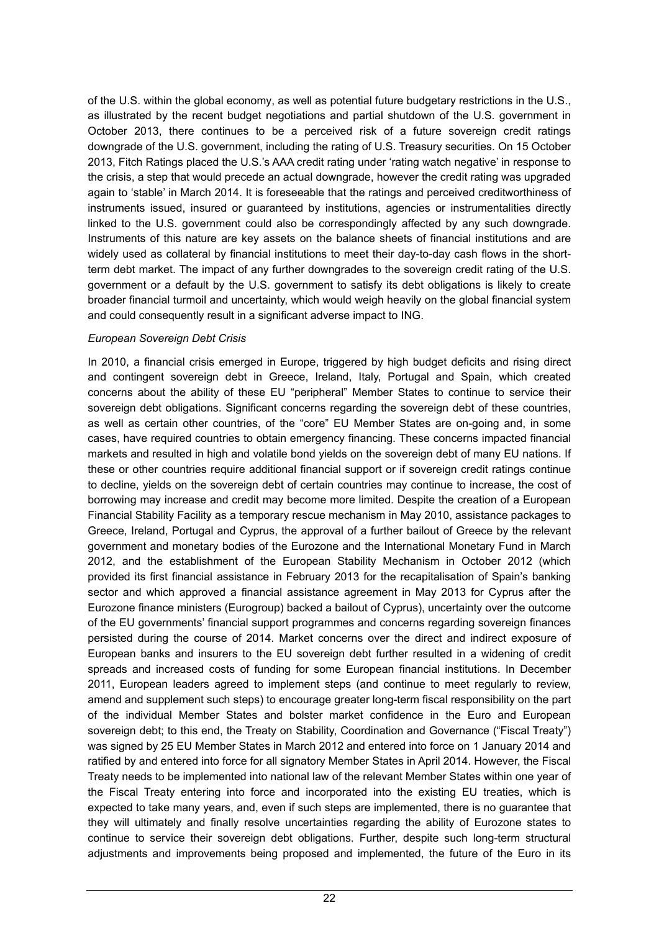of the U.S. within the global economy, as well as potential future budgetary restrictions in the U.S., as illustrated by the recent budget negotiations and partial shutdown of the U.S. government in October 2013, there continues to be a perceived risk of a future sovereign credit ratings downgrade of the U.S. government, including the rating of U.S. Treasury securities. On 15 October 2013, Fitch Ratings placed the U.S.'s AAA credit rating under 'rating watch negative' in response to the crisis, a step that would precede an actual downgrade, however the credit rating was upgraded again to 'stable' in March 2014. It is foreseeable that the ratings and perceived creditworthiness of instruments issued, insured or guaranteed by institutions, agencies or instrumentalities directly linked to the U.S. government could also be correspondingly affected by any such downgrade. Instruments of this nature are key assets on the balance sheets of financial institutions and are widely used as collateral by financial institutions to meet their day-to-day cash flows in the shortterm debt market. The impact of any further downgrades to the sovereign credit rating of the U.S. government or a default by the U.S. government to satisfy its debt obligations is likely to create broader financial turmoil and uncertainty, which would weigh heavily on the global financial system and could consequently result in a significant adverse impact to ING.

### *European Sovereign Debt Crisis*

In 2010, a financial crisis emerged in Europe, triggered by high budget deficits and rising direct and contingent sovereign debt in Greece, Ireland, Italy, Portugal and Spain, which created concerns about the ability of these EU "peripheral" Member States to continue to service their sovereign debt obligations. Significant concerns regarding the sovereign debt of these countries, as well as certain other countries, of the "core" EU Member States are on-going and, in some cases, have required countries to obtain emergency financing. These concerns impacted financial markets and resulted in high and volatile bond yields on the sovereign debt of many EU nations. If these or other countries require additional financial support or if sovereign credit ratings continue to decline, yields on the sovereign debt of certain countries may continue to increase, the cost of borrowing may increase and credit may become more limited. Despite the creation of a European Financial Stability Facility as a temporary rescue mechanism in May 2010, assistance packages to Greece, Ireland, Portugal and Cyprus, the approval of a further bailout of Greece by the relevant government and monetary bodies of the Eurozone and the International Monetary Fund in March 2012, and the establishment of the European Stability Mechanism in October 2012 (which provided its first financial assistance in February 2013 for the recapitalisation of Spain's banking sector and which approved a financial assistance agreement in May 2013 for Cyprus after the Eurozone finance ministers (Eurogroup) backed a bailout of Cyprus), uncertainty over the outcome of the EU governments' financial support programmes and concerns regarding sovereign finances persisted during the course of 2014. Market concerns over the direct and indirect exposure of European banks and insurers to the EU sovereign debt further resulted in a widening of credit spreads and increased costs of funding for some European financial institutions. In December 2011, European leaders agreed to implement steps (and continue to meet regularly to review, amend and supplement such steps) to encourage greater long-term fiscal responsibility on the part of the individual Member States and bolster market confidence in the Euro and European sovereign debt; to this end, the Treaty on Stability, Coordination and Governance ("Fiscal Treaty") was signed by 25 EU Member States in March 2012 and entered into force on 1 January 2014 and ratified by and entered into force for all signatory Member States in April 2014. However, the Fiscal Treaty needs to be implemented into national law of the relevant Member States within one year of the Fiscal Treaty entering into force and incorporated into the existing EU treaties, which is expected to take many years, and, even if such steps are implemented, there is no guarantee that they will ultimately and finally resolve uncertainties regarding the ability of Eurozone states to continue to service their sovereign debt obligations. Further, despite such long-term structural adjustments and improvements being proposed and implemented, the future of the Euro in its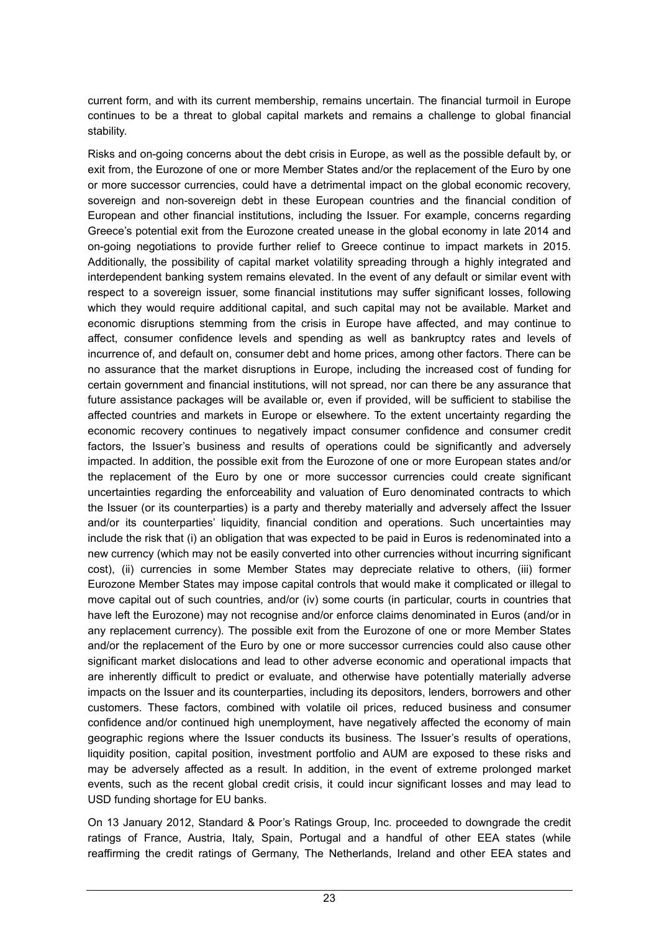current form, and with its current membership, remains uncertain. The financial turmoil in Europe continues to be a threat to global capital markets and remains a challenge to global financial stability.

Risks and on-going concerns about the debt crisis in Europe, as well as the possible default by, or exit from, the Eurozone of one or more Member States and/or the replacement of the Euro by one or more successor currencies, could have a detrimental impact on the global economic recovery, sovereign and non-sovereign debt in these European countries and the financial condition of European and other financial institutions, including the Issuer. For example, concerns regarding Greece's potential exit from the Eurozone created unease in the global economy in late 2014 and on-going negotiations to provide further relief to Greece continue to impact markets in 2015. Additionally, the possibility of capital market volatility spreading through a highly integrated and interdependent banking system remains elevated. In the event of any default or similar event with respect to a sovereign issuer, some financial institutions may suffer significant losses, following which they would require additional capital, and such capital may not be available. Market and economic disruptions stemming from the crisis in Europe have affected, and may continue to affect, consumer confidence levels and spending as well as bankruptcy rates and levels of incurrence of, and default on, consumer debt and home prices, among other factors. There can be no assurance that the market disruptions in Europe, including the increased cost of funding for certain government and financial institutions, will not spread, nor can there be any assurance that future assistance packages will be available or, even if provided, will be sufficient to stabilise the affected countries and markets in Europe or elsewhere. To the extent uncertainty regarding the economic recovery continues to negatively impact consumer confidence and consumer credit factors, the Issuer's business and results of operations could be significantly and adversely impacted. In addition, the possible exit from the Eurozone of one or more European states and/or the replacement of the Euro by one or more successor currencies could create significant uncertainties regarding the enforceability and valuation of Euro denominated contracts to which the Issuer (or its counterparties) is a party and thereby materially and adversely affect the Issuer and/or its counterparties' liquidity, financial condition and operations. Such uncertainties may include the risk that (i) an obligation that was expected to be paid in Euros is redenominated into a new currency (which may not be easily converted into other currencies without incurring significant cost), (ii) currencies in some Member States may depreciate relative to others, (iii) former Eurozone Member States may impose capital controls that would make it complicated or illegal to move capital out of such countries, and/or (iv) some courts (in particular, courts in countries that have left the Eurozone) may not recognise and/or enforce claims denominated in Euros (and/or in any replacement currency). The possible exit from the Eurozone of one or more Member States and/or the replacement of the Euro by one or more successor currencies could also cause other significant market dislocations and lead to other adverse economic and operational impacts that are inherently difficult to predict or evaluate, and otherwise have potentially materially adverse impacts on the Issuer and its counterparties, including its depositors, lenders, borrowers and other customers. These factors, combined with volatile oil prices, reduced business and consumer confidence and/or continued high unemployment, have negatively affected the economy of main geographic regions where the Issuer conducts its business. The Issuer's results of operations, liquidity position, capital position, investment portfolio and AUM are exposed to these risks and may be adversely affected as a result. In addition, in the event of extreme prolonged market events, such as the recent global credit crisis, it could incur significant losses and may lead to USD funding shortage for EU banks.

On 13 January 2012, Standard & Poor's Ratings Group, Inc. proceeded to downgrade the credit ratings of France, Austria, Italy, Spain, Portugal and a handful of other EEA states (while reaffirming the credit ratings of Germany, The Netherlands, Ireland and other EEA states and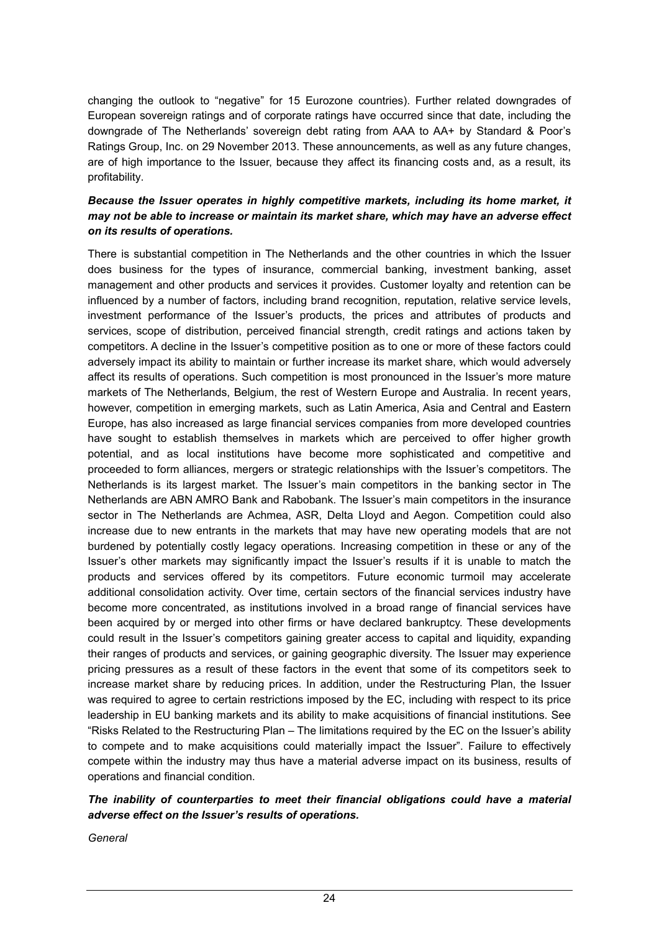changing the outlook to "negative" for 15 Eurozone countries). Further related downgrades of European sovereign ratings and of corporate ratings have occurred since that date, including the downgrade of The Netherlands' sovereign debt rating from AAA to AA+ by Standard & Poor's Ratings Group, Inc. on 29 November 2013. These announcements, as well as any future changes, are of high importance to the Issuer, because they affect its financing costs and, as a result, its profitability.

### *Because the Issuer operates in highly competitive markets, including its home market, it may not be able to increase or maintain its market share, which may have an adverse effect on its results of operations.*

There is substantial competition in The Netherlands and the other countries in which the Issuer does business for the types of insurance, commercial banking, investment banking, asset management and other products and services it provides. Customer loyalty and retention can be influenced by a number of factors, including brand recognition, reputation, relative service levels, investment performance of the Issuer's products, the prices and attributes of products and services, scope of distribution, perceived financial strength, credit ratings and actions taken by competitors. A decline in the Issuer's competitive position as to one or more of these factors could adversely impact its ability to maintain or further increase its market share, which would adversely affect its results of operations. Such competition is most pronounced in the Issuer's more mature markets of The Netherlands, Belgium, the rest of Western Europe and Australia. In recent years, however, competition in emerging markets, such as Latin America, Asia and Central and Eastern Europe, has also increased as large financial services companies from more developed countries have sought to establish themselves in markets which are perceived to offer higher growth potential, and as local institutions have become more sophisticated and competitive and proceeded to form alliances, mergers or strategic relationships with the Issuer's competitors. The Netherlands is its largest market. The Issuer's main competitors in the banking sector in The Netherlands are ABN AMRO Bank and Rabobank. The Issuer's main competitors in the insurance sector in The Netherlands are Achmea, ASR, Delta Lloyd and Aegon. Competition could also increase due to new entrants in the markets that may have new operating models that are not burdened by potentially costly legacy operations. Increasing competition in these or any of the Issuer's other markets may significantly impact the Issuer's results if it is unable to match the products and services offered by its competitors. Future economic turmoil may accelerate additional consolidation activity. Over time, certain sectors of the financial services industry have become more concentrated, as institutions involved in a broad range of financial services have been acquired by or merged into other firms or have declared bankruptcy. These developments could result in the Issuer's competitors gaining greater access to capital and liquidity, expanding their ranges of products and services, or gaining geographic diversity. The Issuer may experience pricing pressures as a result of these factors in the event that some of its competitors seek to increase market share by reducing prices. In addition, under the Restructuring Plan, the Issuer was required to agree to certain restrictions imposed by the EC, including with respect to its price leadership in EU banking markets and its ability to make acquisitions of financial institutions. See "Risks Related to the Restructuring Plan – The limitations required by the EC on the Issuer's ability to compete and to make acquisitions could materially impact the Issuer". Failure to effectively compete within the industry may thus have a material adverse impact on its business, results of operations and financial condition.

### *The inability of counterparties to meet their financial obligations could have a material adverse effect on the Issuer's results of operations.*

*General*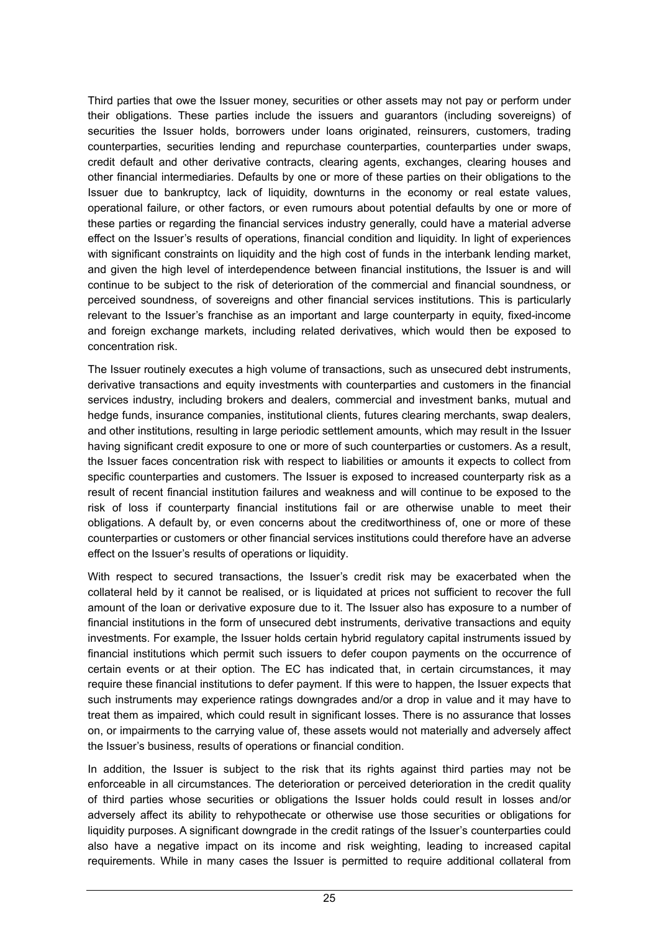Third parties that owe the Issuer money, securities or other assets may not pay or perform under their obligations. These parties include the issuers and guarantors (including sovereigns) of securities the Issuer holds, borrowers under loans originated, reinsurers, customers, trading counterparties, securities lending and repurchase counterparties, counterparties under swaps, credit default and other derivative contracts, clearing agents, exchanges, clearing houses and other financial intermediaries. Defaults by one or more of these parties on their obligations to the Issuer due to bankruptcy, lack of liquidity, downturns in the economy or real estate values, operational failure, or other factors, or even rumours about potential defaults by one or more of these parties or regarding the financial services industry generally, could have a material adverse effect on the Issuer's results of operations, financial condition and liquidity. In light of experiences with significant constraints on liquidity and the high cost of funds in the interbank lending market, and given the high level of interdependence between financial institutions, the Issuer is and will continue to be subject to the risk of deterioration of the commercial and financial soundness, or perceived soundness, of sovereigns and other financial services institutions. This is particularly relevant to the Issuer's franchise as an important and large counterparty in equity, fixed-income and foreign exchange markets, including related derivatives, which would then be exposed to concentration risk.

The Issuer routinely executes a high volume of transactions, such as unsecured debt instruments, derivative transactions and equity investments with counterparties and customers in the financial services industry, including brokers and dealers, commercial and investment banks, mutual and hedge funds, insurance companies, institutional clients, futures clearing merchants, swap dealers, and other institutions, resulting in large periodic settlement amounts, which may result in the Issuer having significant credit exposure to one or more of such counterparties or customers. As a result, the Issuer faces concentration risk with respect to liabilities or amounts it expects to collect from specific counterparties and customers. The Issuer is exposed to increased counterparty risk as a result of recent financial institution failures and weakness and will continue to be exposed to the risk of loss if counterparty financial institutions fail or are otherwise unable to meet their obligations. A default by, or even concerns about the creditworthiness of, one or more of these counterparties or customers or other financial services institutions could therefore have an adverse effect on the Issuer's results of operations or liquidity.

With respect to secured transactions, the Issuer's credit risk may be exacerbated when the collateral held by it cannot be realised, or is liquidated at prices not sufficient to recover the full amount of the loan or derivative exposure due to it. The Issuer also has exposure to a number of financial institutions in the form of unsecured debt instruments, derivative transactions and equity investments. For example, the Issuer holds certain hybrid regulatory capital instruments issued by financial institutions which permit such issuers to defer coupon payments on the occurrence of certain events or at their option. The EC has indicated that, in certain circumstances, it may require these financial institutions to defer payment. If this were to happen, the Issuer expects that such instruments may experience ratings downgrades and/or a drop in value and it may have to treat them as impaired, which could result in significant losses. There is no assurance that losses on, or impairments to the carrying value of, these assets would not materially and adversely affect the Issuer's business, results of operations or financial condition.

In addition, the Issuer is subject to the risk that its rights against third parties may not be enforceable in all circumstances. The deterioration or perceived deterioration in the credit quality of third parties whose securities or obligations the Issuer holds could result in losses and/or adversely affect its ability to rehypothecate or otherwise use those securities or obligations for liquidity purposes. A significant downgrade in the credit ratings of the Issuer's counterparties could also have a negative impact on its income and risk weighting, leading to increased capital requirements. While in many cases the Issuer is permitted to require additional collateral from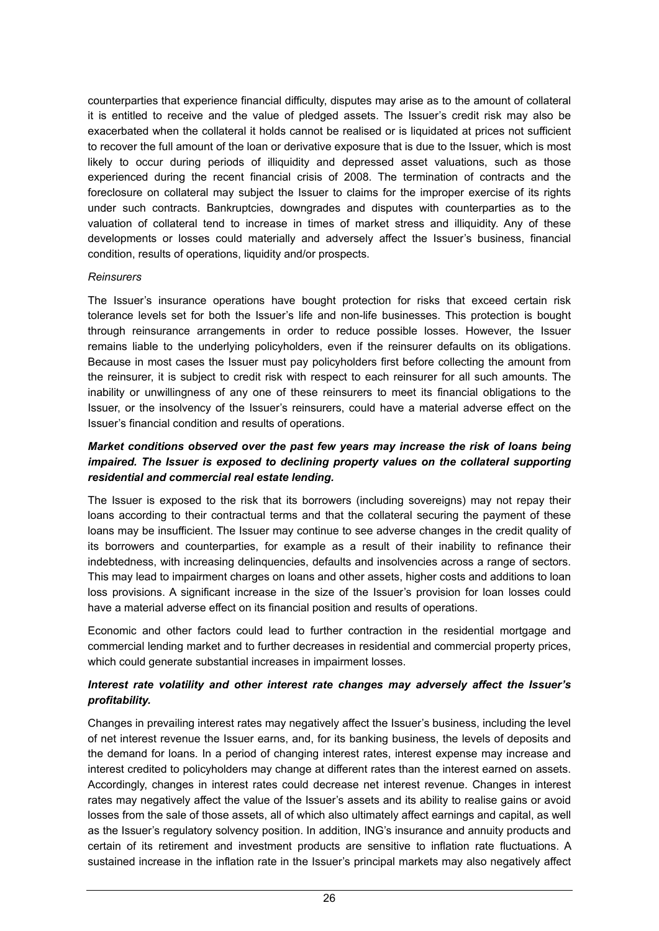counterparties that experience financial difficulty, disputes may arise as to the amount of collateral it is entitled to receive and the value of pledged assets. The Issuer's credit risk may also be exacerbated when the collateral it holds cannot be realised or is liquidated at prices not sufficient to recover the full amount of the loan or derivative exposure that is due to the Issuer, which is most likely to occur during periods of illiquidity and depressed asset valuations, such as those experienced during the recent financial crisis of 2008. The termination of contracts and the foreclosure on collateral may subject the Issuer to claims for the improper exercise of its rights under such contracts. Bankruptcies, downgrades and disputes with counterparties as to the valuation of collateral tend to increase in times of market stress and illiquidity. Any of these developments or losses could materially and adversely affect the Issuer's business, financial condition, results of operations, liquidity and/or prospects.

#### *Reinsurers*

The Issuer's insurance operations have bought protection for risks that exceed certain risk tolerance levels set for both the Issuer's life and non-life businesses. This protection is bought through reinsurance arrangements in order to reduce possible losses. However, the Issuer remains liable to the underlying policyholders, even if the reinsurer defaults on its obligations. Because in most cases the Issuer must pay policyholders first before collecting the amount from the reinsurer, it is subject to credit risk with respect to each reinsurer for all such amounts. The inability or unwillingness of any one of these reinsurers to meet its financial obligations to the Issuer, or the insolvency of the Issuer's reinsurers, could have a material adverse effect on the Issuer's financial condition and results of operations.

### *Market conditions observed over the past few years may increase the risk of loans being impaired. The Issuer is exposed to declining property values on the collateral supporting residential and commercial real estate lending.*

The Issuer is exposed to the risk that its borrowers (including sovereigns) may not repay their loans according to their contractual terms and that the collateral securing the payment of these loans may be insufficient. The Issuer may continue to see adverse changes in the credit quality of its borrowers and counterparties, for example as a result of their inability to refinance their indebtedness, with increasing delinquencies, defaults and insolvencies across a range of sectors. This may lead to impairment charges on loans and other assets, higher costs and additions to loan loss provisions. A significant increase in the size of the Issuer's provision for loan losses could have a material adverse effect on its financial position and results of operations.

Economic and other factors could lead to further contraction in the residential mortgage and commercial lending market and to further decreases in residential and commercial property prices, which could generate substantial increases in impairment losses.

### *Interest rate volatility and other interest rate changes may adversely affect the Issuer's profitability.*

Changes in prevailing interest rates may negatively affect the Issuer's business, including the level of net interest revenue the Issuer earns, and, for its banking business, the levels of deposits and the demand for loans. In a period of changing interest rates, interest expense may increase and interest credited to policyholders may change at different rates than the interest earned on assets. Accordingly, changes in interest rates could decrease net interest revenue. Changes in interest rates may negatively affect the value of the Issuer's assets and its ability to realise gains or avoid losses from the sale of those assets, all of which also ultimately affect earnings and capital, as well as the Issuer's regulatory solvency position. In addition, ING's insurance and annuity products and certain of its retirement and investment products are sensitive to inflation rate fluctuations. A sustained increase in the inflation rate in the Issuer's principal markets may also negatively affect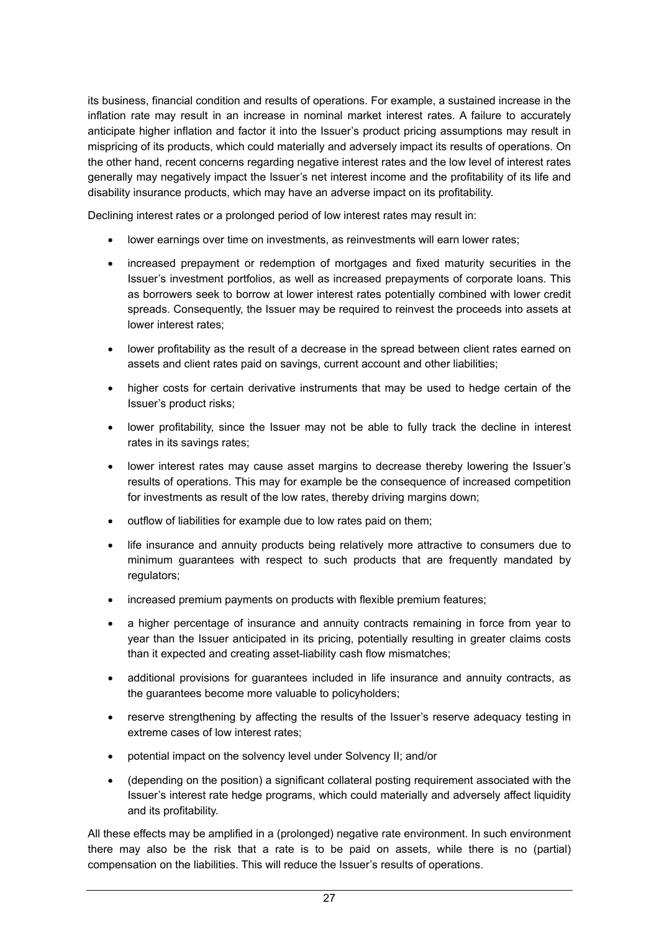its business, financial condition and results of operations. For example, a sustained increase in the inflation rate may result in an increase in nominal market interest rates. A failure to accurately anticipate higher inflation and factor it into the Issuer's product pricing assumptions may result in mispricing of its products, which could materially and adversely impact its results of operations. On the other hand, recent concerns regarding negative interest rates and the low level of interest rates generally may negatively impact the Issuer's net interest income and the profitability of its life and disability insurance products, which may have an adverse impact on its profitability.

Declining interest rates or a prolonged period of low interest rates may result in:

- lower earnings over time on investments, as reinvestments will earn lower rates;
- increased prepayment or redemption of mortgages and fixed maturity securities in the Issuer's investment portfolios, as well as increased prepayments of corporate loans. This as borrowers seek to borrow at lower interest rates potentially combined with lower credit spreads. Consequently, the Issuer may be required to reinvest the proceeds into assets at lower interest rates;
- lower profitability as the result of a decrease in the spread between client rates earned on assets and client rates paid on savings, current account and other liabilities;
- higher costs for certain derivative instruments that may be used to hedge certain of the Issuer's product risks;
- lower profitability, since the Issuer may not be able to fully track the decline in interest rates in its savings rates;
- lower interest rates may cause asset margins to decrease thereby lowering the Issuer's results of operations. This may for example be the consequence of increased competition for investments as result of the low rates, thereby driving margins down;
- outflow of liabilities for example due to low rates paid on them;
- life insurance and annuity products being relatively more attractive to consumers due to minimum guarantees with respect to such products that are frequently mandated by regulators;
- increased premium payments on products with flexible premium features;
- a higher percentage of insurance and annuity contracts remaining in force from year to year than the Issuer anticipated in its pricing, potentially resulting in greater claims costs than it expected and creating asset-liability cash flow mismatches;
- additional provisions for guarantees included in life insurance and annuity contracts, as the guarantees become more valuable to policyholders;
- reserve strengthening by affecting the results of the Issuer's reserve adequacy testing in extreme cases of low interest rates;
- potential impact on the solvency level under Solvency II; and/or
- (depending on the position) a significant collateral posting requirement associated with the Issuer's interest rate hedge programs, which could materially and adversely affect liquidity and its profitability.

All these effects may be amplified in a (prolonged) negative rate environment. In such environment there may also be the risk that a rate is to be paid on assets, while there is no (partial) compensation on the liabilities. This will reduce the Issuer's results of operations.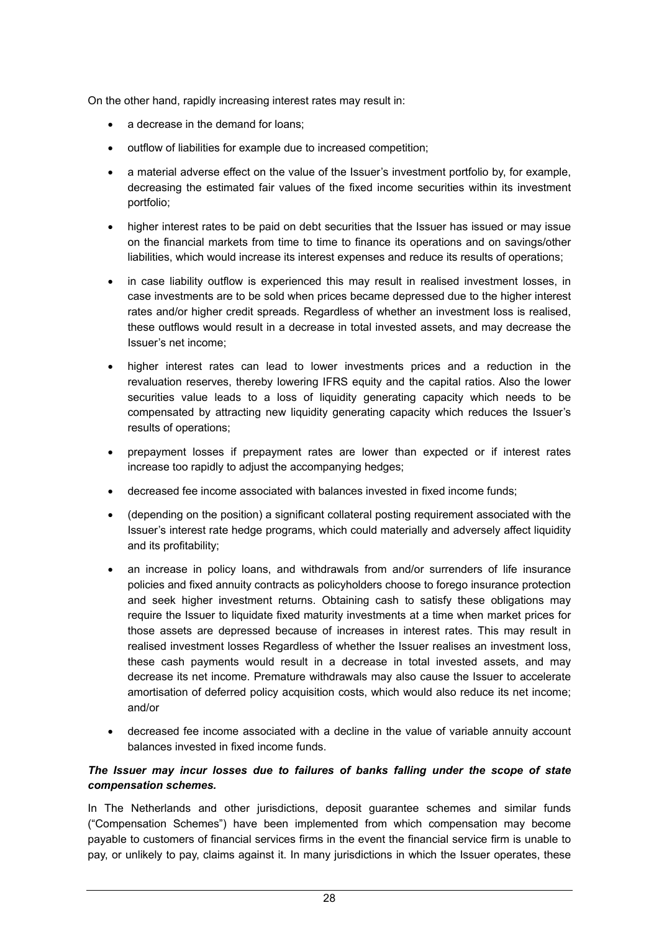On the other hand, rapidly increasing interest rates may result in:

- a decrease in the demand for loans;
- outflow of liabilities for example due to increased competition;
- a material adverse effect on the value of the Issuer's investment portfolio by, for example, decreasing the estimated fair values of the fixed income securities within its investment portfolio;
- higher interest rates to be paid on debt securities that the Issuer has issued or may issue on the financial markets from time to time to finance its operations and on savings/other liabilities, which would increase its interest expenses and reduce its results of operations;
- in case liability outflow is experienced this may result in realised investment losses, in case investments are to be sold when prices became depressed due to the higher interest rates and/or higher credit spreads. Regardless of whether an investment loss is realised, these outflows would result in a decrease in total invested assets, and may decrease the Issuer's net income;
- higher interest rates can lead to lower investments prices and a reduction in the revaluation reserves, thereby lowering IFRS equity and the capital ratios. Also the lower securities value leads to a loss of liquidity generating capacity which needs to be compensated by attracting new liquidity generating capacity which reduces the Issuer's results of operations;
- prepayment losses if prepayment rates are lower than expected or if interest rates increase too rapidly to adjust the accompanying hedges;
- decreased fee income associated with balances invested in fixed income funds;
- (depending on the position) a significant collateral posting requirement associated with the Issuer's interest rate hedge programs, which could materially and adversely affect liquidity and its profitability;
- an increase in policy loans, and withdrawals from and/or surrenders of life insurance policies and fixed annuity contracts as policyholders choose to forego insurance protection and seek higher investment returns. Obtaining cash to satisfy these obligations may require the Issuer to liquidate fixed maturity investments at a time when market prices for those assets are depressed because of increases in interest rates. This may result in realised investment losses Regardless of whether the Issuer realises an investment loss, these cash payments would result in a decrease in total invested assets, and may decrease its net income. Premature withdrawals may also cause the Issuer to accelerate amortisation of deferred policy acquisition costs, which would also reduce its net income; and/or
- decreased fee income associated with a decline in the value of variable annuity account balances invested in fixed income funds.

### *The Issuer may incur losses due to failures of banks falling under the scope of state compensation schemes.*

In The Netherlands and other jurisdictions, deposit guarantee schemes and similar funds ("Compensation Schemes") have been implemented from which compensation may become payable to customers of financial services firms in the event the financial service firm is unable to pay, or unlikely to pay, claims against it. In many jurisdictions in which the Issuer operates, these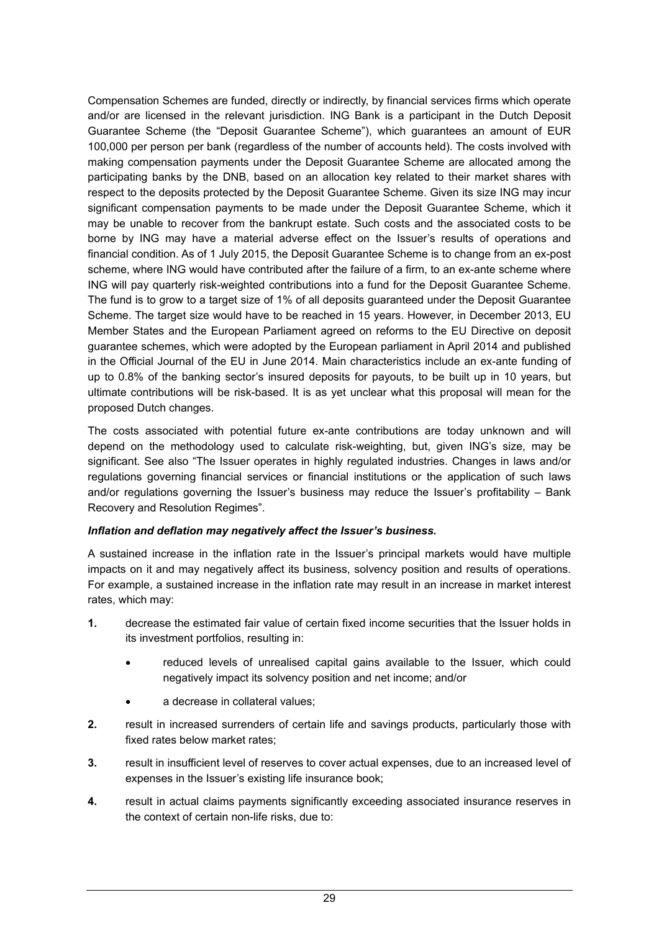Compensation Schemes are funded, directly or indirectly, by financial services firms which operate and/or are licensed in the relevant jurisdiction. ING Bank is a participant in the Dutch Deposit Guarantee Scheme (the "Deposit Guarantee Scheme"), which guarantees an amount of EUR 100,000 per person per bank (regardless of the number of accounts held). The costs involved with making compensation payments under the Deposit Guarantee Scheme are allocated among the participating banks by the DNB, based on an allocation key related to their market shares with respect to the deposits protected by the Deposit Guarantee Scheme. Given its size ING may incur significant compensation payments to be made under the Deposit Guarantee Scheme, which it may be unable to recover from the bankrupt estate. Such costs and the associated costs to be borne by ING may have a material adverse effect on the Issuer's results of operations and financial condition. As of 1 July 2015, the Deposit Guarantee Scheme is to change from an ex-post scheme, where ING would have contributed after the failure of a firm, to an ex-ante scheme where ING will pay quarterly risk-weighted contributions into a fund for the Deposit Guarantee Scheme. The fund is to grow to a target size of 1% of all deposits guaranteed under the Deposit Guarantee Scheme. The target size would have to be reached in 15 years. However, in December 2013, EU Member States and the European Parliament agreed on reforms to the EU Directive on deposit guarantee schemes, which were adopted by the European parliament in April 2014 and published in the Official Journal of the EU in June 2014. Main characteristics include an ex-ante funding of up to 0.8% of the banking sector's insured deposits for payouts, to be built up in 10 years, but ultimate contributions will be risk-based. It is as yet unclear what this proposal will mean for the proposed Dutch changes.

The costs associated with potential future ex-ante contributions are today unknown and will depend on the methodology used to calculate risk-weighting, but, given ING's size, may be significant. See also "The Issuer operates in highly regulated industries. Changes in laws and/or regulations governing financial services or financial institutions or the application of such laws and/or regulations governing the Issuer's business may reduce the Issuer's profitability – Bank Recovery and Resolution Regimes".

### *Inflation and deflation may negatively affect the Issuer's business.*

A sustained increase in the inflation rate in the Issuer's principal markets would have multiple impacts on it and may negatively affect its business, solvency position and results of operations. For example, a sustained increase in the inflation rate may result in an increase in market interest rates, which may:

- **1.** decrease the estimated fair value of certain fixed income securities that the Issuer holds in its investment portfolios, resulting in:
	- reduced levels of unrealised capital gains available to the Issuer, which could negatively impact its solvency position and net income; and/or
	- a decrease in collateral values;
- **2.** result in increased surrenders of certain life and savings products, particularly those with fixed rates below market rates;
- **3.** result in insufficient level of reserves to cover actual expenses, due to an increased level of expenses in the Issuer's existing life insurance book;
- **4.** result in actual claims payments significantly exceeding associated insurance reserves in the context of certain non-life risks, due to: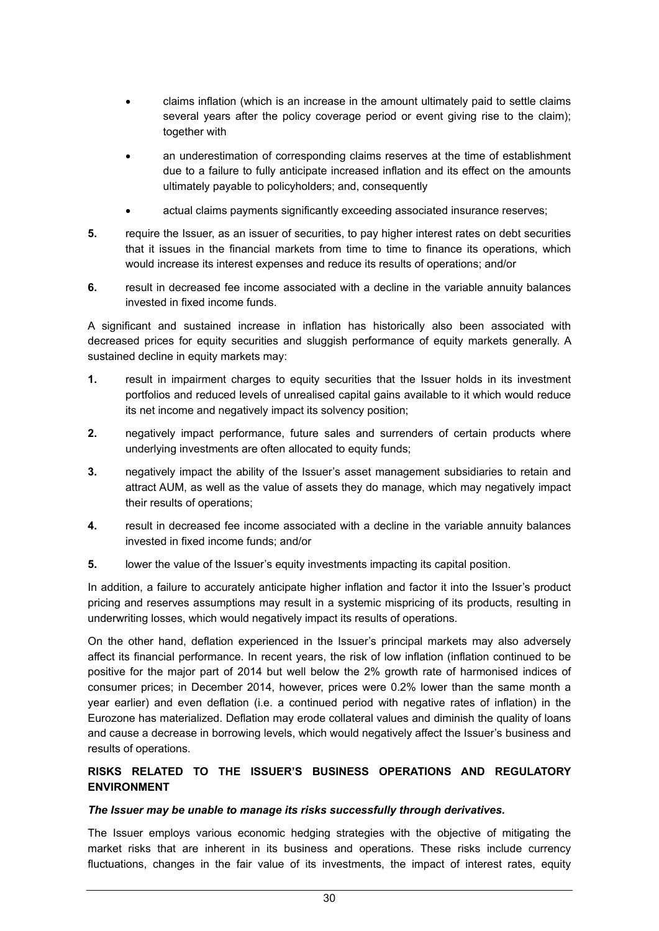- claims inflation (which is an increase in the amount ultimately paid to settle claims several years after the policy coverage period or event giving rise to the claim); together with
- an underestimation of corresponding claims reserves at the time of establishment due to a failure to fully anticipate increased inflation and its effect on the amounts ultimately payable to policyholders; and, consequently
- actual claims payments significantly exceeding associated insurance reserves;
- **5.** require the Issuer, as an issuer of securities, to pay higher interest rates on debt securities that it issues in the financial markets from time to time to finance its operations, which would increase its interest expenses and reduce its results of operations; and/or
- **6.** result in decreased fee income associated with a decline in the variable annuity balances invested in fixed income funds.

A significant and sustained increase in inflation has historically also been associated with decreased prices for equity securities and sluggish performance of equity markets generally. A sustained decline in equity markets may:

- **1.** result in impairment charges to equity securities that the Issuer holds in its investment portfolios and reduced levels of unrealised capital gains available to it which would reduce its net income and negatively impact its solvency position;
- **2.** negatively impact performance, future sales and surrenders of certain products where underlying investments are often allocated to equity funds;
- **3.** negatively impact the ability of the Issuer's asset management subsidiaries to retain and attract AUM, as well as the value of assets they do manage, which may negatively impact their results of operations;
- **4.** result in decreased fee income associated with a decline in the variable annuity balances invested in fixed income funds; and/or
- **5.** lower the value of the Issuer's equity investments impacting its capital position.

In addition, a failure to accurately anticipate higher inflation and factor it into the Issuer's product pricing and reserves assumptions may result in a systemic mispricing of its products, resulting in underwriting losses, which would negatively impact its results of operations.

On the other hand, deflation experienced in the Issuer's principal markets may also adversely affect its financial performance. In recent years, the risk of low inflation (inflation continued to be positive for the major part of 2014 but well below the 2% growth rate of harmonised indices of consumer prices; in December 2014, however, prices were 0.2% lower than the same month a year earlier) and even deflation (i.e. a continued period with negative rates of inflation) in the Eurozone has materialized. Deflation may erode collateral values and diminish the quality of loans and cause a decrease in borrowing levels, which would negatively affect the Issuer's business and results of operations.

### **RISKS RELATED TO THE ISSUER'S BUSINESS OPERATIONS AND REGULATORY ENVIRONMENT**

#### *The Issuer may be unable to manage its risks successfully through derivatives.*

The Issuer employs various economic hedging strategies with the objective of mitigating the market risks that are inherent in its business and operations. These risks include currency fluctuations, changes in the fair value of its investments, the impact of interest rates, equity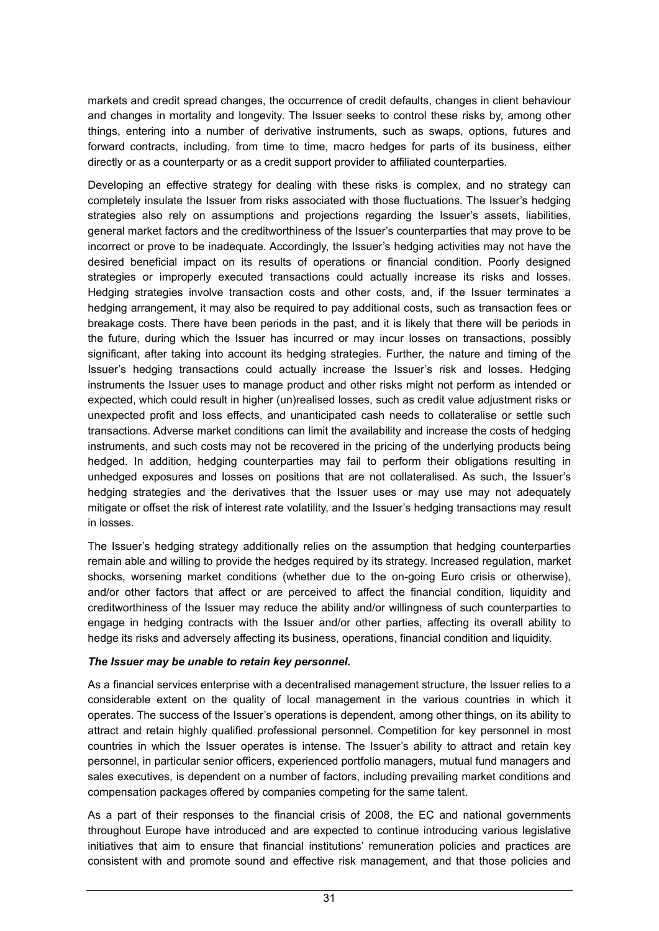markets and credit spread changes, the occurrence of credit defaults, changes in client behaviour and changes in mortality and longevity. The Issuer seeks to control these risks by, among other things, entering into a number of derivative instruments, such as swaps, options, futures and forward contracts, including, from time to time, macro hedges for parts of its business, either directly or as a counterparty or as a credit support provider to affiliated counterparties.

Developing an effective strategy for dealing with these risks is complex, and no strategy can completely insulate the Issuer from risks associated with those fluctuations. The Issuer's hedging strategies also rely on assumptions and projections regarding the Issuer's assets, liabilities, general market factors and the creditworthiness of the Issuer's counterparties that may prove to be incorrect or prove to be inadequate. Accordingly, the Issuer's hedging activities may not have the desired beneficial impact on its results of operations or financial condition. Poorly designed strategies or improperly executed transactions could actually increase its risks and losses. Hedging strategies involve transaction costs and other costs, and, if the Issuer terminates a hedging arrangement, it may also be required to pay additional costs, such as transaction fees or breakage costs. There have been periods in the past, and it is likely that there will be periods in the future, during which the Issuer has incurred or may incur losses on transactions, possibly significant, after taking into account its hedging strategies. Further, the nature and timing of the Issuer's hedging transactions could actually increase the Issuer's risk and losses. Hedging instruments the Issuer uses to manage product and other risks might not perform as intended or expected, which could result in higher (un)realised losses, such as credit value adjustment risks or unexpected profit and loss effects, and unanticipated cash needs to collateralise or settle such transactions. Adverse market conditions can limit the availability and increase the costs of hedging instruments, and such costs may not be recovered in the pricing of the underlying products being hedged. In addition, hedging counterparties may fail to perform their obligations resulting in unhedged exposures and losses on positions that are not collateralised. As such, the Issuer's hedging strategies and the derivatives that the Issuer uses or may use may not adequately mitigate or offset the risk of interest rate volatility, and the Issuer's hedging transactions may result in losses.

The Issuer's hedging strategy additionally relies on the assumption that hedging counterparties remain able and willing to provide the hedges required by its strategy. Increased regulation, market shocks, worsening market conditions (whether due to the on-going Euro crisis or otherwise), and/or other factors that affect or are perceived to affect the financial condition, liquidity and creditworthiness of the Issuer may reduce the ability and/or willingness of such counterparties to engage in hedging contracts with the Issuer and/or other parties, affecting its overall ability to hedge its risks and adversely affecting its business, operations, financial condition and liquidity.

### *The Issuer may be unable to retain key personnel.*

As a financial services enterprise with a decentralised management structure, the Issuer relies to a considerable extent on the quality of local management in the various countries in which it operates. The success of the Issuer's operations is dependent, among other things, on its ability to attract and retain highly qualified professional personnel. Competition for key personnel in most countries in which the Issuer operates is intense. The Issuer's ability to attract and retain key personnel, in particular senior officers, experienced portfolio managers, mutual fund managers and sales executives, is dependent on a number of factors, including prevailing market conditions and compensation packages offered by companies competing for the same talent.

As a part of their responses to the financial crisis of 2008, the EC and national governments throughout Europe have introduced and are expected to continue introducing various legislative initiatives that aim to ensure that financial institutions' remuneration policies and practices are consistent with and promote sound and effective risk management, and that those policies and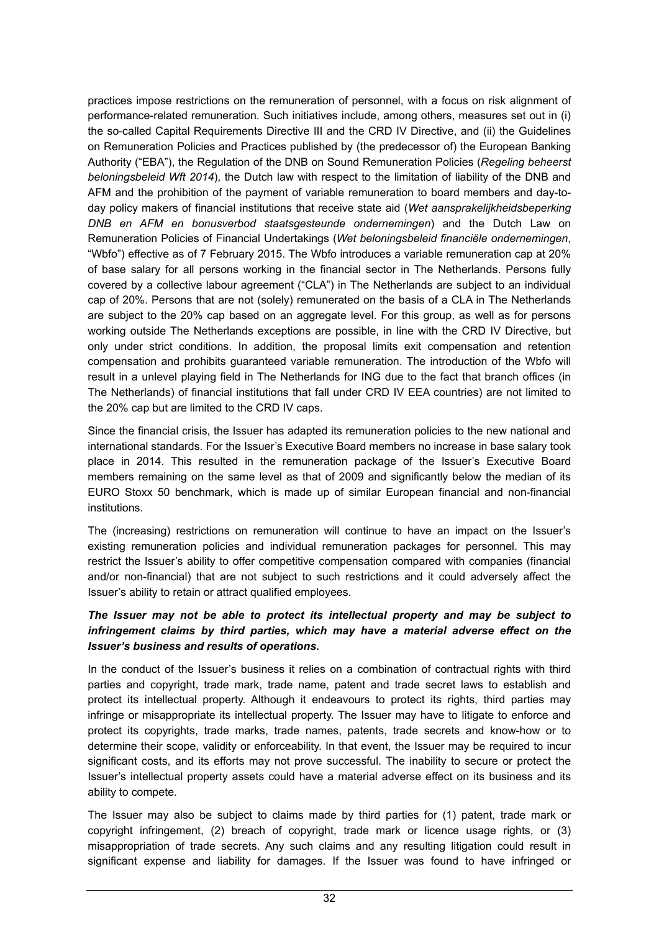practices impose restrictions on the remuneration of personnel, with a focus on risk alignment of performance-related remuneration. Such initiatives include, among others, measures set out in (i) the so-called Capital Requirements Directive III and the CRD IV Directive, and (ii) the Guidelines on Remuneration Policies and Practices published by (the predecessor of) the European Banking Authority ("EBA"), the Regulation of the DNB on Sound Remuneration Policies (*Regeling beheerst beloningsbeleid Wft 2014*), the Dutch law with respect to the limitation of liability of the DNB and AFM and the prohibition of the payment of variable remuneration to board members and day-today policy makers of financial institutions that receive state aid (*Wet aansprakelijkheidsbeperking DNB en AFM en bonusverbod staatsgesteunde ondernemingen*) and the Dutch Law on Remuneration Policies of Financial Undertakings (*Wet beloningsbeleid financiële ondernemingen*, "Wbfo") effective as of 7 February 2015. The Wbfo introduces a variable remuneration cap at 20% of base salary for all persons working in the financial sector in The Netherlands. Persons fully covered by a collective labour agreement ("CLA") in The Netherlands are subject to an individual cap of 20%. Persons that are not (solely) remunerated on the basis of a CLA in The Netherlands are subject to the 20% cap based on an aggregate level. For this group, as well as for persons working outside The Netherlands exceptions are possible, in line with the CRD IV Directive, but only under strict conditions. In addition, the proposal limits exit compensation and retention compensation and prohibits guaranteed variable remuneration. The introduction of the Wbfo will result in a unlevel playing field in The Netherlands for ING due to the fact that branch offices (in The Netherlands) of financial institutions that fall under CRD IV EEA countries) are not limited to the 20% cap but are limited to the CRD IV caps.

Since the financial crisis, the Issuer has adapted its remuneration policies to the new national and international standards. For the Issuer's Executive Board members no increase in base salary took place in 2014. This resulted in the remuneration package of the Issuer's Executive Board members remaining on the same level as that of 2009 and significantly below the median of its EURO Stoxx 50 benchmark, which is made up of similar European financial and non-financial institutions.

The (increasing) restrictions on remuneration will continue to have an impact on the Issuer's existing remuneration policies and individual remuneration packages for personnel. This may restrict the Issuer's ability to offer competitive compensation compared with companies (financial and/or non-financial) that are not subject to such restrictions and it could adversely affect the Issuer's ability to retain or attract qualified employees.

### *The Issuer may not be able to protect its intellectual property and may be subject to infringement claims by third parties, which may have a material adverse effect on the Issuer's business and results of operations.*

In the conduct of the Issuer's business it relies on a combination of contractual rights with third parties and copyright, trade mark, trade name, patent and trade secret laws to establish and protect its intellectual property. Although it endeavours to protect its rights, third parties may infringe or misappropriate its intellectual property. The Issuer may have to litigate to enforce and protect its copyrights, trade marks, trade names, patents, trade secrets and know-how or to determine their scope, validity or enforceability. In that event, the Issuer may be required to incur significant costs, and its efforts may not prove successful. The inability to secure or protect the Issuer's intellectual property assets could have a material adverse effect on its business and its ability to compete.

The Issuer may also be subject to claims made by third parties for (1) patent, trade mark or copyright infringement, (2) breach of copyright, trade mark or licence usage rights, or (3) misappropriation of trade secrets. Any such claims and any resulting litigation could result in significant expense and liability for damages. If the Issuer was found to have infringed or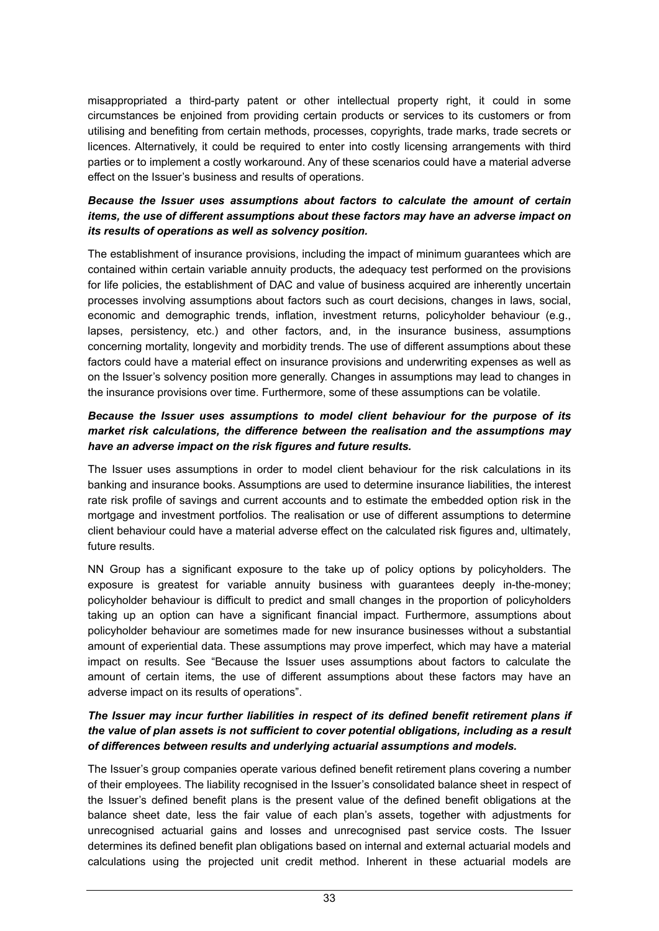misappropriated a third-party patent or other intellectual property right, it could in some circumstances be enjoined from providing certain products or services to its customers or from utilising and benefiting from certain methods, processes, copyrights, trade marks, trade secrets or licences. Alternatively, it could be required to enter into costly licensing arrangements with third parties or to implement a costly workaround. Any of these scenarios could have a material adverse effect on the Issuer's business and results of operations.

### *Because the Issuer uses assumptions about factors to calculate the amount of certain items, the use of different assumptions about these factors may have an adverse impact on its results of operations as well as solvency position.*

The establishment of insurance provisions, including the impact of minimum guarantees which are contained within certain variable annuity products, the adequacy test performed on the provisions for life policies, the establishment of DAC and value of business acquired are inherently uncertain processes involving assumptions about factors such as court decisions, changes in laws, social, economic and demographic trends, inflation, investment returns, policyholder behaviour (e.g., lapses, persistency, etc.) and other factors, and, in the insurance business, assumptions concerning mortality, longevity and morbidity trends. The use of different assumptions about these factors could have a material effect on insurance provisions and underwriting expenses as well as on the Issuer's solvency position more generally. Changes in assumptions may lead to changes in the insurance provisions over time. Furthermore, some of these assumptions can be volatile.

### *Because the Issuer uses assumptions to model client behaviour for the purpose of its market risk calculations, the difference between the realisation and the assumptions may have an adverse impact on the risk figures and future results.*

The Issuer uses assumptions in order to model client behaviour for the risk calculations in its banking and insurance books. Assumptions are used to determine insurance liabilities, the interest rate risk profile of savings and current accounts and to estimate the embedded option risk in the mortgage and investment portfolios. The realisation or use of different assumptions to determine client behaviour could have a material adverse effect on the calculated risk figures and, ultimately, future results.

NN Group has a significant exposure to the take up of policy options by policyholders. The exposure is greatest for variable annuity business with guarantees deeply in-the-money; policyholder behaviour is difficult to predict and small changes in the proportion of policyholders taking up an option can have a significant financial impact. Furthermore, assumptions about policyholder behaviour are sometimes made for new insurance businesses without a substantial amount of experiential data. These assumptions may prove imperfect, which may have a material impact on results. See "Because the Issuer uses assumptions about factors to calculate the amount of certain items, the use of different assumptions about these factors may have an adverse impact on its results of operations".

### *The Issuer may incur further liabilities in respect of its defined benefit retirement plans if the value of plan assets is not sufficient to cover potential obligations, including as a result of differences between results and underlying actuarial assumptions and models.*

The Issuer's group companies operate various defined benefit retirement plans covering a number of their employees. The liability recognised in the Issuer's consolidated balance sheet in respect of the Issuer's defined benefit plans is the present value of the defined benefit obligations at the balance sheet date, less the fair value of each plan's assets, together with adjustments for unrecognised actuarial gains and losses and unrecognised past service costs. The Issuer determines its defined benefit plan obligations based on internal and external actuarial models and calculations using the projected unit credit method. Inherent in these actuarial models are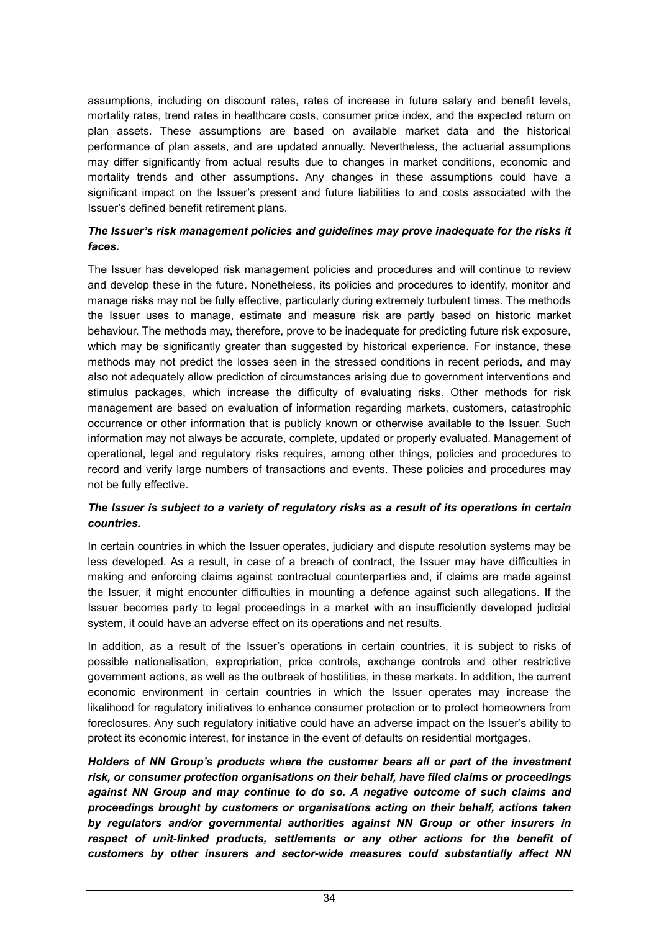assumptions, including on discount rates, rates of increase in future salary and benefit levels, mortality rates, trend rates in healthcare costs, consumer price index, and the expected return on plan assets. These assumptions are based on available market data and the historical performance of plan assets, and are updated annually. Nevertheless, the actuarial assumptions may differ significantly from actual results due to changes in market conditions, economic and mortality trends and other assumptions. Any changes in these assumptions could have a significant impact on the Issuer's present and future liabilities to and costs associated with the Issuer's defined benefit retirement plans.

### *The Issuer's risk management policies and guidelines may prove inadequate for the risks it faces.*

The Issuer has developed risk management policies and procedures and will continue to review and develop these in the future. Nonetheless, its policies and procedures to identify, monitor and manage risks may not be fully effective, particularly during extremely turbulent times. The methods the Issuer uses to manage, estimate and measure risk are partly based on historic market behaviour. The methods may, therefore, prove to be inadequate for predicting future risk exposure, which may be significantly greater than suggested by historical experience. For instance, these methods may not predict the losses seen in the stressed conditions in recent periods, and may also not adequately allow prediction of circumstances arising due to government interventions and stimulus packages, which increase the difficulty of evaluating risks. Other methods for risk management are based on evaluation of information regarding markets, customers, catastrophic occurrence or other information that is publicly known or otherwise available to the Issuer. Such information may not always be accurate, complete, updated or properly evaluated. Management of operational, legal and regulatory risks requires, among other things, policies and procedures to record and verify large numbers of transactions and events. These policies and procedures may not be fully effective.

### *The Issuer is subject to a variety of regulatory risks as a result of its operations in certain countries.*

In certain countries in which the Issuer operates, judiciary and dispute resolution systems may be less developed. As a result, in case of a breach of contract, the Issuer may have difficulties in making and enforcing claims against contractual counterparties and, if claims are made against the Issuer, it might encounter difficulties in mounting a defence against such allegations. If the Issuer becomes party to legal proceedings in a market with an insufficiently developed judicial system, it could have an adverse effect on its operations and net results.

In addition, as a result of the Issuer's operations in certain countries, it is subject to risks of possible nationalisation, expropriation, price controls, exchange controls and other restrictive government actions, as well as the outbreak of hostilities, in these markets. In addition, the current economic environment in certain countries in which the Issuer operates may increase the likelihood for regulatory initiatives to enhance consumer protection or to protect homeowners from foreclosures. Any such regulatory initiative could have an adverse impact on the Issuer's ability to protect its economic interest, for instance in the event of defaults on residential mortgages.

*Holders of NN Group's products where the customer bears all or part of the investment risk, or consumer protection organisations on their behalf, have filed claims or proceedings against NN Group and may continue to do so. A negative outcome of such claims and proceedings brought by customers or organisations acting on their behalf, actions taken by regulators and/or governmental authorities against NN Group or other insurers in*  respect of unit-linked products, settlements or any other actions for the benefit of *customers by other insurers and sector-wide measures could substantially affect NN*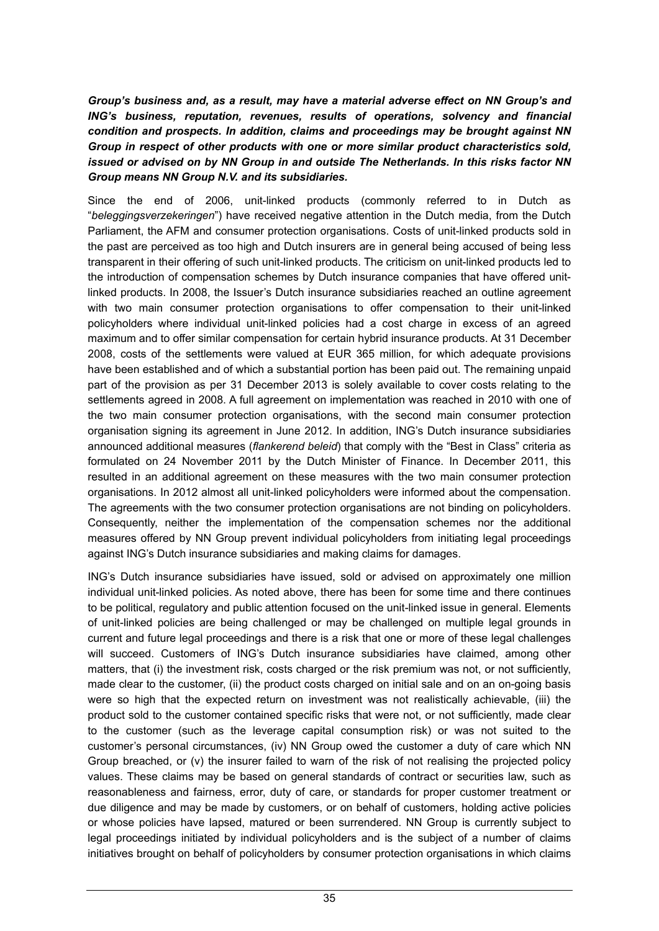*Group's business and, as a result, may have a material adverse effect on NN Group's and ING's business, reputation, revenues, results of operations, solvency and financial condition and prospects. In addition, claims and proceedings may be brought against NN Group in respect of other products with one or more similar product characteristics sold, issued or advised on by NN Group in and outside The Netherlands. In this risks factor NN Group means NN Group N.V. and its subsidiaries.*

Since the end of 2006, unit-linked products (commonly referred to in Dutch as "*beleggingsverzekeringen*") have received negative attention in the Dutch media, from the Dutch Parliament, the AFM and consumer protection organisations. Costs of unit-linked products sold in the past are perceived as too high and Dutch insurers are in general being accused of being less transparent in their offering of such unit-linked products. The criticism on unit-linked products led to the introduction of compensation schemes by Dutch insurance companies that have offered unitlinked products. In 2008, the Issuer's Dutch insurance subsidiaries reached an outline agreement with two main consumer protection organisations to offer compensation to their unit-linked policyholders where individual unit-linked policies had a cost charge in excess of an agreed maximum and to offer similar compensation for certain hybrid insurance products. At 31 December 2008, costs of the settlements were valued at EUR 365 million, for which adequate provisions have been established and of which a substantial portion has been paid out. The remaining unpaid part of the provision as per 31 December 2013 is solely available to cover costs relating to the settlements agreed in 2008. A full agreement on implementation was reached in 2010 with one of the two main consumer protection organisations, with the second main consumer protection organisation signing its agreement in June 2012. In addition, ING's Dutch insurance subsidiaries announced additional measures (*flankerend beleid*) that comply with the "Best in Class" criteria as formulated on 24 November 2011 by the Dutch Minister of Finance. In December 2011, this resulted in an additional agreement on these measures with the two main consumer protection organisations. In 2012 almost all unit-linked policyholders were informed about the compensation. The agreements with the two consumer protection organisations are not binding on policyholders. Consequently, neither the implementation of the compensation schemes nor the additional measures offered by NN Group prevent individual policyholders from initiating legal proceedings against ING's Dutch insurance subsidiaries and making claims for damages.

ING's Dutch insurance subsidiaries have issued, sold or advised on approximately one million individual unit-linked policies. As noted above, there has been for some time and there continues to be political, regulatory and public attention focused on the unit-linked issue in general. Elements of unit-linked policies are being challenged or may be challenged on multiple legal grounds in current and future legal proceedings and there is a risk that one or more of these legal challenges will succeed. Customers of ING's Dutch insurance subsidiaries have claimed, among other matters, that (i) the investment risk, costs charged or the risk premium was not, or not sufficiently, made clear to the customer, (ii) the product costs charged on initial sale and on an on-going basis were so high that the expected return on investment was not realistically achievable, (iii) the product sold to the customer contained specific risks that were not, or not sufficiently, made clear to the customer (such as the leverage capital consumption risk) or was not suited to the customer's personal circumstances, (iv) NN Group owed the customer a duty of care which NN Group breached, or (v) the insurer failed to warn of the risk of not realising the projected policy values. These claims may be based on general standards of contract or securities law, such as reasonableness and fairness, error, duty of care, or standards for proper customer treatment or due diligence and may be made by customers, or on behalf of customers, holding active policies or whose policies have lapsed, matured or been surrendered. NN Group is currently subject to legal proceedings initiated by individual policyholders and is the subject of a number of claims initiatives brought on behalf of policyholders by consumer protection organisations in which claims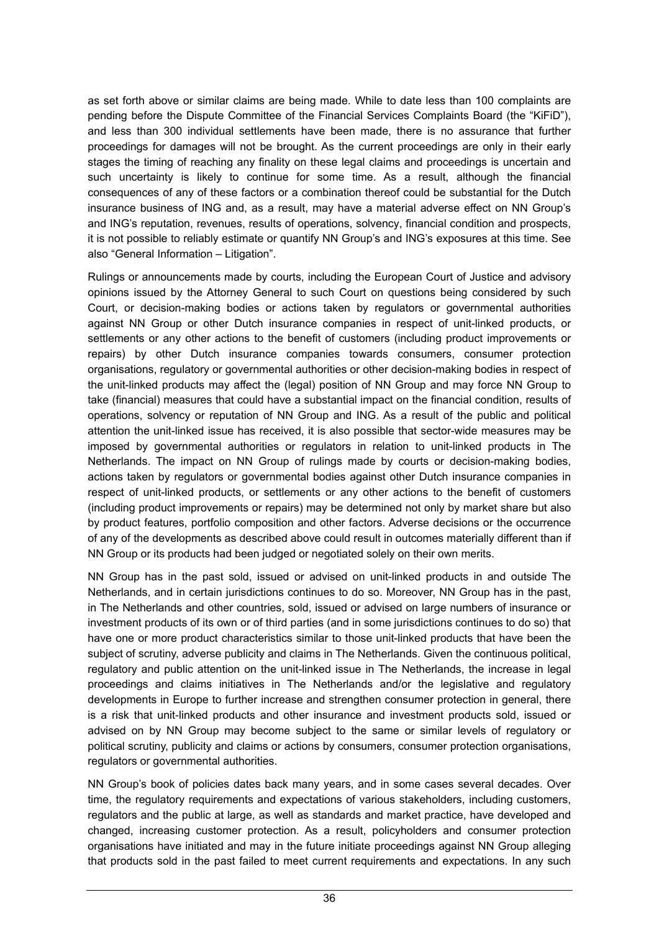as set forth above or similar claims are being made. While to date less than 100 complaints are pending before the Dispute Committee of the Financial Services Complaints Board (the "KiFiD"), and less than 300 individual settlements have been made, there is no assurance that further proceedings for damages will not be brought. As the current proceedings are only in their early stages the timing of reaching any finality on these legal claims and proceedings is uncertain and such uncertainty is likely to continue for some time. As a result, although the financial consequences of any of these factors or a combination thereof could be substantial for the Dutch insurance business of ING and, as a result, may have a material adverse effect on NN Group's and ING's reputation, revenues, results of operations, solvency, financial condition and prospects, it is not possible to reliably estimate or quantify NN Group's and ING's exposures at this time. See also "General Information – Litigation".

Rulings or announcements made by courts, including the European Court of Justice and advisory opinions issued by the Attorney General to such Court on questions being considered by such Court, or decision-making bodies or actions taken by regulators or governmental authorities against NN Group or other Dutch insurance companies in respect of unit-linked products, or settlements or any other actions to the benefit of customers (including product improvements or repairs) by other Dutch insurance companies towards consumers, consumer protection organisations, regulatory or governmental authorities or other decision-making bodies in respect of the unit-linked products may affect the (legal) position of NN Group and may force NN Group to take (financial) measures that could have a substantial impact on the financial condition, results of operations, solvency or reputation of NN Group and ING. As a result of the public and political attention the unit-linked issue has received, it is also possible that sector-wide measures may be imposed by governmental authorities or regulators in relation to unit-linked products in The Netherlands. The impact on NN Group of rulings made by courts or decision-making bodies, actions taken by regulators or governmental bodies against other Dutch insurance companies in respect of unit-linked products, or settlements or any other actions to the benefit of customers (including product improvements or repairs) may be determined not only by market share but also by product features, portfolio composition and other factors. Adverse decisions or the occurrence of any of the developments as described above could result in outcomes materially different than if NN Group or its products had been judged or negotiated solely on their own merits.

NN Group has in the past sold, issued or advised on unit-linked products in and outside The Netherlands, and in certain jurisdictions continues to do so. Moreover, NN Group has in the past, in The Netherlands and other countries, sold, issued or advised on large numbers of insurance or investment products of its own or of third parties (and in some jurisdictions continues to do so) that have one or more product characteristics similar to those unit-linked products that have been the subject of scrutiny, adverse publicity and claims in The Netherlands. Given the continuous political, regulatory and public attention on the unit-linked issue in The Netherlands, the increase in legal proceedings and claims initiatives in The Netherlands and/or the legislative and regulatory developments in Europe to further increase and strengthen consumer protection in general, there is a risk that unit-linked products and other insurance and investment products sold, issued or advised on by NN Group may become subject to the same or similar levels of regulatory or political scrutiny, publicity and claims or actions by consumers, consumer protection organisations, regulators or governmental authorities.

NN Group's book of policies dates back many years, and in some cases several decades. Over time, the regulatory requirements and expectations of various stakeholders, including customers, regulators and the public at large, as well as standards and market practice, have developed and changed, increasing customer protection. As a result, policyholders and consumer protection organisations have initiated and may in the future initiate proceedings against NN Group alleging that products sold in the past failed to meet current requirements and expectations. In any such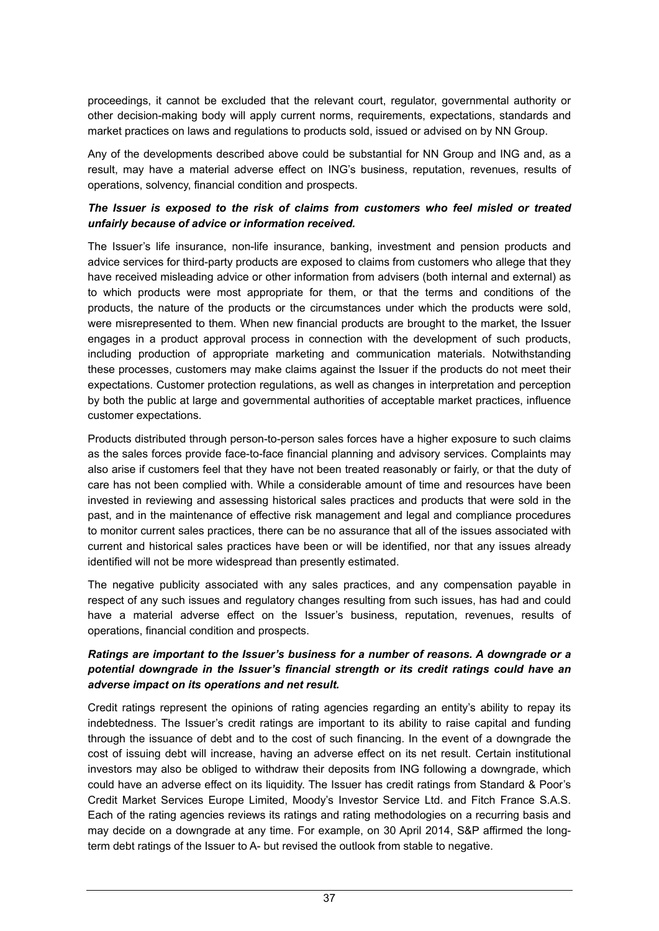proceedings, it cannot be excluded that the relevant court, regulator, governmental authority or other decision-making body will apply current norms, requirements, expectations, standards and market practices on laws and regulations to products sold, issued or advised on by NN Group.

Any of the developments described above could be substantial for NN Group and ING and, as a result, may have a material adverse effect on ING's business, reputation, revenues, results of operations, solvency, financial condition and prospects.

### *The Issuer is exposed to the risk of claims from customers who feel misled or treated unfairly because of advice or information received.*

The Issuer's life insurance, non-life insurance, banking, investment and pension products and advice services for third-party products are exposed to claims from customers who allege that they have received misleading advice or other information from advisers (both internal and external) as to which products were most appropriate for them, or that the terms and conditions of the products, the nature of the products or the circumstances under which the products were sold, were misrepresented to them. When new financial products are brought to the market, the Issuer engages in a product approval process in connection with the development of such products, including production of appropriate marketing and communication materials. Notwithstanding these processes, customers may make claims against the Issuer if the products do not meet their expectations. Customer protection regulations, as well as changes in interpretation and perception by both the public at large and governmental authorities of acceptable market practices, influence customer expectations.

Products distributed through person-to-person sales forces have a higher exposure to such claims as the sales forces provide face-to-face financial planning and advisory services. Complaints may also arise if customers feel that they have not been treated reasonably or fairly, or that the duty of care has not been complied with. While a considerable amount of time and resources have been invested in reviewing and assessing historical sales practices and products that were sold in the past, and in the maintenance of effective risk management and legal and compliance procedures to monitor current sales practices, there can be no assurance that all of the issues associated with current and historical sales practices have been or will be identified, nor that any issues already identified will not be more widespread than presently estimated.

The negative publicity associated with any sales practices, and any compensation payable in respect of any such issues and regulatory changes resulting from such issues, has had and could have a material adverse effect on the Issuer's business, reputation, revenues, results of operations, financial condition and prospects.

### *Ratings are important to the Issuer's business for a number of reasons. A downgrade or a potential downgrade in the Issuer's financial strength or its credit ratings could have an adverse impact on its operations and net result.*

Credit ratings represent the opinions of rating agencies regarding an entity's ability to repay its indebtedness. The Issuer's credit ratings are important to its ability to raise capital and funding through the issuance of debt and to the cost of such financing. In the event of a downgrade the cost of issuing debt will increase, having an adverse effect on its net result. Certain institutional investors may also be obliged to withdraw their deposits from ING following a downgrade, which could have an adverse effect on its liquidity. The Issuer has credit ratings from Standard & Poor's Credit Market Services Europe Limited, Moody's Investor Service Ltd. and Fitch France S.A.S. Each of the rating agencies reviews its ratings and rating methodologies on a recurring basis and may decide on a downgrade at any time. For example, on 30 April 2014, S&P affirmed the longterm debt ratings of the Issuer to A- but revised the outlook from stable to negative.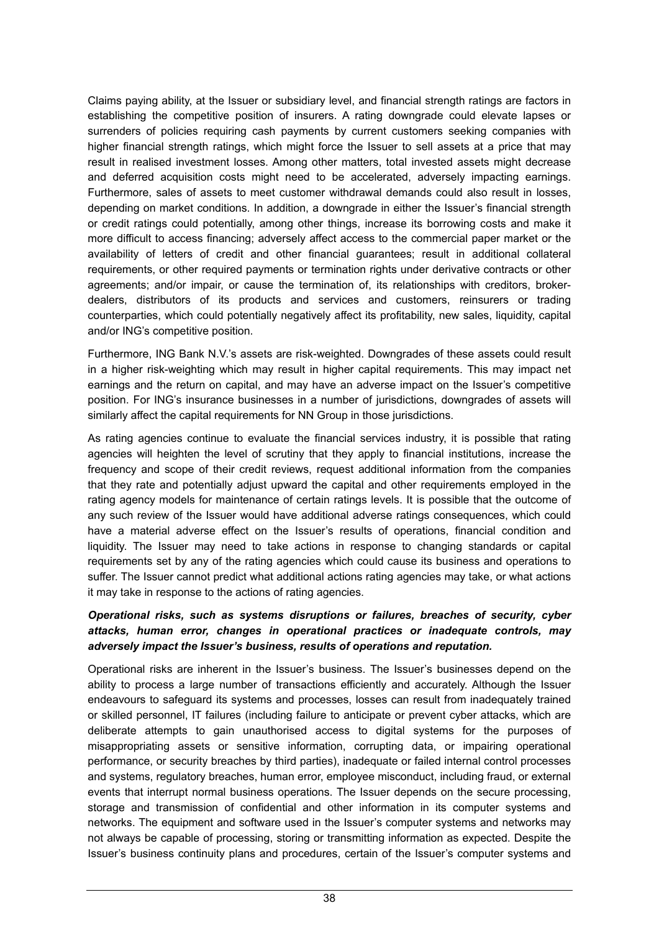Claims paying ability, at the Issuer or subsidiary level, and financial strength ratings are factors in establishing the competitive position of insurers. A rating downgrade could elevate lapses or surrenders of policies requiring cash payments by current customers seeking companies with higher financial strength ratings, which might force the Issuer to sell assets at a price that may result in realised investment losses. Among other matters, total invested assets might decrease and deferred acquisition costs might need to be accelerated, adversely impacting earnings. Furthermore, sales of assets to meet customer withdrawal demands could also result in losses, depending on market conditions. In addition, a downgrade in either the Issuer's financial strength or credit ratings could potentially, among other things, increase its borrowing costs and make it more difficult to access financing; adversely affect access to the commercial paper market or the availability of letters of credit and other financial guarantees; result in additional collateral requirements, or other required payments or termination rights under derivative contracts or other agreements; and/or impair, or cause the termination of, its relationships with creditors, brokerdealers, distributors of its products and services and customers, reinsurers or trading counterparties, which could potentially negatively affect its profitability, new sales, liquidity, capital and/or ING's competitive position.

Furthermore, ING Bank N.V.'s assets are risk-weighted. Downgrades of these assets could result in a higher risk-weighting which may result in higher capital requirements. This may impact net earnings and the return on capital, and may have an adverse impact on the Issuer's competitive position. For ING's insurance businesses in a number of jurisdictions, downgrades of assets will similarly affect the capital requirements for NN Group in those jurisdictions.

As rating agencies continue to evaluate the financial services industry, it is possible that rating agencies will heighten the level of scrutiny that they apply to financial institutions, increase the frequency and scope of their credit reviews, request additional information from the companies that they rate and potentially adjust upward the capital and other requirements employed in the rating agency models for maintenance of certain ratings levels. It is possible that the outcome of any such review of the Issuer would have additional adverse ratings consequences, which could have a material adverse effect on the Issuer's results of operations, financial condition and liquidity. The Issuer may need to take actions in response to changing standards or capital requirements set by any of the rating agencies which could cause its business and operations to suffer. The Issuer cannot predict what additional actions rating agencies may take, or what actions it may take in response to the actions of rating agencies.

### *Operational risks, such as systems disruptions or failures, breaches of security, cyber attacks, human error, changes in operational practices or inadequate controls, may adversely impact the Issuer's business, results of operations and reputation.*

Operational risks are inherent in the Issuer's business. The Issuer's businesses depend on the ability to process a large number of transactions efficiently and accurately. Although the Issuer endeavours to safeguard its systems and processes, losses can result from inadequately trained or skilled personnel, IT failures (including failure to anticipate or prevent cyber attacks, which are deliberate attempts to gain unauthorised access to digital systems for the purposes of misappropriating assets or sensitive information, corrupting data, or impairing operational performance, or security breaches by third parties), inadequate or failed internal control processes and systems, regulatory breaches, human error, employee misconduct, including fraud, or external events that interrupt normal business operations. The Issuer depends on the secure processing, storage and transmission of confidential and other information in its computer systems and networks. The equipment and software used in the Issuer's computer systems and networks may not always be capable of processing, storing or transmitting information as expected. Despite the Issuer's business continuity plans and procedures, certain of the Issuer's computer systems and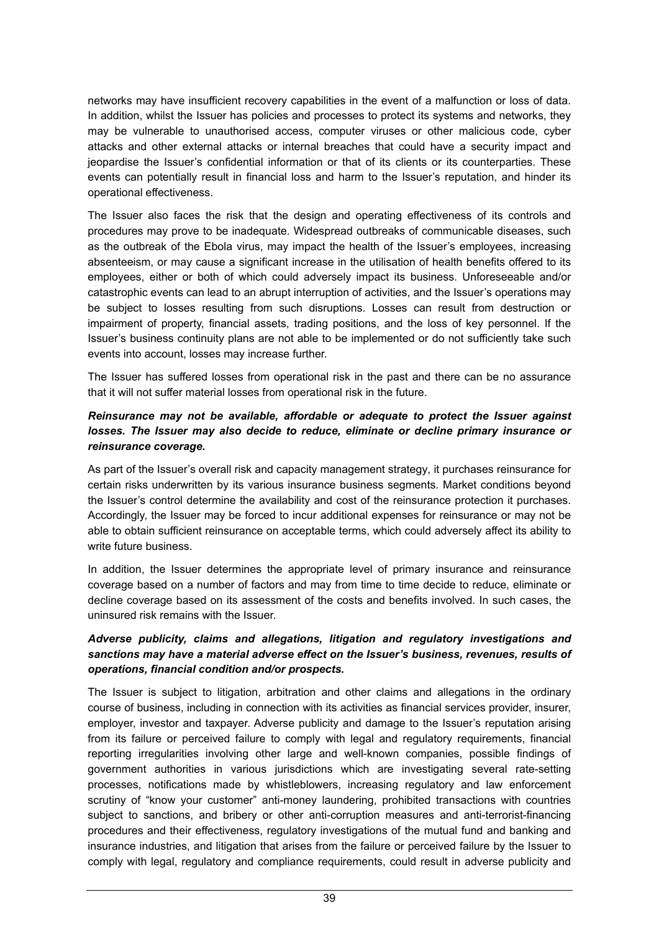networks may have insufficient recovery capabilities in the event of a malfunction or loss of data. In addition, whilst the Issuer has policies and processes to protect its systems and networks, they may be vulnerable to unauthorised access, computer viruses or other malicious code, cyber attacks and other external attacks or internal breaches that could have a security impact and jeopardise the Issuer's confidential information or that of its clients or its counterparties. These events can potentially result in financial loss and harm to the Issuer's reputation, and hinder its operational effectiveness.

The Issuer also faces the risk that the design and operating effectiveness of its controls and procedures may prove to be inadequate. Widespread outbreaks of communicable diseases, such as the outbreak of the Ebola virus, may impact the health of the Issuer's employees, increasing absenteeism, or may cause a significant increase in the utilisation of health benefits offered to its employees, either or both of which could adversely impact its business. Unforeseeable and/or catastrophic events can lead to an abrupt interruption of activities, and the Issuer's operations may be subject to losses resulting from such disruptions. Losses can result from destruction or impairment of property, financial assets, trading positions, and the loss of key personnel. If the Issuer's business continuity plans are not able to be implemented or do not sufficiently take such events into account, losses may increase further.

The Issuer has suffered losses from operational risk in the past and there can be no assurance that it will not suffer material losses from operational risk in the future.

### *Reinsurance may not be available, affordable or adequate to protect the Issuer against losses. The Issuer may also decide to reduce, eliminate or decline primary insurance or reinsurance coverage.*

As part of the Issuer's overall risk and capacity management strategy, it purchases reinsurance for certain risks underwritten by its various insurance business segments. Market conditions beyond the Issuer's control determine the availability and cost of the reinsurance protection it purchases. Accordingly, the Issuer may be forced to incur additional expenses for reinsurance or may not be able to obtain sufficient reinsurance on acceptable terms, which could adversely affect its ability to write future business.

In addition, the Issuer determines the appropriate level of primary insurance and reinsurance coverage based on a number of factors and may from time to time decide to reduce, eliminate or decline coverage based on its assessment of the costs and benefits involved. In such cases, the uninsured risk remains with the Issuer.

### *Adverse publicity, claims and allegations, litigation and regulatory investigations and sanctions may have a material adverse effect on the Issuer's business, revenues, results of operations, financial condition and/or prospects.*

The Issuer is subject to litigation, arbitration and other claims and allegations in the ordinary course of business, including in connection with its activities as financial services provider, insurer, employer, investor and taxpayer. Adverse publicity and damage to the Issuer's reputation arising from its failure or perceived failure to comply with legal and regulatory requirements, financial reporting irregularities involving other large and well-known companies, possible findings of government authorities in various jurisdictions which are investigating several rate-setting processes, notifications made by whistleblowers, increasing regulatory and law enforcement scrutiny of "know your customer" anti-money laundering, prohibited transactions with countries subject to sanctions, and bribery or other anti-corruption measures and anti-terrorist-financing procedures and their effectiveness, regulatory investigations of the mutual fund and banking and insurance industries, and litigation that arises from the failure or perceived failure by the Issuer to comply with legal, regulatory and compliance requirements, could result in adverse publicity and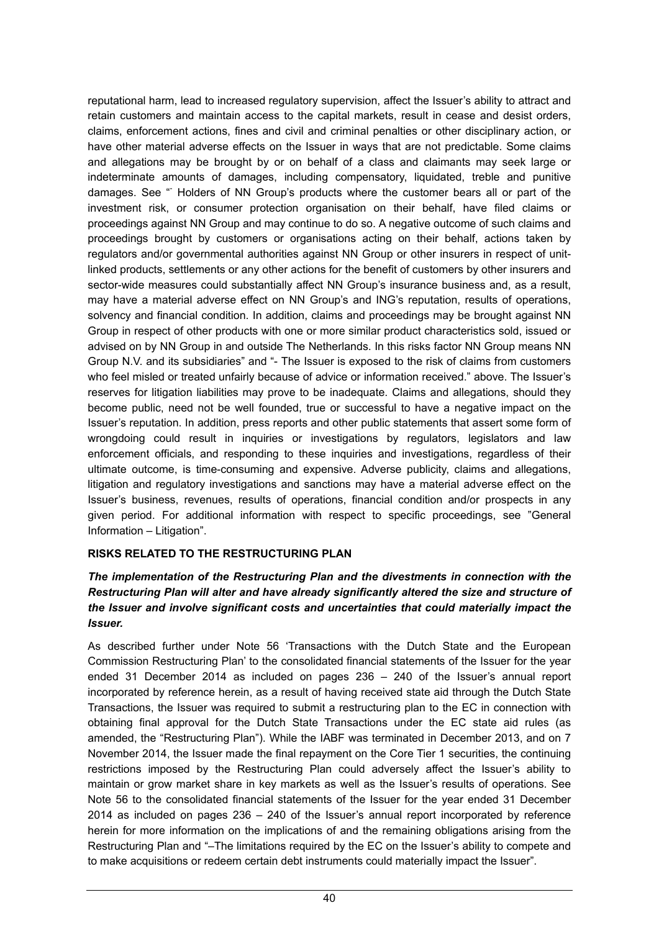reputational harm, lead to increased regulatory supervision, affect the Issuer's ability to attract and retain customers and maintain access to the capital markets, result in cease and desist orders, claims, enforcement actions, fines and civil and criminal penalties or other disciplinary action, or have other material adverse effects on the Issuer in ways that are not predictable. Some claims and allegations may be brought by or on behalf of a class and claimants may seek large or indeterminate amounts of damages, including compensatory, liquidated, treble and punitive damages. See " Holders of NN Group's products where the customer bears all or part of the investment risk, or consumer protection organisation on their behalf, have filed claims or proceedings against NN Group and may continue to do so. A negative outcome of such claims and proceedings brought by customers or organisations acting on their behalf, actions taken by regulators and/or governmental authorities against NN Group or other insurers in respect of unitlinked products, settlements or any other actions for the benefit of customers by other insurers and sector-wide measures could substantially affect NN Group's insurance business and, as a result, may have a material adverse effect on NN Group's and ING's reputation, results of operations, solvency and financial condition. In addition, claims and proceedings may be brought against NN Group in respect of other products with one or more similar product characteristics sold, issued or advised on by NN Group in and outside The Netherlands. In this risks factor NN Group means NN Group N.V. and its subsidiaries" and "- The Issuer is exposed to the risk of claims from customers who feel misled or treated unfairly because of advice or information received." above. The Issuer's reserves for litigation liabilities may prove to be inadequate. Claims and allegations, should they become public, need not be well founded, true or successful to have a negative impact on the Issuer's reputation. In addition, press reports and other public statements that assert some form of wrongdoing could result in inquiries or investigations by regulators, legislators and law enforcement officials, and responding to these inquiries and investigations, regardless of their ultimate outcome, is time-consuming and expensive. Adverse publicity, claims and allegations, litigation and regulatory investigations and sanctions may have a material adverse effect on the Issuer's business, revenues, results of operations, financial condition and/or prospects in any given period. For additional information with respect to specific proceedings, see "General Information – Litigation".

### **RISKS RELATED TO THE RESTRUCTURING PLAN**

### *The implementation of the Restructuring Plan and the divestments in connection with the Restructuring Plan will alter and have already significantly altered the size and structure of the Issuer and involve significant costs and uncertainties that could materially impact the Issuer.*

As described further under Note 56 'Transactions with the Dutch State and the European Commission Restructuring Plan' to the consolidated financial statements of the Issuer for the year ended 31 December 2014 as included on pages 236 – 240 of the Issuer's annual report incorporated by reference herein, as a result of having received state aid through the Dutch State Transactions, the Issuer was required to submit a restructuring plan to the EC in connection with obtaining final approval for the Dutch State Transactions under the EC state aid rules (as amended, the "Restructuring Plan"). While the IABF was terminated in December 2013, and on 7 November 2014, the Issuer made the final repayment on the Core Tier 1 securities, the continuing restrictions imposed by the Restructuring Plan could adversely affect the Issuer's ability to maintain or grow market share in key markets as well as the Issuer's results of operations. See Note 56 to the consolidated financial statements of the Issuer for the year ended 31 December 2014 as included on pages 236 – 240 of the Issuer's annual report incorporated by reference herein for more information on the implications of and the remaining obligations arising from the Restructuring Plan and "–The limitations required by the EC on the Issuer's ability to compete and to make acquisitions or redeem certain debt instruments could materially impact the Issuer".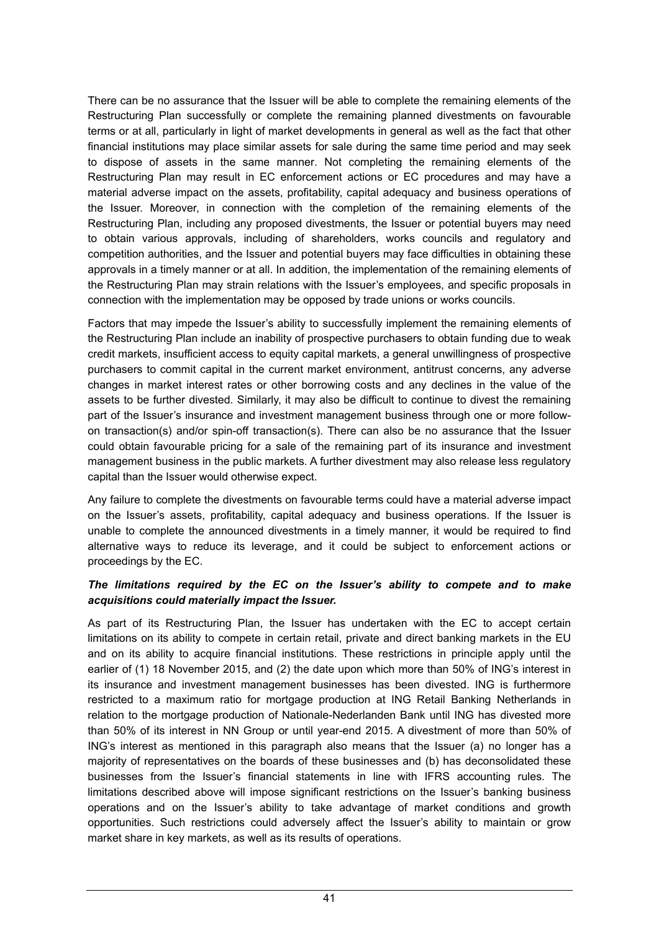There can be no assurance that the Issuer will be able to complete the remaining elements of the Restructuring Plan successfully or complete the remaining planned divestments on favourable terms or at all, particularly in light of market developments in general as well as the fact that other financial institutions may place similar assets for sale during the same time period and may seek to dispose of assets in the same manner. Not completing the remaining elements of the Restructuring Plan may result in EC enforcement actions or EC procedures and may have a material adverse impact on the assets, profitability, capital adequacy and business operations of the Issuer. Moreover, in connection with the completion of the remaining elements of the Restructuring Plan, including any proposed divestments, the Issuer or potential buyers may need to obtain various approvals, including of shareholders, works councils and regulatory and competition authorities, and the Issuer and potential buyers may face difficulties in obtaining these approvals in a timely manner or at all. In addition, the implementation of the remaining elements of the Restructuring Plan may strain relations with the Issuer's employees, and specific proposals in connection with the implementation may be opposed by trade unions or works councils.

Factors that may impede the Issuer's ability to successfully implement the remaining elements of the Restructuring Plan include an inability of prospective purchasers to obtain funding due to weak credit markets, insufficient access to equity capital markets, a general unwillingness of prospective purchasers to commit capital in the current market environment, antitrust concerns, any adverse changes in market interest rates or other borrowing costs and any declines in the value of the assets to be further divested. Similarly, it may also be difficult to continue to divest the remaining part of the Issuer's insurance and investment management business through one or more followon transaction(s) and/or spin-off transaction(s). There can also be no assurance that the Issuer could obtain favourable pricing for a sale of the remaining part of its insurance and investment management business in the public markets. A further divestment may also release less regulatory capital than the Issuer would otherwise expect.

Any failure to complete the divestments on favourable terms could have a material adverse impact on the Issuer's assets, profitability, capital adequacy and business operations. If the Issuer is unable to complete the announced divestments in a timely manner, it would be required to find alternative ways to reduce its leverage, and it could be subject to enforcement actions or proceedings by the EC.

### *The limitations required by the EC on the Issuer's ability to compete and to make acquisitions could materially impact the Issuer.*

As part of its Restructuring Plan, the Issuer has undertaken with the EC to accept certain limitations on its ability to compete in certain retail, private and direct banking markets in the EU and on its ability to acquire financial institutions. These restrictions in principle apply until the earlier of (1) 18 November 2015, and (2) the date upon which more than 50% of ING's interest in its insurance and investment management businesses has been divested. ING is furthermore restricted to a maximum ratio for mortgage production at ING Retail Banking Netherlands in relation to the mortgage production of Nationale-Nederlanden Bank until ING has divested more than 50% of its interest in NN Group or until year-end 2015. A divestment of more than 50% of ING's interest as mentioned in this paragraph also means that the Issuer (a) no longer has a majority of representatives on the boards of these businesses and (b) has deconsolidated these businesses from the Issuer's financial statements in line with IFRS accounting rules. The limitations described above will impose significant restrictions on the Issuer's banking business operations and on the Issuer's ability to take advantage of market conditions and growth opportunities. Such restrictions could adversely affect the Issuer's ability to maintain or grow market share in key markets, as well as its results of operations.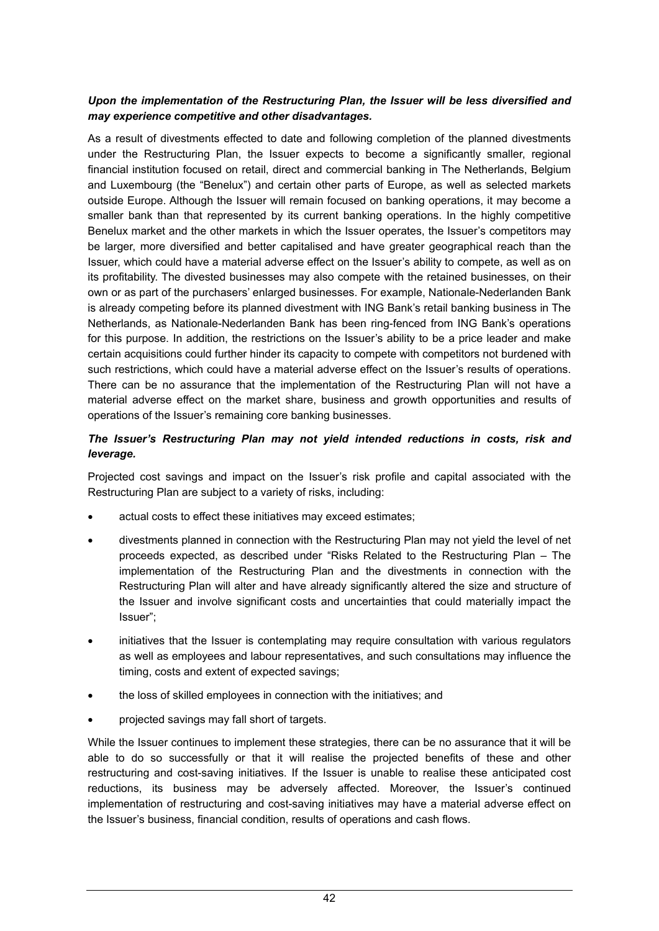### *Upon the implementation of the Restructuring Plan, the Issuer will be less diversified and may experience competitive and other disadvantages.*

As a result of divestments effected to date and following completion of the planned divestments under the Restructuring Plan, the Issuer expects to become a significantly smaller, regional financial institution focused on retail, direct and commercial banking in The Netherlands, Belgium and Luxembourg (the "Benelux") and certain other parts of Europe, as well as selected markets outside Europe. Although the Issuer will remain focused on banking operations, it may become a smaller bank than that represented by its current banking operations. In the highly competitive Benelux market and the other markets in which the Issuer operates, the Issuer's competitors may be larger, more diversified and better capitalised and have greater geographical reach than the Issuer, which could have a material adverse effect on the Issuer's ability to compete, as well as on its profitability. The divested businesses may also compete with the retained businesses, on their own or as part of the purchasers' enlarged businesses. For example, Nationale-Nederlanden Bank is already competing before its planned divestment with ING Bank's retail banking business in The Netherlands, as Nationale-Nederlanden Bank has been ring-fenced from ING Bank's operations for this purpose. In addition, the restrictions on the Issuer's ability to be a price leader and make certain acquisitions could further hinder its capacity to compete with competitors not burdened with such restrictions, which could have a material adverse effect on the Issuer's results of operations. There can be no assurance that the implementation of the Restructuring Plan will not have a material adverse effect on the market share, business and growth opportunities and results of operations of the Issuer's remaining core banking businesses.

### *The Issuer's Restructuring Plan may not yield intended reductions in costs, risk and leverage.*

Projected cost savings and impact on the Issuer's risk profile and capital associated with the Restructuring Plan are subject to a variety of risks, including:

- actual costs to effect these initiatives may exceed estimates;
- divestments planned in connection with the Restructuring Plan may not yield the level of net proceeds expected, as described under "Risks Related to the Restructuring Plan – The implementation of the Restructuring Plan and the divestments in connection with the Restructuring Plan will alter and have already significantly altered the size and structure of the Issuer and involve significant costs and uncertainties that could materially impact the Issuer";
- initiatives that the Issuer is contemplating may require consultation with various regulators as well as employees and labour representatives, and such consultations may influence the timing, costs and extent of expected savings;
- the loss of skilled employees in connection with the initiatives; and
- projected savings may fall short of targets.

While the Issuer continues to implement these strategies, there can be no assurance that it will be able to do so successfully or that it will realise the projected benefits of these and other restructuring and cost-saving initiatives. If the Issuer is unable to realise these anticipated cost reductions, its business may be adversely affected. Moreover, the Issuer's continued implementation of restructuring and cost-saving initiatives may have a material adverse effect on the Issuer's business, financial condition, results of operations and cash flows.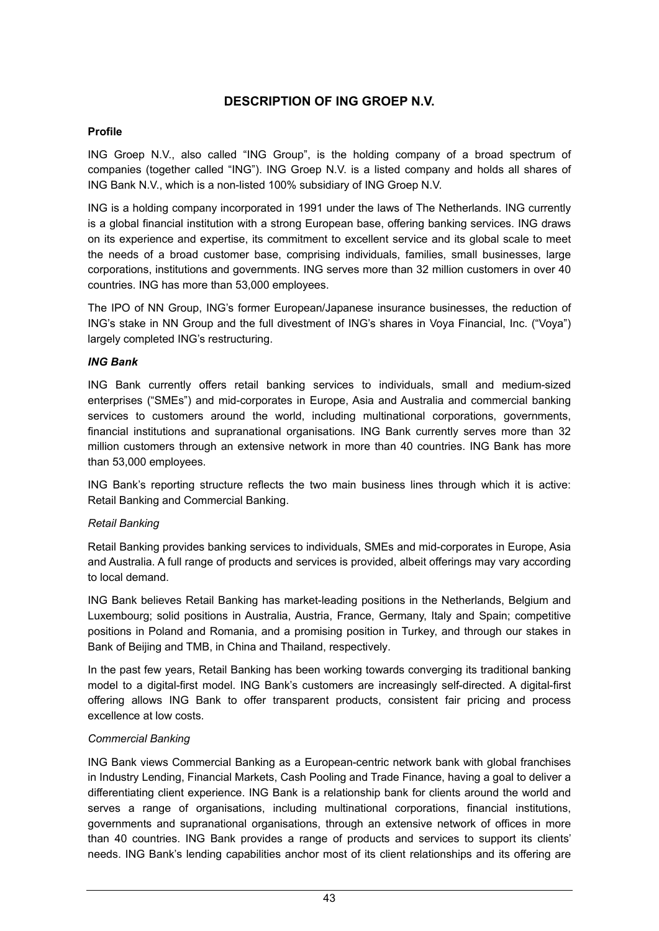# **DESCRIPTION OF ING GROEP N.V.**

### **Profile**

ING Groep N.V., also called "ING Group", is the holding company of a broad spectrum of companies (together called "ING"). ING Groep N.V. is a listed company and holds all shares of ING Bank N.V., which is a non-listed 100% subsidiary of ING Groep N.V.

ING is a holding company incorporated in 1991 under the laws of The Netherlands. ING currently is a global financial institution with a strong European base, offering banking services. ING draws on its experience and expertise, its commitment to excellent service and its global scale to meet the needs of a broad customer base, comprising individuals, families, small businesses, large corporations, institutions and governments. ING serves more than 32 million customers in over 40 countries. ING has more than 53,000 employees.

The IPO of NN Group, ING's former European/Japanese insurance businesses, the reduction of ING's stake in NN Group and the full divestment of ING's shares in Voya Financial, Inc. ("Voya") largely completed ING's restructuring.

### *ING Bank*

ING Bank currently offers retail banking services to individuals, small and medium-sized enterprises ("SMEs") and mid-corporates in Europe, Asia and Australia and commercial banking services to customers around the world, including multinational corporations, governments, financial institutions and supranational organisations. ING Bank currently serves more than 32 million customers through an extensive network in more than 40 countries. ING Bank has more than 53,000 employees.

ING Bank's reporting structure reflects the two main business lines through which it is active: Retail Banking and Commercial Banking.

#### *Retail Banking*

Retail Banking provides banking services to individuals, SMEs and mid-corporates in Europe, Asia and Australia. A full range of products and services is provided, albeit offerings may vary according to local demand.

ING Bank believes Retail Banking has market-leading positions in the Netherlands, Belgium and Luxembourg; solid positions in Australia, Austria, France, Germany, Italy and Spain; competitive positions in Poland and Romania, and a promising position in Turkey, and through our stakes in Bank of Beijing and TMB, in China and Thailand, respectively.

In the past few years, Retail Banking has been working towards converging its traditional banking model to a digital-first model. ING Bank's customers are increasingly self-directed. A digital-first offering allows ING Bank to offer transparent products, consistent fair pricing and process excellence at low costs.

### *Commercial Banking*

ING Bank views Commercial Banking as a European-centric network bank with global franchises in Industry Lending, Financial Markets, Cash Pooling and Trade Finance, having a goal to deliver a differentiating client experience. ING Bank is a relationship bank for clients around the world and serves a range of organisations, including multinational corporations, financial institutions, governments and supranational organisations, through an extensive network of offices in more than 40 countries. ING Bank provides a range of products and services to support its clients' needs. ING Bank's lending capabilities anchor most of its client relationships and its offering are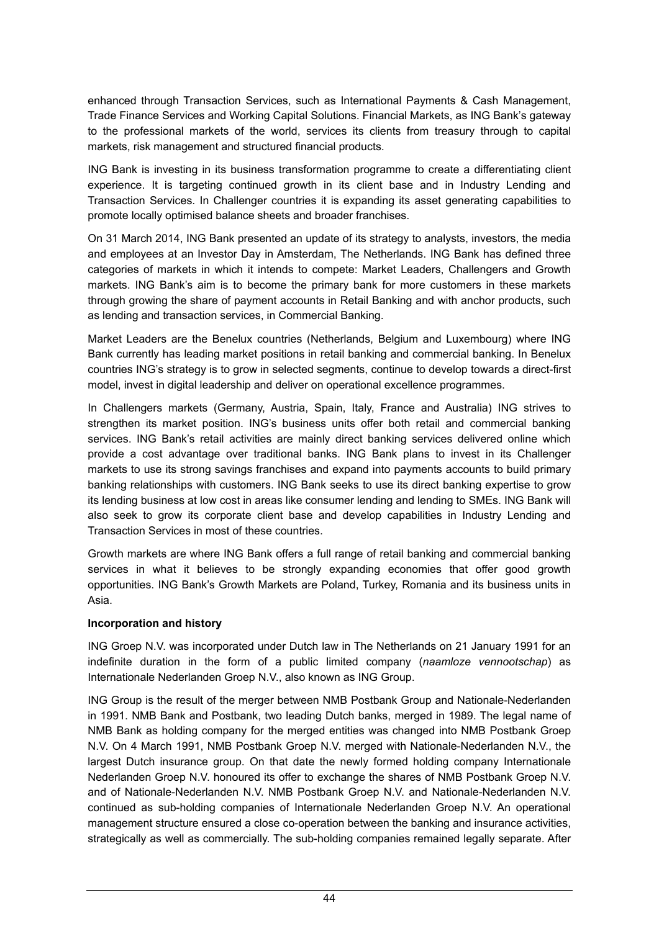enhanced through Transaction Services, such as International Payments & Cash Management, Trade Finance Services and Working Capital Solutions. Financial Markets, as ING Bank's gateway to the professional markets of the world, services its clients from treasury through to capital markets, risk management and structured financial products.

ING Bank is investing in its business transformation programme to create a differentiating client experience. It is targeting continued growth in its client base and in Industry Lending and Transaction Services. In Challenger countries it is expanding its asset generating capabilities to promote locally optimised balance sheets and broader franchises.

On 31 March 2014, ING Bank presented an update of its strategy to analysts, investors, the media and employees at an Investor Day in Amsterdam, The Netherlands. ING Bank has defined three categories of markets in which it intends to compete: Market Leaders, Challengers and Growth markets. ING Bank's aim is to become the primary bank for more customers in these markets through growing the share of payment accounts in Retail Banking and with anchor products, such as lending and transaction services, in Commercial Banking.

Market Leaders are the Benelux countries (Netherlands, Belgium and Luxembourg) where ING Bank currently has leading market positions in retail banking and commercial banking. In Benelux countries ING's strategy is to grow in selected segments, continue to develop towards a direct-first model, invest in digital leadership and deliver on operational excellence programmes.

In Challengers markets (Germany, Austria, Spain, Italy, France and Australia) ING strives to strengthen its market position. ING's business units offer both retail and commercial banking services. ING Bank's retail activities are mainly direct banking services delivered online which provide a cost advantage over traditional banks. ING Bank plans to invest in its Challenger markets to use its strong savings franchises and expand into payments accounts to build primary banking relationships with customers. ING Bank seeks to use its direct banking expertise to grow its lending business at low cost in areas like consumer lending and lending to SMEs. ING Bank will also seek to grow its corporate client base and develop capabilities in Industry Lending and Transaction Services in most of these countries.

Growth markets are where ING Bank offers a full range of retail banking and commercial banking services in what it believes to be strongly expanding economies that offer good growth opportunities. ING Bank's Growth Markets are Poland, Turkey, Romania and its business units in Asia.

### **Incorporation and history**

ING Groep N.V. was incorporated under Dutch law in The Netherlands on 21 January 1991 for an indefinite duration in the form of a public limited company (*naamloze vennootschap*) as Internationale Nederlanden Groep N.V., also known as ING Group.

ING Group is the result of the merger between NMB Postbank Group and Nationale-Nederlanden in 1991. NMB Bank and Postbank, two leading Dutch banks, merged in 1989. The legal name of NMB Bank as holding company for the merged entities was changed into NMB Postbank Groep N.V. On 4 March 1991, NMB Postbank Groep N.V. merged with Nationale-Nederlanden N.V., the largest Dutch insurance group. On that date the newly formed holding company Internationale Nederlanden Groep N.V. honoured its offer to exchange the shares of NMB Postbank Groep N.V. and of Nationale-Nederlanden N.V. NMB Postbank Groep N.V. and Nationale-Nederlanden N.V. continued as sub-holding companies of Internationale Nederlanden Groep N.V. An operational management structure ensured a close co-operation between the banking and insurance activities, strategically as well as commercially. The sub-holding companies remained legally separate. After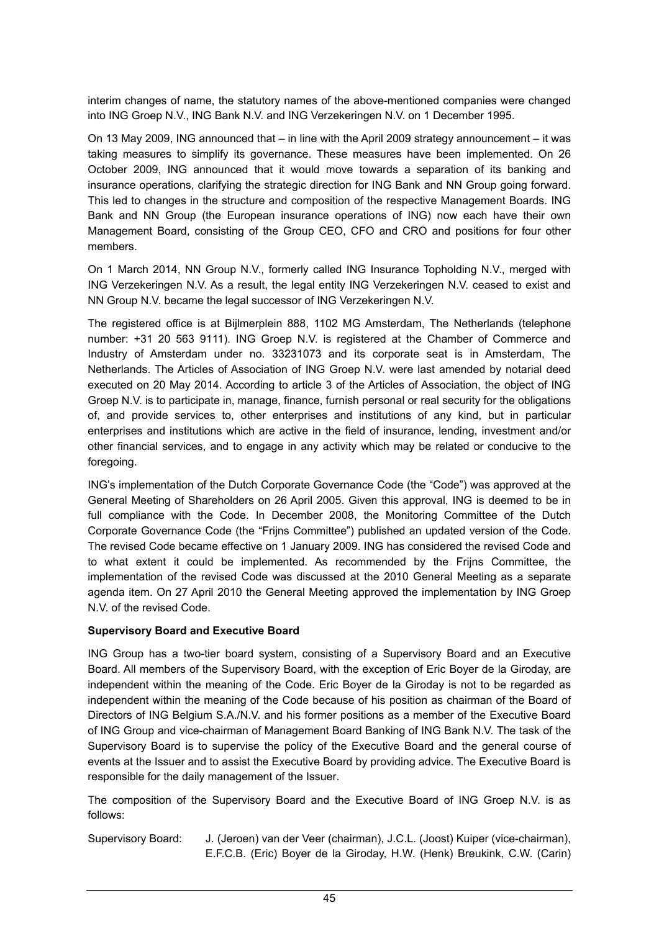interim changes of name, the statutory names of the above-mentioned companies were changed into ING Groep N.V., ING Bank N.V. and ING Verzekeringen N.V. on 1 December 1995.

On 13 May 2009, ING announced that – in line with the April 2009 strategy announcement – it was taking measures to simplify its governance. These measures have been implemented. On 26 October 2009, ING announced that it would move towards a separation of its banking and insurance operations, clarifying the strategic direction for ING Bank and NN Group going forward. This led to changes in the structure and composition of the respective Management Boards. ING Bank and NN Group (the European insurance operations of ING) now each have their own Management Board, consisting of the Group CEO, CFO and CRO and positions for four other members.

On 1 March 2014, NN Group N.V., formerly called ING Insurance Topholding N.V., merged with ING Verzekeringen N.V. As a result, the legal entity ING Verzekeringen N.V. ceased to exist and NN Group N.V. became the legal successor of ING Verzekeringen N.V.

The registered office is at Bijlmerplein 888, 1102 MG Amsterdam, The Netherlands (telephone number: +31 20 563 9111). ING Groep N.V. is registered at the Chamber of Commerce and Industry of Amsterdam under no. 33231073 and its corporate seat is in Amsterdam, The Netherlands. The Articles of Association of ING Groep N.V. were last amended by notarial deed executed on 20 May 2014. According to article 3 of the Articles of Association, the object of ING Groep N.V. is to participate in, manage, finance, furnish personal or real security for the obligations of, and provide services to, other enterprises and institutions of any kind, but in particular enterprises and institutions which are active in the field of insurance, lending, investment and/or other financial services, and to engage in any activity which may be related or conducive to the foregoing.

ING's implementation of the Dutch Corporate Governance Code (the "Code") was approved at the General Meeting of Shareholders on 26 April 2005. Given this approval, ING is deemed to be in full compliance with the Code. In December 2008, the Monitoring Committee of the Dutch Corporate Governance Code (the "Frijns Committee") published an updated version of the Code. The revised Code became effective on 1 January 2009. ING has considered the revised Code and to what extent it could be implemented. As recommended by the Frijns Committee, the implementation of the revised Code was discussed at the 2010 General Meeting as a separate agenda item. On 27 April 2010 the General Meeting approved the implementation by ING Groep N.V. of the revised Code.

### **Supervisory Board and Executive Board**

ING Group has a two-tier board system, consisting of a Supervisory Board and an Executive Board. All members of the Supervisory Board, with the exception of Eric Boyer de la Giroday, are independent within the meaning of the Code. Eric Boyer de la Giroday is not to be regarded as independent within the meaning of the Code because of his position as chairman of the Board of Directors of ING Belgium S.A./N.V. and his former positions as a member of the Executive Board of ING Group and vice-chairman of Management Board Banking of ING Bank N.V. The task of the Supervisory Board is to supervise the policy of the Executive Board and the general course of events at the Issuer and to assist the Executive Board by providing advice. The Executive Board is responsible for the daily management of the Issuer.

The composition of the Supervisory Board and the Executive Board of ING Groep N.V. is as follows:

Supervisory Board: J. (Jeroen) van der Veer (chairman), J.C.L. (Joost) Kuiper (vice-chairman), E.F.C.B. (Eric) Boyer de la Giroday, H.W. (Henk) Breukink, C.W. (Carin)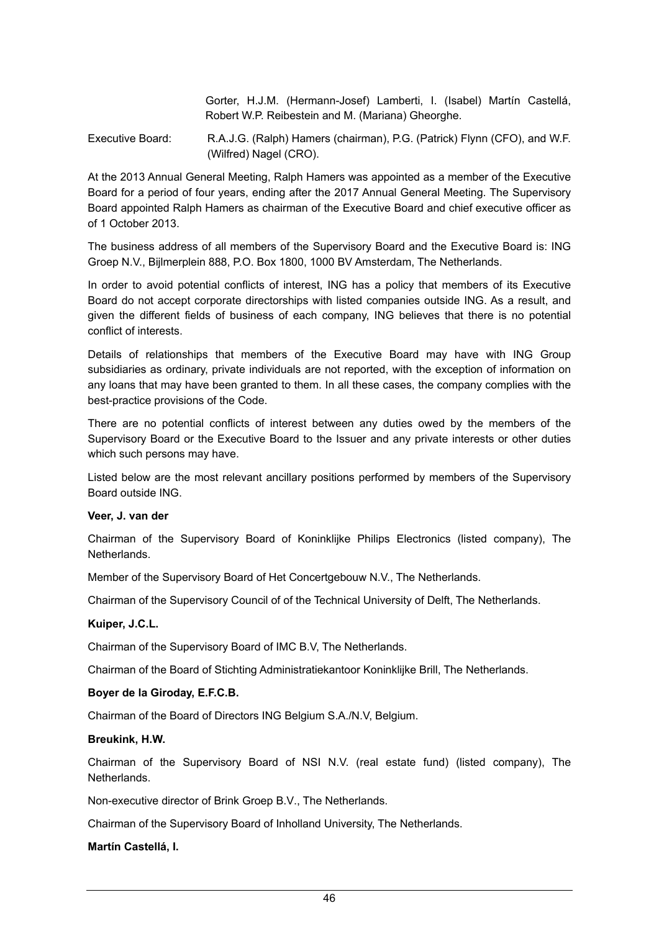Gorter, H.J.M. (Hermann-Josef) Lamberti, I. (Isabel) Martín Castellá, Robert W.P. Reibestein and M. (Mariana) Gheorghe.

Executive Board: R.A.J.G. (Ralph) Hamers (chairman), P.G. (Patrick) Flynn (CFO), and W.F. (Wilfred) Nagel (CRO).

At the 2013 Annual General Meeting, Ralph Hamers was appointed as a member of the Executive Board for a period of four years, ending after the 2017 Annual General Meeting. The Supervisory Board appointed Ralph Hamers as chairman of the Executive Board and chief executive officer as of 1 October 2013.

The business address of all members of the Supervisory Board and the Executive Board is: ING Groep N.V., Bijlmerplein 888, P.O. Box 1800, 1000 BV Amsterdam, The Netherlands.

In order to avoid potential conflicts of interest, ING has a policy that members of its Executive Board do not accept corporate directorships with listed companies outside ING. As a result, and given the different fields of business of each company, ING believes that there is no potential conflict of interests.

Details of relationships that members of the Executive Board may have with ING Group subsidiaries as ordinary, private individuals are not reported, with the exception of information on any loans that may have been granted to them. In all these cases, the company complies with the best-practice provisions of the Code.

There are no potential conflicts of interest between any duties owed by the members of the Supervisory Board or the Executive Board to the Issuer and any private interests or other duties which such persons may have.

Listed below are the most relevant ancillary positions performed by members of the Supervisory Board outside ING.

### **Veer, J. van der**

Chairman of the Supervisory Board of Koninklijke Philips Electronics (listed company), The Netherlands.

Member of the Supervisory Board of Het Concertgebouw N.V., The Netherlands.

Chairman of the Supervisory Council of of the Technical University of Delft, The Netherlands.

#### **Kuiper, J.C.L.**

Chairman of the Supervisory Board of IMC B.V, The Netherlands.

Chairman of the Board of Stichting Administratiekantoor Koninklijke Brill, The Netherlands.

#### **Boyer de la Giroday, E.F.C.B.**

Chairman of the Board of Directors ING Belgium S.A./N.V, Belgium.

#### **Breukink, H.W.**

Chairman of the Supervisory Board of NSI N.V. (real estate fund) (listed company), The Netherlands.

Non-executive director of Brink Groep B.V., The Netherlands.

Chairman of the Supervisory Board of Inholland University, The Netherlands.

#### **Martín Castellá, I.**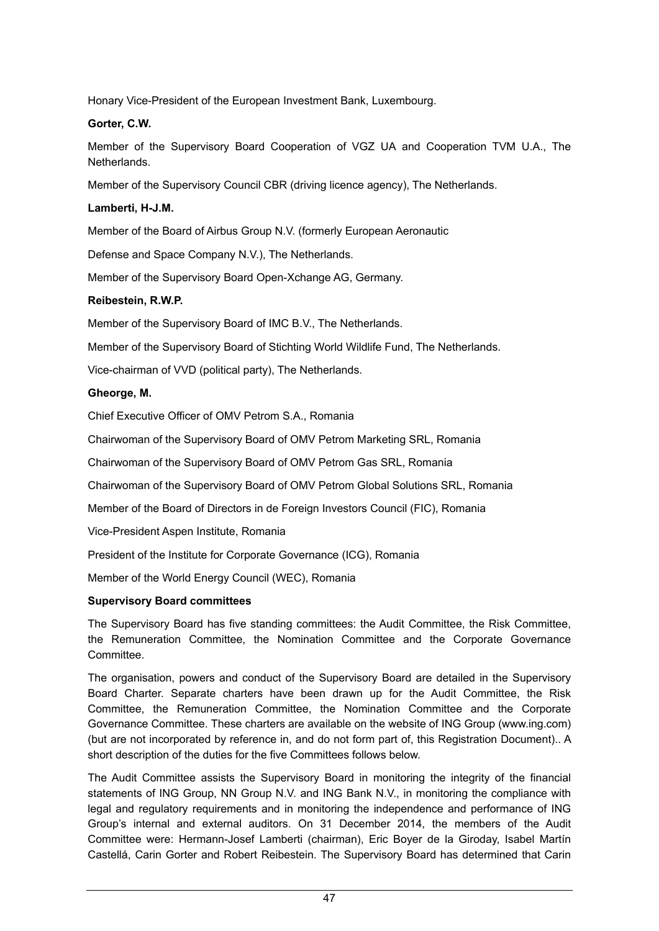Honary Vice-President of the European Investment Bank, Luxembourg.

### **Gorter, C.W.**

Member of the Supervisory Board Cooperation of VGZ UA and Cooperation TVM U.A., The Netherlands.

Member of the Supervisory Council CBR (driving licence agency), The Netherlands.

### **Lamberti, H-J.M.**

Member of the Board of Airbus Group N.V. (formerly European Aeronautic

Defense and Space Company N.V.), The Netherlands.

Member of the Supervisory Board Open-Xchange AG, Germany.

### **Reibestein, R.W.P.**

Member of the Supervisory Board of IMC B.V., The Netherlands.

Member of the Supervisory Board of Stichting World Wildlife Fund, The Netherlands.

Vice-chairman of VVD (political party), The Netherlands.

### **Gheorge, M.**

Chief Executive Officer of OMV Petrom S.A., Romania

Chairwoman of the Supervisory Board of OMV Petrom Marketing SRL, Romania

Chairwoman of the Supervisory Board of OMV Petrom Gas SRL, Romania

Chairwoman of the Supervisory Board of OMV Petrom Global Solutions SRL, Romania

Member of the Board of Directors in de Foreign Investors Council (FIC), Romania

Vice-President Aspen Institute, Romania

President of the Institute for Corporate Governance (ICG), Romania

Member of the World Energy Council (WEC), Romania

#### **Supervisory Board committees**

The Supervisory Board has five standing committees: the Audit Committee, the Risk Committee, the Remuneration Committee, the Nomination Committee and the Corporate Governance Committee.

The organisation, powers and conduct of the Supervisory Board are detailed in the Supervisory Board Charter. Separate charters have been drawn up for the Audit Committee, the Risk Committee, the Remuneration Committee, the Nomination Committee and the Corporate Governance Committee. These charters are available on the website of ING Group (www.ing.com) (but are not incorporated by reference in, and do not form part of, this Registration Document).. A short description of the duties for the five Committees follows below.

The Audit Committee assists the Supervisory Board in monitoring the integrity of the financial statements of ING Group, NN Group N.V. and ING Bank N.V., in monitoring the compliance with legal and regulatory requirements and in monitoring the independence and performance of ING Group's internal and external auditors. On 31 December 2014, the members of the Audit Committee were: Hermann-Josef Lamberti (chairman), Eric Boyer de la Giroday, Isabel Martín Castellá, Carin Gorter and Robert Reibestein. The Supervisory Board has determined that Carin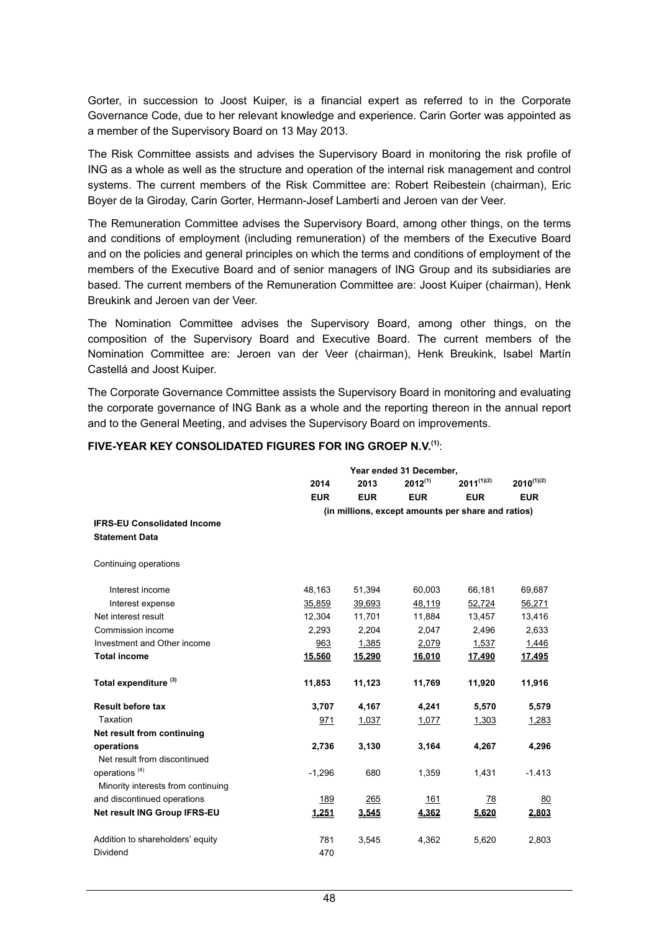Gorter, in succession to Joost Kuiper, is a financial expert as referred to in the Corporate Governance Code, due to her relevant knowledge and experience. Carin Gorter was appointed as a member of the Supervisory Board on 13 May 2013.

The Risk Committee assists and advises the Supervisory Board in monitoring the risk profile of ING as a whole as well as the structure and operation of the internal risk management and control systems. The current members of the Risk Committee are: Robert Reibestein (chairman), Eric Boyer de la Giroday, Carin Gorter, Hermann-Josef Lamberti and Jeroen van der Veer.

The Remuneration Committee advises the Supervisory Board, among other things, on the terms and conditions of employment (including remuneration) of the members of the Executive Board and on the policies and general principles on which the terms and conditions of employment of the members of the Executive Board and of senior managers of ING Group and its subsidiaries are based. The current members of the Remuneration Committee are: Joost Kuiper (chairman), Henk Breukink and Jeroen van der Veer.

The Nomination Committee advises the Supervisory Board, among other things, on the composition of the Supervisory Board and Executive Board. The current members of the Nomination Committee are: Jeroen van der Veer (chairman), Henk Breukink, Isabel Martín Castellá and Joost Kuiper.

The Corporate Governance Committee assists the Supervisory Board in monitoring and evaluating the corporate governance of ING Bank as a whole and the reporting thereon in the annual report and to the General Meeting, and advises the Supervisory Board on improvements.

|                                    | Year ended 31 December,                            |            |              |                 |                 |  |
|------------------------------------|----------------------------------------------------|------------|--------------|-----------------|-----------------|--|
|                                    | 2014                                               | 2013       | $2012^{(1)}$ | $2011^{(1)(2)}$ | $2010^{(1)(2)}$ |  |
|                                    | <b>EUR</b>                                         | <b>EUR</b> | <b>EUR</b>   | <b>EUR</b>      | <b>EUR</b>      |  |
|                                    | (in millions, except amounts per share and ratios) |            |              |                 |                 |  |
| <b>IFRS-EU Consolidated Income</b> |                                                    |            |              |                 |                 |  |
| <b>Statement Data</b>              |                                                    |            |              |                 |                 |  |
| Continuing operations              |                                                    |            |              |                 |                 |  |
| Interest income                    | 48,163                                             | 51,394     | 60,003       | 66,181          | 69,687          |  |
| Interest expense                   | 35,859                                             | 39,693     | 48,119       | 52,724          | 56,271          |  |
| Net interest result                | 12,304                                             | 11,701     | 11,884       | 13,457          | 13,416          |  |
| Commission income                  | 2,293                                              | 2,204      | 2,047        | 2,496           | 2,633           |  |
| Investment and Other income        | 963                                                | 1,385      | 2,079        | 1,537           | 1,446           |  |
| <b>Total income</b>                | 15,560                                             | 15,290     | 16,010       | 17,490          | 17,495          |  |
| Total expenditure <sup>(3)</sup>   | 11,853                                             | 11,123     | 11,769       | 11,920          | 11,916          |  |
| <b>Result before tax</b>           | 3,707                                              | 4,167      | 4,241        | 5,570           | 5,579           |  |
| Taxation                           | 971                                                | 1,037      | 1,077        | 1,303           | 1,283           |  |
| Net result from continuing         |                                                    |            |              |                 |                 |  |
| operations                         | 2,736                                              | 3,130      | 3,164        | 4,267           | 4,296           |  |
| Net result from discontinued       |                                                    |            |              |                 |                 |  |
| operations <sup>(4)</sup>          | $-1,296$                                           | 680        | 1,359        | 1,431           | $-1.413$        |  |
| Minority interests from continuing |                                                    |            |              |                 |                 |  |
| and discontinued operations        | 189                                                | 265        | 161          | 78              | 80              |  |
| Net result ING Group IFRS-EU       | 1,251                                              | 3,545      | 4,362        | 5,620           | 2,803           |  |
| Addition to shareholders' equity   | 781                                                | 3,545      | 4,362        | 5,620           | 2,803           |  |
| Dividend                           | 470                                                |            |              |                 |                 |  |

#### **FIVE-YEAR KEY CONSOLIDATED FIGURES FOR ING GROEP N.V. (1)**: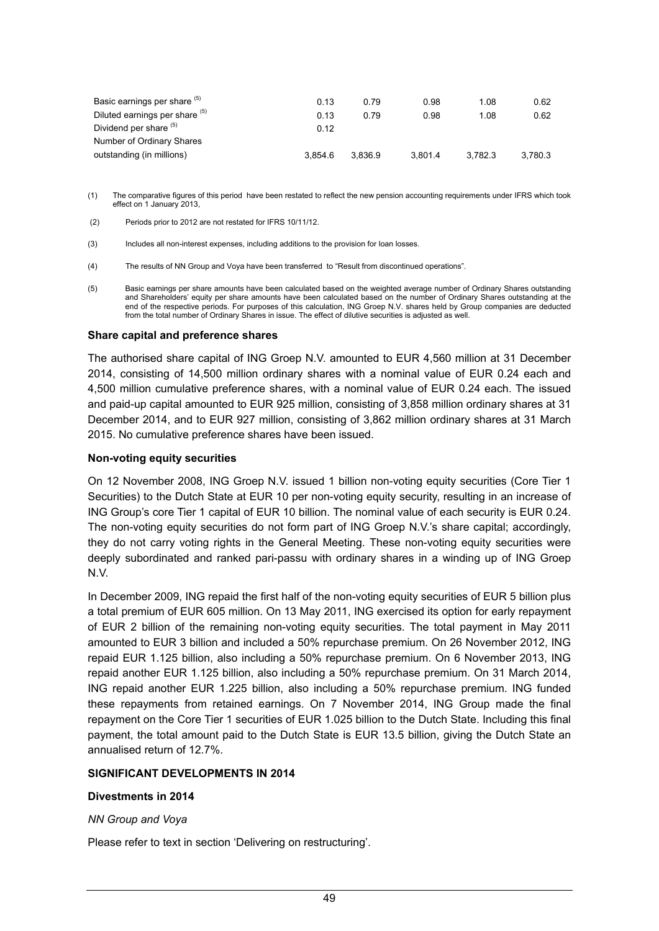| Basic earnings per share (b)<br>Diluted earnings per share (b) | 0.13<br>0.13 | 0.79<br>0.79 | 0.98<br>0.98 | 1.08<br>1.08 | 0.62<br>0.62 |
|----------------------------------------------------------------|--------------|--------------|--------------|--------------|--------------|
| Dividend per share (b)                                         | 0.12         |              |              |              |              |
| Number of Ordinary Shares                                      |              |              |              |              |              |
| outstanding (in millions)                                      | 3.854.6      | 3.836.9      | 3.801.4      | 3.782.3      | 3.780.3      |

- (1) The comparative figures of this period have been restated to reflect the new pension accounting requirements under IFRS which took effect on 1 January 2013,
- (2) Periods prior to 2012 are not restated for IFRS 10/11/12.
- (3) Includes all non-interest expenses, including additions to the provision for loan losses.
- (4) The results of NN Group and Voya have been transferred to "Result from discontinued operations".
- (5) Basic earnings per share amounts have been calculated based on the weighted average number of Ordinary Shares outstanding and Shareholders' equity per share amounts have been calculated based on the number of Ordinary Shares outstanding at the end of the respective periods. For purposes of this calculation, ING Groep N.V. shares held by Group companies are deducted from the total number of Ordinary Shares in issue. The effect of dilutive securities is adjusted as well.

#### **Share capital and preference shares**

The authorised share capital of ING Groep N.V. amounted to EUR 4,560 million at 31 December 2014, consisting of 14,500 million ordinary shares with a nominal value of EUR 0.24 each and 4,500 million cumulative preference shares, with a nominal value of EUR 0.24 each. The issued and paid-up capital amounted to EUR 925 million, consisting of 3,858 million ordinary shares at 31 December 2014, and to EUR 927 million, consisting of 3,862 million ordinary shares at 31 March 2015. No cumulative preference shares have been issued.

#### **Non-voting equity securities**

On 12 November 2008, ING Groep N.V. issued 1 billion non-voting equity securities (Core Tier 1 Securities) to the Dutch State at EUR 10 per non-voting equity security, resulting in an increase of ING Group's core Tier 1 capital of EUR 10 billion. The nominal value of each security is EUR 0.24. The non-voting equity securities do not form part of ING Groep N.V.'s share capital; accordingly, they do not carry voting rights in the General Meeting. These non-voting equity securities were deeply subordinated and ranked pari-passu with ordinary shares in a winding up of ING Groep N.V.

In December 2009, ING repaid the first half of the non-voting equity securities of EUR 5 billion plus a total premium of EUR 605 million. On 13 May 2011, ING exercised its option for early repayment of EUR 2 billion of the remaining non-voting equity securities. The total payment in May 2011 amounted to EUR 3 billion and included a 50% repurchase premium. On 26 November 2012, ING repaid EUR 1.125 billion, also including a 50% repurchase premium. On 6 November 2013, ING repaid another EUR 1.125 billion, also including a 50% repurchase premium. On 31 March 2014, ING repaid another EUR 1.225 billion, also including a 50% repurchase premium. ING funded these repayments from retained earnings. On 7 November 2014, ING Group made the final repayment on the Core Tier 1 securities of EUR 1.025 billion to the Dutch State. Including this final payment, the total amount paid to the Dutch State is EUR 13.5 billion, giving the Dutch State an annualised return of 12.7%.

#### **SIGNIFICANT DEVELOPMENTS IN 2014**

#### **Divestments in 2014**

#### *NN Group and Voya*

Please refer to text in section 'Delivering on restructuring'.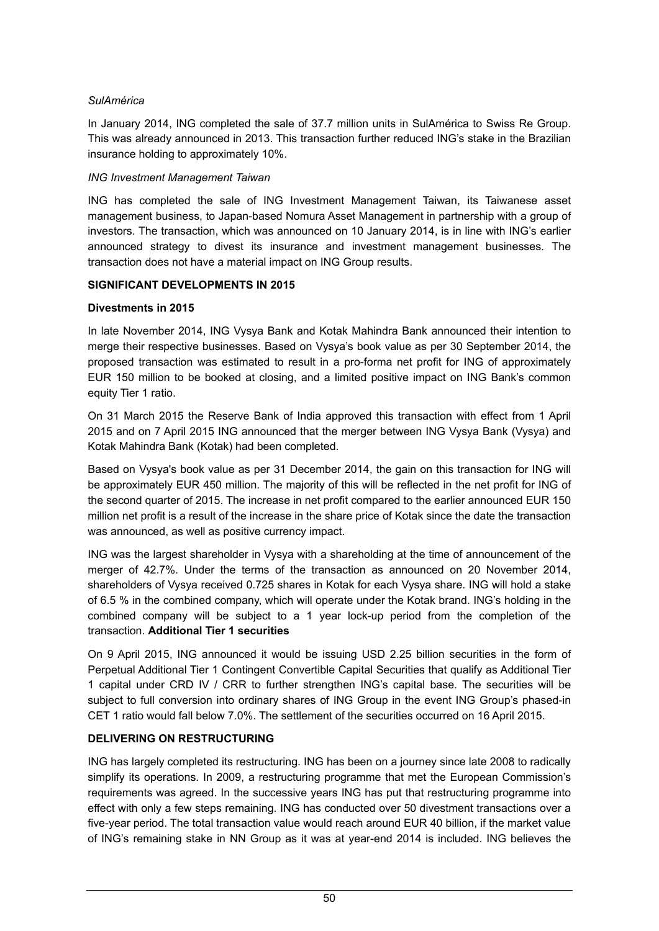### *SulAmérica*

In January 2014, ING completed the sale of 37.7 million units in SulAmérica to Swiss Re Group. This was already announced in 2013. This transaction further reduced ING's stake in the Brazilian insurance holding to approximately 10%.

### *ING Investment Management Taiwan*

ING has completed the sale of ING Investment Management Taiwan, its Taiwanese asset management business, to Japan-based Nomura Asset Management in partnership with a group of investors. The transaction, which was announced on 10 January 2014, is in line with ING's earlier announced strategy to divest its insurance and investment management businesses. The transaction does not have a material impact on ING Group results.

### **SIGNIFICANT DEVELOPMENTS IN 2015**

### **Divestments in 2015**

In late November 2014, ING Vysya Bank and Kotak Mahindra Bank announced their intention to merge their respective businesses. Based on Vysya's book value as per 30 September 2014, the proposed transaction was estimated to result in a pro-forma net profit for ING of approximately EUR 150 million to be booked at closing, and a limited positive impact on ING Bank's common equity Tier 1 ratio.

On 31 March 2015 the Reserve Bank of India approved this transaction with effect from 1 April 2015 and on 7 April 2015 ING announced that the merger between ING Vysya Bank (Vysya) and Kotak Mahindra Bank (Kotak) had been completed.

Based on Vysya's book value as per 31 December 2014, the gain on this transaction for ING will be approximately EUR 450 million. The majority of this will be reflected in the net profit for ING of the second quarter of 2015. The increase in net profit compared to the earlier announced EUR 150 million net profit is a result of the increase in the share price of Kotak since the date the transaction was announced, as well as positive currency impact.

ING was the largest shareholder in Vysya with a shareholding at the time of announcement of the merger of 42.7%. Under the terms of the transaction as announced on 20 November 2014, shareholders of Vysya received 0.725 shares in Kotak for each Vysya share. ING will hold a stake of 6.5 % in the combined company, which will operate under the Kotak brand. ING's holding in the combined company will be subject to a 1 year lock-up period from the completion of the transaction. **Additional Tier 1 securities**

On 9 April 2015, ING announced it would be issuing USD 2.25 billion securities in the form of Perpetual Additional Tier 1 Contingent Convertible Capital Securities that qualify as Additional Tier 1 capital under CRD IV / CRR to further strengthen ING's capital base. The securities will be subject to full conversion into ordinary shares of ING Group in the event ING Group's phased-in CET 1 ratio would fall below 7.0%. The settlement of the securities occurred on 16 April 2015.

### **DELIVERING ON RESTRUCTURING**

ING has largely completed its restructuring. ING has been on a journey since late 2008 to radically simplify its operations. In 2009, a restructuring programme that met the European Commission's requirements was agreed. In the successive years ING has put that restructuring programme into effect with only a few steps remaining. ING has conducted over 50 divestment transactions over a five-year period. The total transaction value would reach around EUR 40 billion, if the market value of ING's remaining stake in NN Group as it was at year-end 2014 is included. ING believes the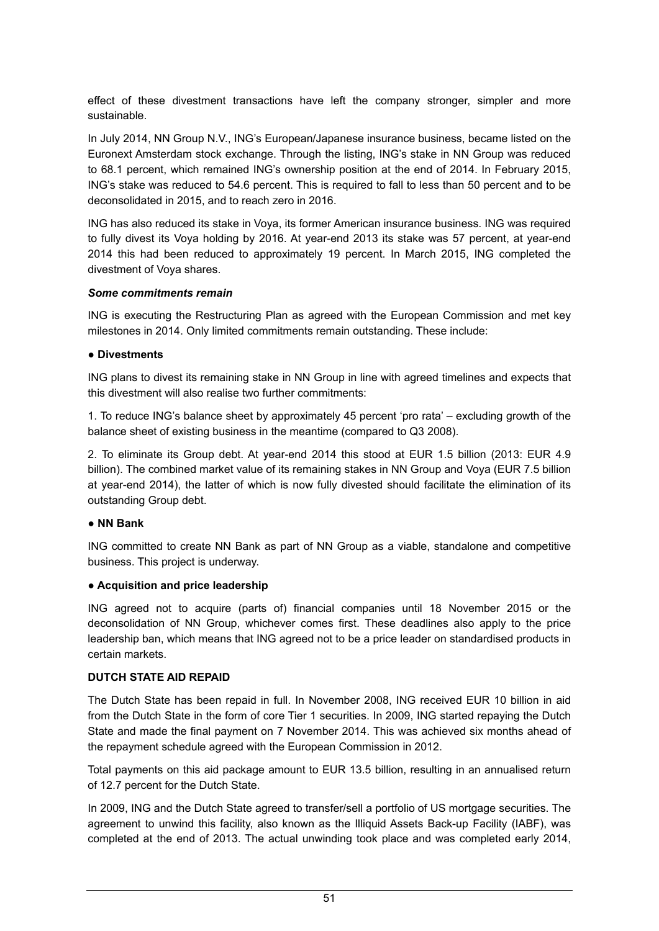effect of these divestment transactions have left the company stronger, simpler and more sustainable.

In July 2014, NN Group N.V., ING's European/Japanese insurance business, became listed on the Euronext Amsterdam stock exchange. Through the listing, ING's stake in NN Group was reduced to 68.1 percent, which remained ING's ownership position at the end of 2014. In February 2015, ING's stake was reduced to 54.6 percent. This is required to fall to less than 50 percent and to be deconsolidated in 2015, and to reach zero in 2016.

ING has also reduced its stake in Voya, its former American insurance business. ING was required to fully divest its Voya holding by 2016. At year-end 2013 its stake was 57 percent, at year-end 2014 this had been reduced to approximately 19 percent. In March 2015, ING completed the divestment of Voya shares.

### *Some commitments remain*

ING is executing the Restructuring Plan as agreed with the European Commission and met key milestones in 2014. Only limited commitments remain outstanding. These include:

### **● Divestments**

ING plans to divest its remaining stake in NN Group in line with agreed timelines and expects that this divestment will also realise two further commitments:

1. To reduce ING's balance sheet by approximately 45 percent 'pro rata' – excluding growth of the balance sheet of existing business in the meantime (compared to Q3 2008).

2. To eliminate its Group debt. At year-end 2014 this stood at EUR 1.5 billion (2013: EUR 4.9 billion). The combined market value of its remaining stakes in NN Group and Voya (EUR 7.5 billion at year-end 2014), the latter of which is now fully divested should facilitate the elimination of its outstanding Group debt.

### **● NN Bank**

ING committed to create NN Bank as part of NN Group as a viable, standalone and competitive business. This project is underway.

#### **● Acquisition and price leadership**

ING agreed not to acquire (parts of) financial companies until 18 November 2015 or the deconsolidation of NN Group, whichever comes first. These deadlines also apply to the price leadership ban, which means that ING agreed not to be a price leader on standardised products in certain markets.

#### **DUTCH STATE AID REPAID**

The Dutch State has been repaid in full. In November 2008, ING received EUR 10 billion in aid from the Dutch State in the form of core Tier 1 securities. In 2009, ING started repaying the Dutch State and made the final payment on 7 November 2014. This was achieved six months ahead of the repayment schedule agreed with the European Commission in 2012.

Total payments on this aid package amount to EUR 13.5 billion, resulting in an annualised return of 12.7 percent for the Dutch State.

In 2009, ING and the Dutch State agreed to transfer/sell a portfolio of US mortgage securities. The agreement to unwind this facility, also known as the Illiquid Assets Back-up Facility (IABF), was completed at the end of 2013. The actual unwinding took place and was completed early 2014,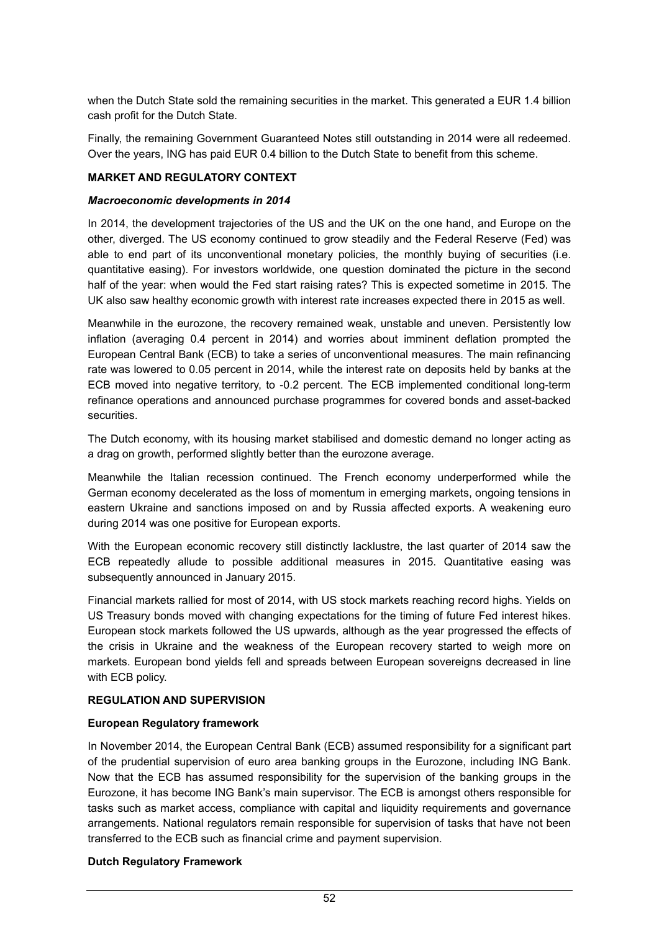when the Dutch State sold the remaining securities in the market. This generated a EUR 1.4 billion cash profit for the Dutch State.

Finally, the remaining Government Guaranteed Notes still outstanding in 2014 were all redeemed. Over the years, ING has paid EUR 0.4 billion to the Dutch State to benefit from this scheme.

### **MARKET AND REGULATORY CONTEXT**

#### *Macroeconomic developments in 2014*

In 2014, the development trajectories of the US and the UK on the one hand, and Europe on the other, diverged. The US economy continued to grow steadily and the Federal Reserve (Fed) was able to end part of its unconventional monetary policies, the monthly buying of securities (i.e. quantitative easing). For investors worldwide, one question dominated the picture in the second half of the year: when would the Fed start raising rates? This is expected sometime in 2015. The UK also saw healthy economic growth with interest rate increases expected there in 2015 as well.

Meanwhile in the eurozone, the recovery remained weak, unstable and uneven. Persistently low inflation (averaging 0.4 percent in 2014) and worries about imminent deflation prompted the European Central Bank (ECB) to take a series of unconventional measures. The main refinancing rate was lowered to 0.05 percent in 2014, while the interest rate on deposits held by banks at the ECB moved into negative territory, to -0.2 percent. The ECB implemented conditional long-term refinance operations and announced purchase programmes for covered bonds and asset-backed securities.

The Dutch economy, with its housing market stabilised and domestic demand no longer acting as a drag on growth, performed slightly better than the eurozone average.

Meanwhile the Italian recession continued. The French economy underperformed while the German economy decelerated as the loss of momentum in emerging markets, ongoing tensions in eastern Ukraine and sanctions imposed on and by Russia affected exports. A weakening euro during 2014 was one positive for European exports.

With the European economic recovery still distinctly lacklustre, the last quarter of 2014 saw the ECB repeatedly allude to possible additional measures in 2015. Quantitative easing was subsequently announced in January 2015.

Financial markets rallied for most of 2014, with US stock markets reaching record highs. Yields on US Treasury bonds moved with changing expectations for the timing of future Fed interest hikes. European stock markets followed the US upwards, although as the year progressed the effects of the crisis in Ukraine and the weakness of the European recovery started to weigh more on markets. European bond yields fell and spreads between European sovereigns decreased in line with ECB policy.

# **REGULATION AND SUPERVISION**

#### **European Regulatory framework**

In November 2014, the European Central Bank (ECB) assumed responsibility for a significant part of the prudential supervision of euro area banking groups in the Eurozone, including ING Bank. Now that the ECB has assumed responsibility for the supervision of the banking groups in the Eurozone, it has become ING Bank's main supervisor. The ECB is amongst others responsible for tasks such as market access, compliance with capital and liquidity requirements and governance arrangements. National regulators remain responsible for supervision of tasks that have not been transferred to the ECB such as financial crime and payment supervision.

#### **Dutch Regulatory Framework**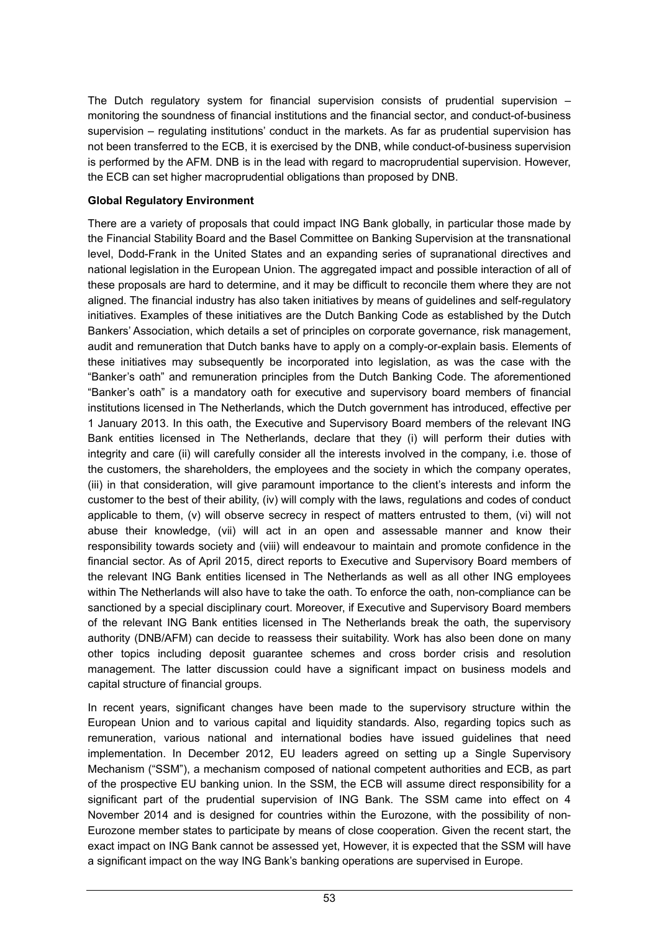The Dutch regulatory system for financial supervision consists of prudential supervision – monitoring the soundness of financial institutions and the financial sector, and conduct-of-business supervision – regulating institutions' conduct in the markets. As far as prudential supervision has not been transferred to the ECB, it is exercised by the DNB, while conduct-of-business supervision is performed by the AFM. DNB is in the lead with regard to macroprudential supervision. However, the ECB can set higher macroprudential obligations than proposed by DNB.

### **Global Regulatory Environment**

There are a variety of proposals that could impact ING Bank globally, in particular those made by the Financial Stability Board and the Basel Committee on Banking Supervision at the transnational level, Dodd-Frank in the United States and an expanding series of supranational directives and national legislation in the European Union. The aggregated impact and possible interaction of all of these proposals are hard to determine, and it may be difficult to reconcile them where they are not aligned. The financial industry has also taken initiatives by means of guidelines and self-regulatory initiatives. Examples of these initiatives are the Dutch Banking Code as established by the Dutch Bankers' Association, which details a set of principles on corporate governance, risk management, audit and remuneration that Dutch banks have to apply on a comply-or-explain basis. Elements of these initiatives may subsequently be incorporated into legislation, as was the case with the "Banker's oath" and remuneration principles from the Dutch Banking Code. The aforementioned "Banker's oath" is a mandatory oath for executive and supervisory board members of financial institutions licensed in The Netherlands, which the Dutch government has introduced, effective per 1 January 2013. In this oath, the Executive and Supervisory Board members of the relevant ING Bank entities licensed in The Netherlands, declare that they (i) will perform their duties with integrity and care (ii) will carefully consider all the interests involved in the company, i.e. those of the customers, the shareholders, the employees and the society in which the company operates, (iii) in that consideration, will give paramount importance to the client's interests and inform the customer to the best of their ability, (iv) will comply with the laws, regulations and codes of conduct applicable to them, (v) will observe secrecy in respect of matters entrusted to them, (vi) will not abuse their knowledge, (vii) will act in an open and assessable manner and know their responsibility towards society and (viii) will endeavour to maintain and promote confidence in the financial sector. As of April 2015, direct reports to Executive and Supervisory Board members of the relevant ING Bank entities licensed in The Netherlands as well as all other ING employees within The Netherlands will also have to take the oath. To enforce the oath, non-compliance can be sanctioned by a special disciplinary court. Moreover, if Executive and Supervisory Board members of the relevant ING Bank entities licensed in The Netherlands break the oath, the supervisory authority (DNB/AFM) can decide to reassess their suitability. Work has also been done on many other topics including deposit guarantee schemes and cross border crisis and resolution management. The latter discussion could have a significant impact on business models and capital structure of financial groups.

In recent years, significant changes have been made to the supervisory structure within the European Union and to various capital and liquidity standards. Also, regarding topics such as remuneration, various national and international bodies have issued guidelines that need implementation. In December 2012, EU leaders agreed on setting up a Single Supervisory Mechanism ("SSM"), a mechanism composed of national competent authorities and ECB, as part of the prospective EU banking union. In the SSM, the ECB will assume direct responsibility for a significant part of the prudential supervision of ING Bank. The SSM came into effect on 4 November 2014 and is designed for countries within the Eurozone, with the possibility of non-Eurozone member states to participate by means of close cooperation. Given the recent start, the exact impact on ING Bank cannot be assessed yet, However, it is expected that the SSM will have a significant impact on the way ING Bank's banking operations are supervised in Europe.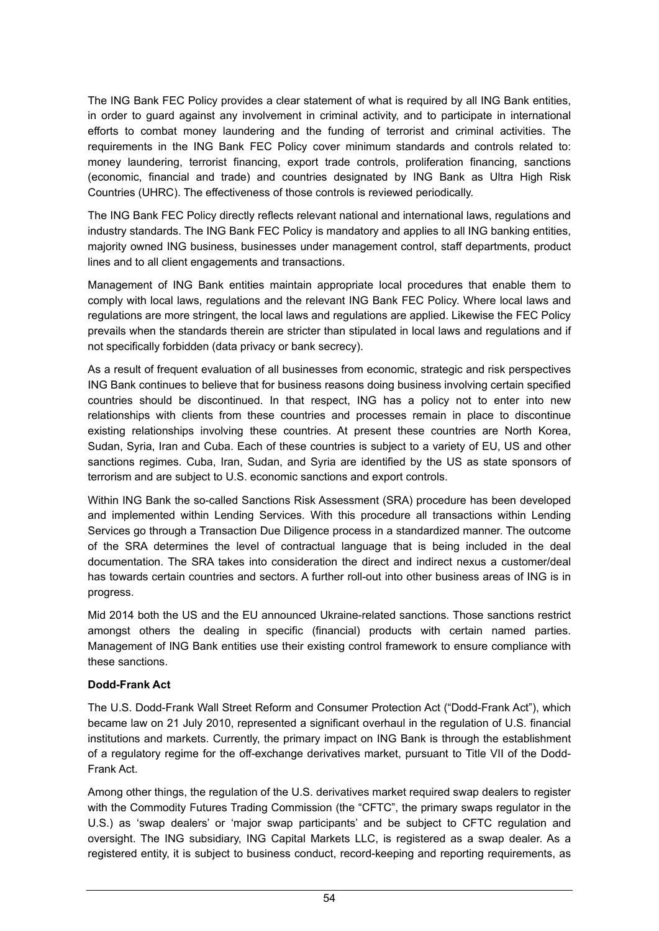The ING Bank FEC Policy provides a clear statement of what is required by all ING Bank entities, in order to guard against any involvement in criminal activity, and to participate in international efforts to combat money laundering and the funding of terrorist and criminal activities. The requirements in the ING Bank FEC Policy cover minimum standards and controls related to: money laundering, terrorist financing, export trade controls, proliferation financing, sanctions (economic, financial and trade) and countries designated by ING Bank as Ultra High Risk Countries (UHRC). The effectiveness of those controls is reviewed periodically.

The ING Bank FEC Policy directly reflects relevant national and international laws, regulations and industry standards. The ING Bank FEC Policy is mandatory and applies to all ING banking entities, majority owned ING business, businesses under management control, staff departments, product lines and to all client engagements and transactions.

Management of ING Bank entities maintain appropriate local procedures that enable them to comply with local laws, regulations and the relevant ING Bank FEC Policy. Where local laws and regulations are more stringent, the local laws and regulations are applied. Likewise the FEC Policy prevails when the standards therein are stricter than stipulated in local laws and regulations and if not specifically forbidden (data privacy or bank secrecy).

As a result of frequent evaluation of all businesses from economic, strategic and risk perspectives ING Bank continues to believe that for business reasons doing business involving certain specified countries should be discontinued. In that respect, ING has a policy not to enter into new relationships with clients from these countries and processes remain in place to discontinue existing relationships involving these countries. At present these countries are North Korea, Sudan, Syria, Iran and Cuba. Each of these countries is subject to a variety of EU, US and other sanctions regimes. Cuba, Iran, Sudan, and Syria are identified by the US as state sponsors of terrorism and are subject to U.S. economic sanctions and export controls.

Within ING Bank the so-called Sanctions Risk Assessment (SRA) procedure has been developed and implemented within Lending Services. With this procedure all transactions within Lending Services go through a Transaction Due Diligence process in a standardized manner. The outcome of the SRA determines the level of contractual language that is being included in the deal documentation. The SRA takes into consideration the direct and indirect nexus a customer/deal has towards certain countries and sectors. A further roll-out into other business areas of ING is in progress.

Mid 2014 both the US and the EU announced Ukraine-related sanctions. Those sanctions restrict amongst others the dealing in specific (financial) products with certain named parties. Management of ING Bank entities use their existing control framework to ensure compliance with these sanctions.

### **Dodd-Frank Act**

The U.S. Dodd-Frank Wall Street Reform and Consumer Protection Act ("Dodd-Frank Act"), which became law on 21 July 2010, represented a significant overhaul in the regulation of U.S. financial institutions and markets. Currently, the primary impact on ING Bank is through the establishment of a regulatory regime for the off-exchange derivatives market, pursuant to Title VII of the Dodd-Frank Act.

Among other things, the regulation of the U.S. derivatives market required swap dealers to register with the Commodity Futures Trading Commission (the "CFTC", the primary swaps regulator in the U.S.) as 'swap dealers' or 'major swap participants' and be subject to CFTC regulation and oversight. The ING subsidiary, ING Capital Markets LLC, is registered as a swap dealer. As a registered entity, it is subject to business conduct, record-keeping and reporting requirements, as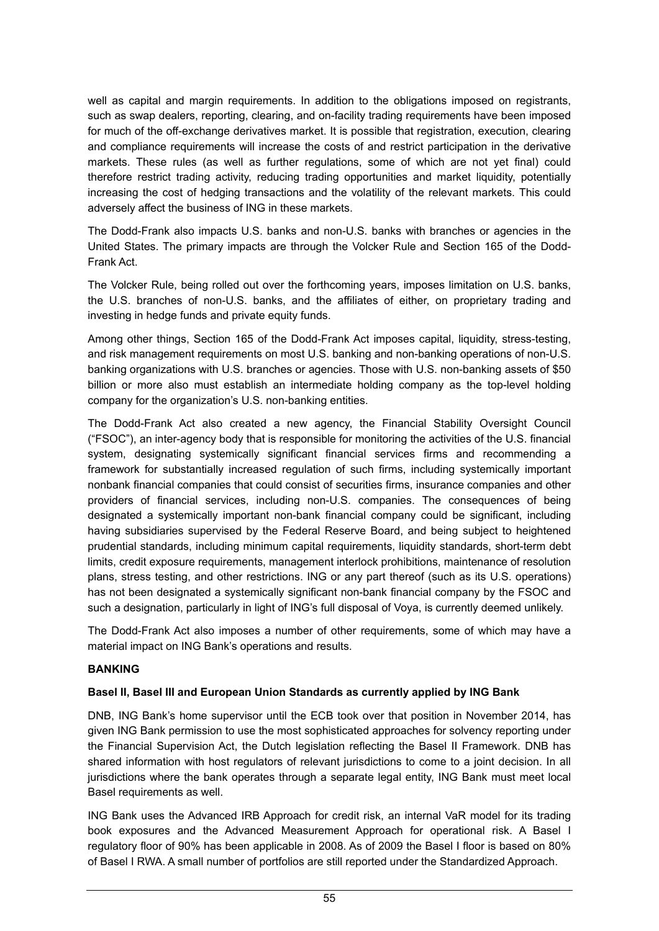well as capital and margin requirements. In addition to the obligations imposed on registrants, such as swap dealers, reporting, clearing, and on-facility trading requirements have been imposed for much of the off-exchange derivatives market. It is possible that registration, execution, clearing and compliance requirements will increase the costs of and restrict participation in the derivative markets. These rules (as well as further regulations, some of which are not yet final) could therefore restrict trading activity, reducing trading opportunities and market liquidity, potentially increasing the cost of hedging transactions and the volatility of the relevant markets. This could adversely affect the business of ING in these markets.

The Dodd-Frank also impacts U.S. banks and non-U.S. banks with branches or agencies in the United States. The primary impacts are through the Volcker Rule and Section 165 of the Dodd-Frank Act.

The Volcker Rule, being rolled out over the forthcoming years, imposes limitation on U.S. banks, the U.S. branches of non-U.S. banks, and the affiliates of either, on proprietary trading and investing in hedge funds and private equity funds.

Among other things, Section 165 of the Dodd-Frank Act imposes capital, liquidity, stress-testing, and risk management requirements on most U.S. banking and non-banking operations of non-U.S. banking organizations with U.S. branches or agencies. Those with U.S. non-banking assets of \$50 billion or more also must establish an intermediate holding company as the top-level holding company for the organization's U.S. non-banking entities.

The Dodd-Frank Act also created a new agency, the Financial Stability Oversight Council ("FSOC"), an inter-agency body that is responsible for monitoring the activities of the U.S. financial system, designating systemically significant financial services firms and recommending a framework for substantially increased regulation of such firms, including systemically important nonbank financial companies that could consist of securities firms, insurance companies and other providers of financial services, including non-U.S. companies. The consequences of being designated a systemically important non-bank financial company could be significant, including having subsidiaries supervised by the Federal Reserve Board, and being subject to heightened prudential standards, including minimum capital requirements, liquidity standards, short-term debt limits, credit exposure requirements, management interlock prohibitions, maintenance of resolution plans, stress testing, and other restrictions. ING or any part thereof (such as its U.S. operations) has not been designated a systemically significant non-bank financial company by the FSOC and such a designation, particularly in light of ING's full disposal of Voya, is currently deemed unlikely.

The Dodd-Frank Act also imposes a number of other requirements, some of which may have a material impact on ING Bank's operations and results.

### **BANKING**

#### **Basel II, Basel III and European Union Standards as currently applied by ING Bank**

DNB, ING Bank's home supervisor until the ECB took over that position in November 2014, has given ING Bank permission to use the most sophisticated approaches for solvency reporting under the Financial Supervision Act, the Dutch legislation reflecting the Basel II Framework. DNB has shared information with host regulators of relevant jurisdictions to come to a joint decision. In all jurisdictions where the bank operates through a separate legal entity, ING Bank must meet local Basel requirements as well.

ING Bank uses the Advanced IRB Approach for credit risk, an internal VaR model for its trading book exposures and the Advanced Measurement Approach for operational risk. A Basel I regulatory floor of 90% has been applicable in 2008. As of 2009 the Basel I floor is based on 80% of Basel I RWA. A small number of portfolios are still reported under the Standardized Approach.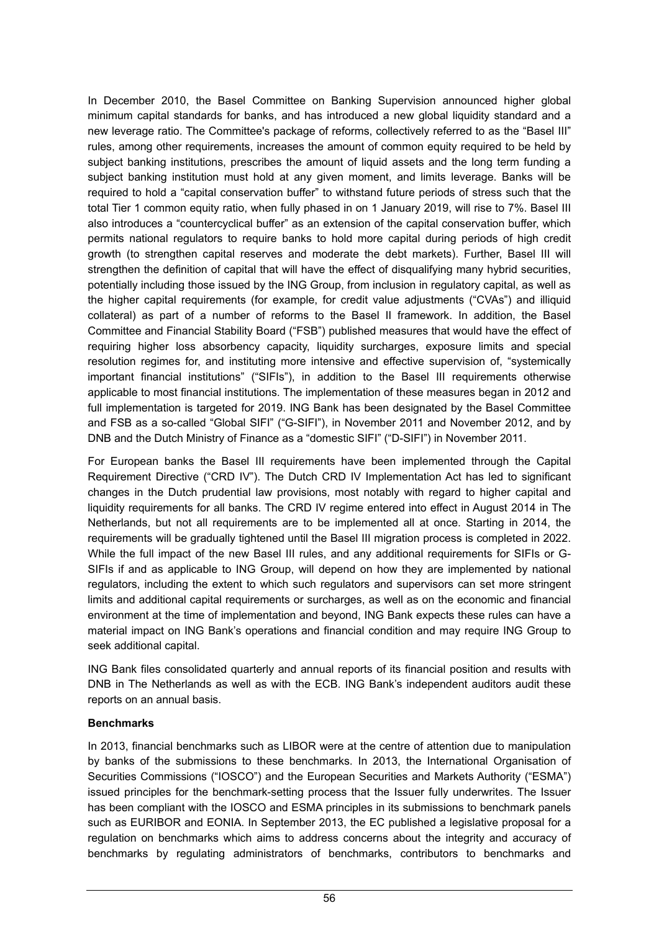In December 2010, the Basel Committee on Banking Supervision announced higher global minimum capital standards for banks, and has introduced a new global liquidity standard and a new leverage ratio. The Committee's package of reforms, collectively referred to as the "Basel III" rules, among other requirements, increases the amount of common equity required to be held by subject banking institutions, prescribes the amount of liquid assets and the long term funding a subject banking institution must hold at any given moment, and limits leverage. Banks will be required to hold a "capital conservation buffer" to withstand future periods of stress such that the total Tier 1 common equity ratio, when fully phased in on 1 January 2019, will rise to 7%. Basel III also introduces a "countercyclical buffer" as an extension of the capital conservation buffer, which permits national regulators to require banks to hold more capital during periods of high credit growth (to strengthen capital reserves and moderate the debt markets). Further, Basel III will strengthen the definition of capital that will have the effect of disqualifying many hybrid securities, potentially including those issued by the ING Group, from inclusion in regulatory capital, as well as the higher capital requirements (for example, for credit value adjustments ("CVAs") and illiquid collateral) as part of a number of reforms to the Basel II framework. In addition, the Basel Committee and Financial Stability Board ("FSB") published measures that would have the effect of requiring higher loss absorbency capacity, liquidity surcharges, exposure limits and special resolution regimes for, and instituting more intensive and effective supervision of, "systemically important financial institutions" ("SIFIs"), in addition to the Basel III requirements otherwise applicable to most financial institutions. The implementation of these measures began in 2012 and full implementation is targeted for 2019. ING Bank has been designated by the Basel Committee and FSB as a so-called "Global SIFI" ("G-SIFI"), in November 2011 and November 2012, and by DNB and the Dutch Ministry of Finance as a "domestic SIFI" ("D-SIFI") in November 2011.

For European banks the Basel III requirements have been implemented through the Capital Requirement Directive ("CRD IV"). The Dutch CRD IV Implementation Act has led to significant changes in the Dutch prudential law provisions, most notably with regard to higher capital and liquidity requirements for all banks. The CRD IV regime entered into effect in August 2014 in The Netherlands, but not all requirements are to be implemented all at once. Starting in 2014, the requirements will be gradually tightened until the Basel III migration process is completed in 2022. While the full impact of the new Basel III rules, and any additional requirements for SIFIs or G-SIFIs if and as applicable to ING Group, will depend on how they are implemented by national regulators, including the extent to which such regulators and supervisors can set more stringent limits and additional capital requirements or surcharges, as well as on the economic and financial environment at the time of implementation and beyond, ING Bank expects these rules can have a material impact on ING Bank's operations and financial condition and may require ING Group to seek additional capital.

ING Bank files consolidated quarterly and annual reports of its financial position and results with DNB in The Netherlands as well as with the ECB. ING Bank's independent auditors audit these reports on an annual basis.

### **Benchmarks**

In 2013, financial benchmarks such as LIBOR were at the centre of attention due to manipulation by banks of the submissions to these benchmarks. In 2013, the International Organisation of Securities Commissions ("IOSCO") and the European Securities and Markets Authority ("ESMA") issued principles for the benchmark-setting process that the Issuer fully underwrites. The Issuer has been compliant with the IOSCO and ESMA principles in its submissions to benchmark panels such as EURIBOR and EONIA. In September 2013, the EC published a legislative proposal for a regulation on benchmarks which aims to address concerns about the integrity and accuracy of benchmarks by regulating administrators of benchmarks, contributors to benchmarks and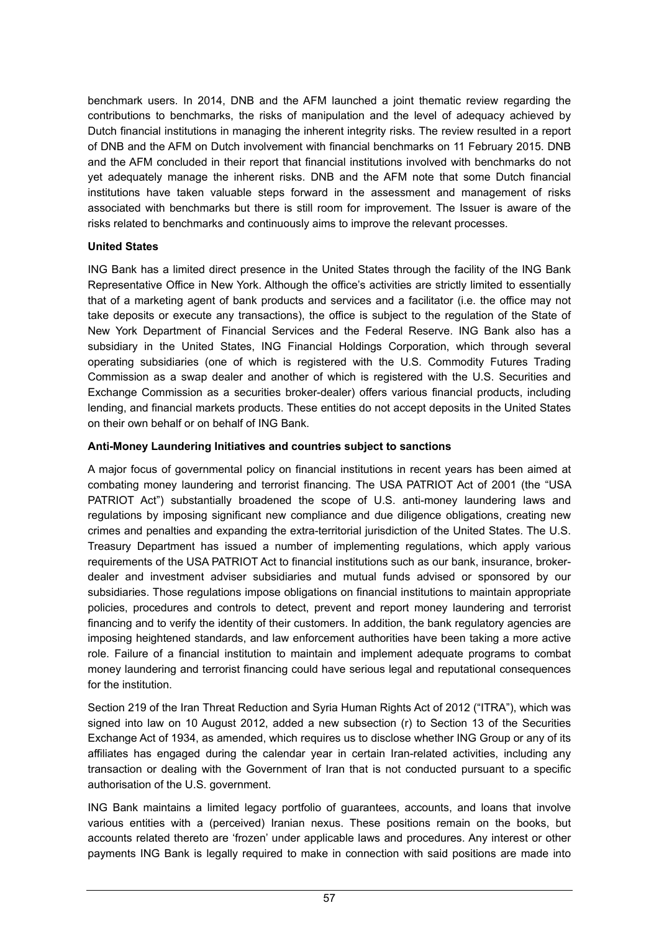benchmark users. In 2014, DNB and the AFM launched a joint thematic review regarding the contributions to benchmarks, the risks of manipulation and the level of adequacy achieved by Dutch financial institutions in managing the inherent integrity risks. The review resulted in a report of DNB and the AFM on Dutch involvement with financial benchmarks on 11 February 2015. DNB and the AFM concluded in their report that financial institutions involved with benchmarks do not yet adequately manage the inherent risks. DNB and the AFM note that some Dutch financial institutions have taken valuable steps forward in the assessment and management of risks associated with benchmarks but there is still room for improvement. The Issuer is aware of the risks related to benchmarks and continuously aims to improve the relevant processes.

### **United States**

ING Bank has a limited direct presence in the United States through the facility of the ING Bank Representative Office in New York. Although the office's activities are strictly limited to essentially that of a marketing agent of bank products and services and a facilitator (i.e. the office may not take deposits or execute any transactions), the office is subject to the regulation of the State of New York Department of Financial Services and the Federal Reserve. ING Bank also has a subsidiary in the United States, ING Financial Holdings Corporation, which through several operating subsidiaries (one of which is registered with the U.S. Commodity Futures Trading Commission as a swap dealer and another of which is registered with the U.S. Securities and Exchange Commission as a securities broker-dealer) offers various financial products, including lending, and financial markets products. These entities do not accept deposits in the United States on their own behalf or on behalf of ING Bank.

### **Anti-Money Laundering Initiatives and countries subject to sanctions**

A major focus of governmental policy on financial institutions in recent years has been aimed at combating money laundering and terrorist financing. The USA PATRIOT Act of 2001 (the "USA PATRIOT Act") substantially broadened the scope of U.S. anti-money laundering laws and regulations by imposing significant new compliance and due diligence obligations, creating new crimes and penalties and expanding the extra-territorial jurisdiction of the United States. The U.S. Treasury Department has issued a number of implementing regulations, which apply various requirements of the USA PATRIOT Act to financial institutions such as our bank, insurance, brokerdealer and investment adviser subsidiaries and mutual funds advised or sponsored by our subsidiaries. Those regulations impose obligations on financial institutions to maintain appropriate policies, procedures and controls to detect, prevent and report money laundering and terrorist financing and to verify the identity of their customers. In addition, the bank regulatory agencies are imposing heightened standards, and law enforcement authorities have been taking a more active role. Failure of a financial institution to maintain and implement adequate programs to combat money laundering and terrorist financing could have serious legal and reputational consequences for the institution.

Section 219 of the Iran Threat Reduction and Syria Human Rights Act of 2012 ("ITRA"), which was signed into law on 10 August 2012, added a new subsection (r) to Section 13 of the Securities Exchange Act of 1934, as amended, which requires us to disclose whether ING Group or any of its affiliates has engaged during the calendar year in certain Iran-related activities, including any transaction or dealing with the Government of Iran that is not conducted pursuant to a specific authorisation of the U.S. government.

ING Bank maintains a limited legacy portfolio of guarantees, accounts, and loans that involve various entities with a (perceived) Iranian nexus. These positions remain on the books, but accounts related thereto are 'frozen' under applicable laws and procedures. Any interest or other payments ING Bank is legally required to make in connection with said positions are made into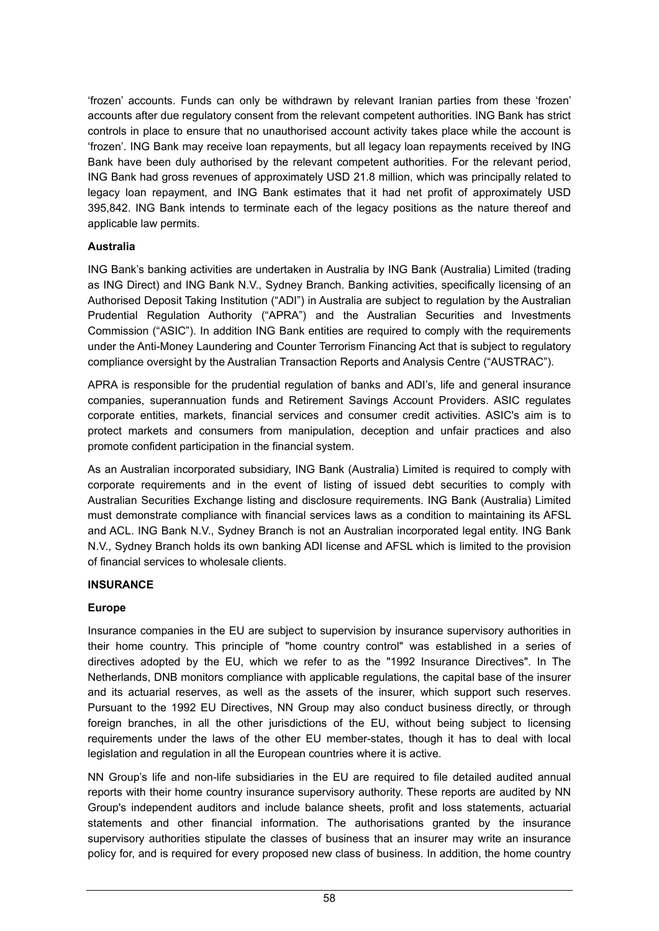'frozen' accounts. Funds can only be withdrawn by relevant Iranian parties from these 'frozen' accounts after due regulatory consent from the relevant competent authorities. ING Bank has strict controls in place to ensure that no unauthorised account activity takes place while the account is 'frozen'. ING Bank may receive loan repayments, but all legacy loan repayments received by ING Bank have been duly authorised by the relevant competent authorities. For the relevant period, ING Bank had gross revenues of approximately USD 21.8 million, which was principally related to legacy loan repayment, and ING Bank estimates that it had net profit of approximately USD 395,842. ING Bank intends to terminate each of the legacy positions as the nature thereof and applicable law permits.

### **Australia**

ING Bank's banking activities are undertaken in Australia by ING Bank (Australia) Limited (trading as ING Direct) and ING Bank N.V., Sydney Branch. Banking activities, specifically licensing of an Authorised Deposit Taking Institution ("ADI") in Australia are subject to regulation by the Australian Prudential Regulation Authority ("APRA") and the Australian Securities and Investments Commission ("ASIC"). In addition ING Bank entities are required to comply with the requirements under the Anti-Money Laundering and Counter Terrorism Financing Act that is subject to regulatory compliance oversight by the Australian Transaction Reports and Analysis Centre ("AUSTRAC").

APRA is responsible for the prudential regulation of banks and ADI's, life and general insurance companies, superannuation funds and Retirement Savings Account Providers. ASIC regulates corporate entities, markets, financial services and consumer credit activities. ASIC's aim is to protect markets and consumers from manipulation, deception and unfair practices and also promote confident participation in the financial system.

As an Australian incorporated subsidiary, ING Bank (Australia) Limited is required to comply with corporate requirements and in the event of listing of issued debt securities to comply with Australian Securities Exchange listing and disclosure requirements. ING Bank (Australia) Limited must demonstrate compliance with financial services laws as a condition to maintaining its AFSL and ACL. ING Bank N.V., Sydney Branch is not an Australian incorporated legal entity. ING Bank N.V., Sydney Branch holds its own banking ADI license and AFSL which is limited to the provision of financial services to wholesale clients.

### **INSURANCE**

# **Europe**

Insurance companies in the EU are subject to supervision by insurance supervisory authorities in their home country. This principle of "home country control" was established in a series of directives adopted by the EU, which we refer to as the "1992 Insurance Directives". In The Netherlands, DNB monitors compliance with applicable regulations, the capital base of the insurer and its actuarial reserves, as well as the assets of the insurer, which support such reserves. Pursuant to the 1992 EU Directives, NN Group may also conduct business directly, or through foreign branches, in all the other jurisdictions of the EU, without being subject to licensing requirements under the laws of the other EU member-states, though it has to deal with local legislation and regulation in all the European countries where it is active.

NN Group's life and non-life subsidiaries in the EU are required to file detailed audited annual reports with their home country insurance supervisory authority. These reports are audited by NN Group's independent auditors and include balance sheets, profit and loss statements, actuarial statements and other financial information. The authorisations granted by the insurance supervisory authorities stipulate the classes of business that an insurer may write an insurance policy for, and is required for every proposed new class of business. In addition, the home country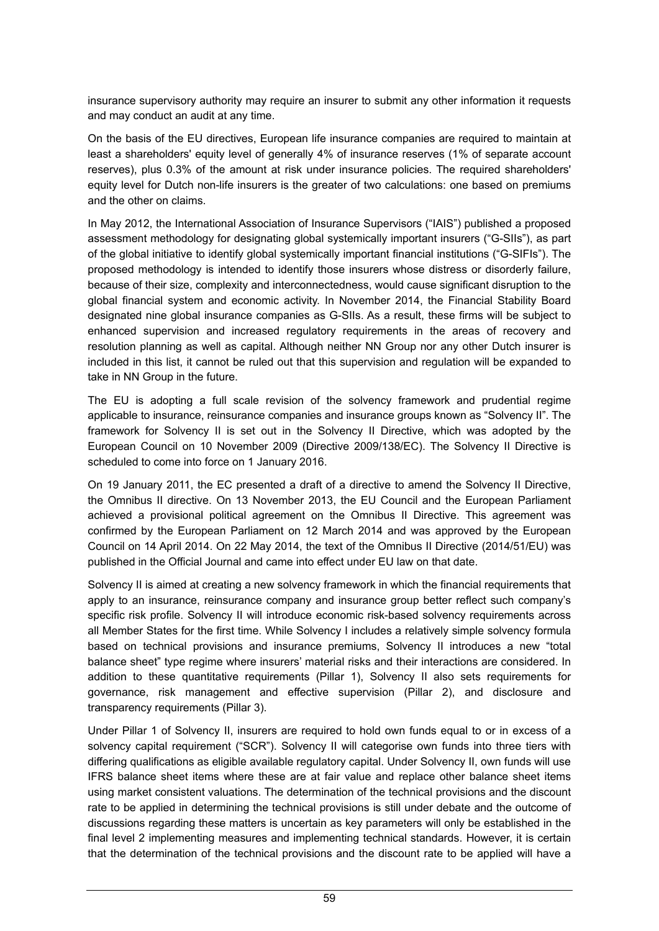insurance supervisory authority may require an insurer to submit any other information it requests and may conduct an audit at any time.

On the basis of the EU directives, European life insurance companies are required to maintain at least a shareholders' equity level of generally 4% of insurance reserves (1% of separate account reserves), plus 0.3% of the amount at risk under insurance policies. The required shareholders' equity level for Dutch non-life insurers is the greater of two calculations: one based on premiums and the other on claims.

In May 2012, the International Association of Insurance Supervisors ("IAIS") published a proposed assessment methodology for designating global systemically important insurers ("G-SIIs"), as part of the global initiative to identify global systemically important financial institutions ("G-SIFIs"). The proposed methodology is intended to identify those insurers whose distress or disorderly failure, because of their size, complexity and interconnectedness, would cause significant disruption to the global financial system and economic activity. In November 2014, the Financial Stability Board designated nine global insurance companies as G-SIIs. As a result, these firms will be subject to enhanced supervision and increased regulatory requirements in the areas of recovery and resolution planning as well as capital. Although neither NN Group nor any other Dutch insurer is included in this list, it cannot be ruled out that this supervision and regulation will be expanded to take in NN Group in the future.

The EU is adopting a full scale revision of the solvency framework and prudential regime applicable to insurance, reinsurance companies and insurance groups known as "Solvency II". The framework for Solvency II is set out in the Solvency II Directive, which was adopted by the European Council on 10 November 2009 (Directive 2009/138/EC). The Solvency II Directive is scheduled to come into force on 1 January 2016.

On 19 January 2011, the EC presented a draft of a directive to amend the Solvency II Directive, the Omnibus II directive. On 13 November 2013, the EU Council and the European Parliament achieved a provisional political agreement on the Omnibus II Directive. This agreement was confirmed by the European Parliament on 12 March 2014 and was approved by the European Council on 14 April 2014. On 22 May 2014, the text of the Omnibus II Directive (2014/51/EU) was published in the Official Journal and came into effect under EU law on that date.

Solvency II is aimed at creating a new solvency framework in which the financial requirements that apply to an insurance, reinsurance company and insurance group better reflect such company's specific risk profile. Solvency II will introduce economic risk-based solvency requirements across all Member States for the first time. While Solvency I includes a relatively simple solvency formula based on technical provisions and insurance premiums, Solvency II introduces a new "total balance sheet" type regime where insurers' material risks and their interactions are considered. In addition to these quantitative requirements (Pillar 1), Solvency II also sets requirements for governance, risk management and effective supervision (Pillar 2), and disclosure and transparency requirements (Pillar 3).

Under Pillar 1 of Solvency II, insurers are required to hold own funds equal to or in excess of a solvency capital requirement ("SCR"). Solvency II will categorise own funds into three tiers with differing qualifications as eligible available regulatory capital. Under Solvency II, own funds will use IFRS balance sheet items where these are at fair value and replace other balance sheet items using market consistent valuations. The determination of the technical provisions and the discount rate to be applied in determining the technical provisions is still under debate and the outcome of discussions regarding these matters is uncertain as key parameters will only be established in the final level 2 implementing measures and implementing technical standards. However, it is certain that the determination of the technical provisions and the discount rate to be applied will have a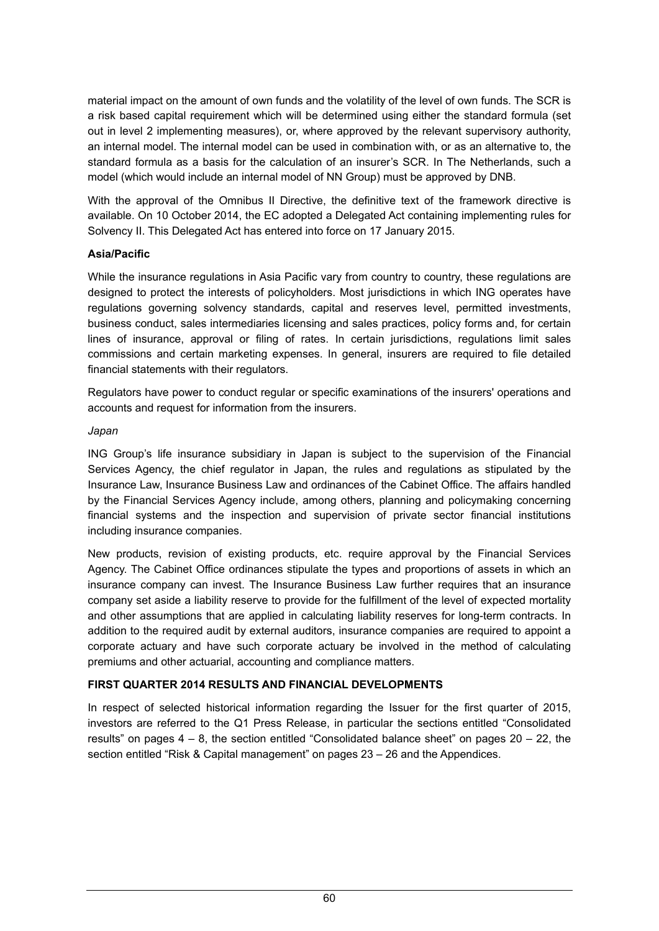material impact on the amount of own funds and the volatility of the level of own funds. The SCR is a risk based capital requirement which will be determined using either the standard formula (set out in level 2 implementing measures), or, where approved by the relevant supervisory authority, an internal model. The internal model can be used in combination with, or as an alternative to, the standard formula as a basis for the calculation of an insurer's SCR. In The Netherlands, such a model (which would include an internal model of NN Group) must be approved by DNB.

With the approval of the Omnibus II Directive, the definitive text of the framework directive is available. On 10 October 2014, the EC adopted a Delegated Act containing implementing rules for Solvency II. This Delegated Act has entered into force on 17 January 2015.

### **Asia/Pacific**

While the insurance regulations in Asia Pacific vary from country to country, these regulations are designed to protect the interests of policyholders. Most jurisdictions in which ING operates have regulations governing solvency standards, capital and reserves level, permitted investments, business conduct, sales intermediaries licensing and sales practices, policy forms and, for certain lines of insurance, approval or filing of rates. In certain jurisdictions, regulations limit sales commissions and certain marketing expenses. In general, insurers are required to file detailed financial statements with their regulators.

Regulators have power to conduct regular or specific examinations of the insurers' operations and accounts and request for information from the insurers.

#### *Japan*

ING Group's life insurance subsidiary in Japan is subject to the supervision of the Financial Services Agency, the chief regulator in Japan, the rules and regulations as stipulated by the Insurance Law, Insurance Business Law and ordinances of the Cabinet Office. The affairs handled by the Financial Services Agency include, among others, planning and policymaking concerning financial systems and the inspection and supervision of private sector financial institutions including insurance companies.

New products, revision of existing products, etc. require approval by the Financial Services Agency. The Cabinet Office ordinances stipulate the types and proportions of assets in which an insurance company can invest. The Insurance Business Law further requires that an insurance company set aside a liability reserve to provide for the fulfillment of the level of expected mortality and other assumptions that are applied in calculating liability reserves for long-term contracts. In addition to the required audit by external auditors, insurance companies are required to appoint a corporate actuary and have such corporate actuary be involved in the method of calculating premiums and other actuarial, accounting and compliance matters.

### **FIRST QUARTER 2014 RESULTS AND FINANCIAL DEVELOPMENTS**

In respect of selected historical information regarding the Issuer for the first quarter of 2015, investors are referred to the Q1 Press Release, in particular the sections entitled "Consolidated results" on pages  $4 - 8$ , the section entitled "Consolidated balance sheet" on pages  $20 - 22$ , the section entitled "Risk & Capital management" on pages 23 – 26 and the Appendices.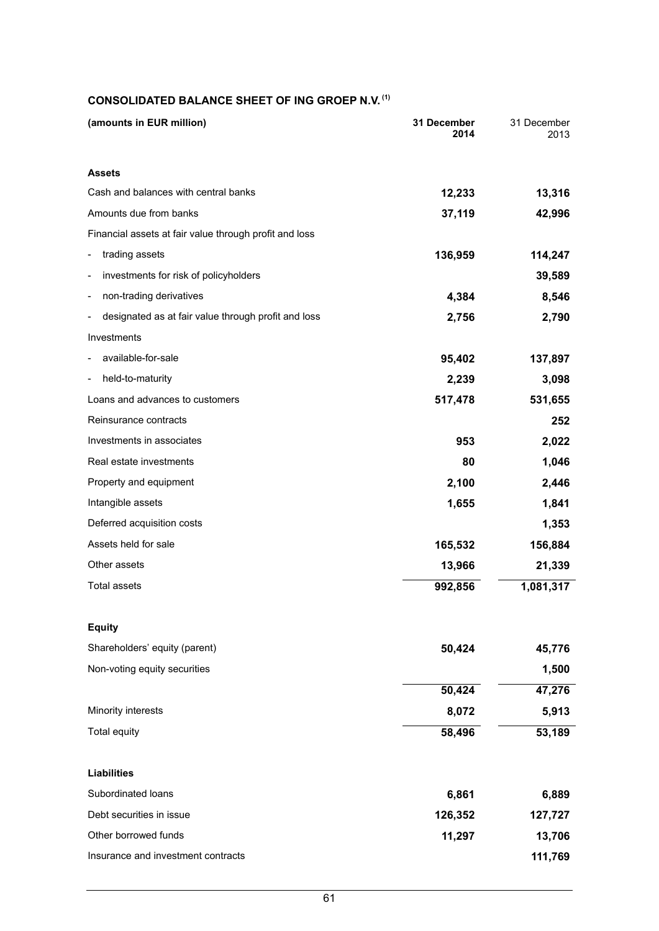#### **CONSOLIDATED BALANCE SHEET OF ING GROEP N.V. (1)**

| (amounts in EUR million)                                | 31 December<br>2014 | 31 December<br>2013 |
|---------------------------------------------------------|---------------------|---------------------|
| <b>Assets</b>                                           |                     |                     |
| Cash and balances with central banks                    | 12,233              | 13,316              |
| Amounts due from banks                                  | 37,119              | 42,996              |
| Financial assets at fair value through profit and loss  |                     |                     |
| trading assets<br>$\overline{\phantom{0}}$              | 136,959             | 114,247             |
| investments for risk of policyholders<br>$\overline{a}$ |                     | 39,589              |
| non-trading derivatives<br>$\overline{a}$               | 4,384               | 8,546               |
| designated as at fair value through profit and loss     | 2,756               | 2,790               |
| Investments                                             |                     |                     |
| available-for-sale                                      | 95,402              | 137,897             |
| held-to-maturity<br>$\overline{a}$                      | 2,239               | 3,098               |
| Loans and advances to customers                         | 517,478             | 531,655             |
| Reinsurance contracts                                   |                     | 252                 |
| Investments in associates                               | 953                 | 2,022               |
| Real estate investments                                 | 80                  | 1,046               |
| Property and equipment                                  | 2,100               | 2,446               |
| Intangible assets                                       | 1,655               | 1,841               |
| Deferred acquisition costs                              |                     | 1,353               |
| Assets held for sale                                    | 165,532             | 156,884             |
| Other assets                                            | 13,966              | 21,339              |
| <b>Total assets</b>                                     | 992,856             | 1,081,317           |
| <b>Equity</b>                                           |                     |                     |
| Shareholders' equity (parent)                           | 50,424              | 45,776              |
| Non-voting equity securities                            |                     | 1,500               |
|                                                         | 50,424              | 47,276              |
| Minority interests                                      | 8,072               | 5,913               |
| Total equity                                            | 58,496              | 53,189              |
| <b>Liabilities</b>                                      |                     |                     |
| Subordinated loans                                      | 6,861               | 6,889               |
| Debt securities in issue                                | 126,352             | 127,727             |
| Other borrowed funds                                    | 11,297              | 13,706              |
| Insurance and investment contracts                      |                     | 111,769             |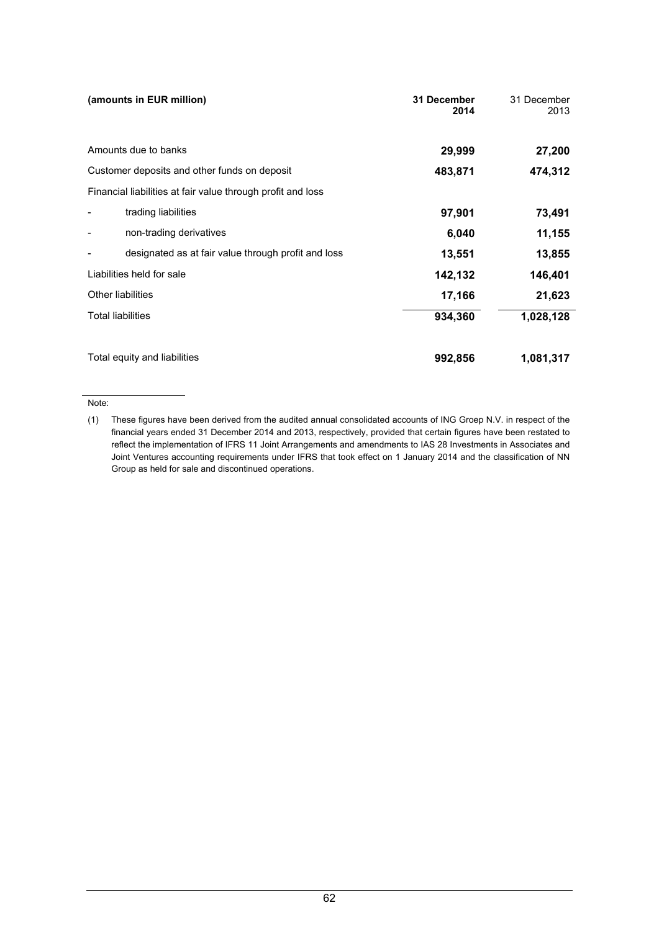| (amounts in EUR million)                                    | 31 December<br>2014 | 31 December<br>2013 |
|-------------------------------------------------------------|---------------------|---------------------|
| Amounts due to banks                                        | 29,999              | 27,200              |
| Customer deposits and other funds on deposit                | 483,871             | 474,312             |
| Financial liabilities at fair value through profit and loss |                     |                     |
| trading liabilities                                         | 97,901              | 73,491              |
| non-trading derivatives                                     | 6,040               | 11,155              |
| designated as at fair value through profit and loss         | 13,551              | 13,855              |
| Liabilities held for sale                                   | 142,132             | 146,401             |
| <b>Other liabilities</b>                                    | 17,166              | 21,623              |
| <b>Total liabilities</b>                                    | 934,360             | 1,028,128           |
| Total equity and liabilities                                | 992,856             | 1,081,317           |

#### Note:

<sup>(1)</sup> These figures have been derived from the audited annual consolidated accounts of ING Groep N.V. in respect of the financial years ended 31 December 2014 and 2013, respectively, provided that certain figures have been restated to reflect the implementation of IFRS 11 Joint Arrangements and amendments to IAS 28 Investments in Associates and Joint Ventures accounting requirements under IFRS that took effect on 1 January 2014 and the classification of NN Group as held for sale and discontinued operations.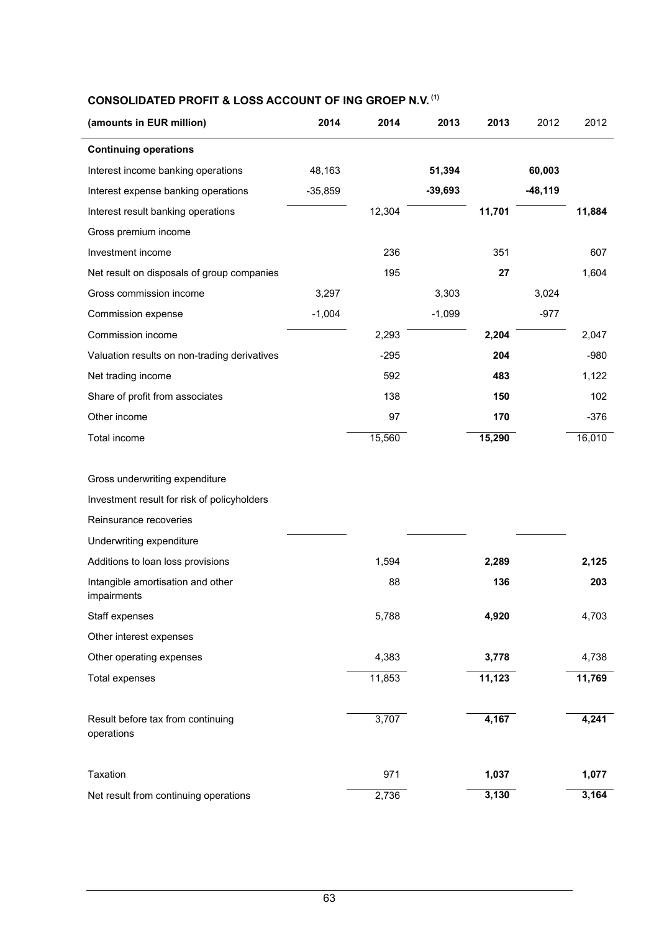### **CONSOLIDATED PROFIT & LOSS ACCOUNT OF ING GROEP N.V. (1)**

| (amounts in EUR million)                         | 2014      | 2014   | 2013      | 2013   | 2012      | 2012   |
|--------------------------------------------------|-----------|--------|-----------|--------|-----------|--------|
| <b>Continuing operations</b>                     |           |        |           |        |           |        |
| Interest income banking operations               | 48,163    |        | 51,394    |        | 60,003    |        |
| Interest expense banking operations              | $-35,859$ |        | $-39,693$ |        | $-48,119$ |        |
| Interest result banking operations               |           | 12,304 |           | 11,701 |           | 11,884 |
| Gross premium income                             |           |        |           |        |           |        |
| Investment income                                |           | 236    |           | 351    |           | 607    |
| Net result on disposals of group companies       |           | 195    |           | 27     |           | 1,604  |
| Gross commission income                          | 3,297     |        | 3,303     |        | 3,024     |        |
| Commission expense                               | $-1,004$  |        | $-1,099$  |        | $-977$    |        |
| Commission income                                |           | 2,293  |           | 2,204  |           | 2,047  |
| Valuation results on non-trading derivatives     |           | $-295$ |           | 204    |           | $-980$ |
| Net trading income                               |           | 592    |           | 483    |           | 1,122  |
| Share of profit from associates                  |           | 138    |           | 150    |           | 102    |
| Other income                                     |           | 97     |           | 170    |           | $-376$ |
| Total income                                     |           | 15,560 |           | 15,290 |           | 16,010 |
|                                                  |           |        |           |        |           |        |
| Gross underwriting expenditure                   |           |        |           |        |           |        |
| Investment result for risk of policyholders      |           |        |           |        |           |        |
| Reinsurance recoveries                           |           |        |           |        |           |        |
| Underwriting expenditure                         |           |        |           |        |           |        |
| Additions to loan loss provisions                |           | 1,594  |           | 2,289  |           | 2,125  |
| Intangible amortisation and other<br>impairments |           | 88     |           | 136    |           | 203    |
| Staff expenses                                   |           | 5,788  |           | 4,920  |           | 4,703  |
| Other interest expenses                          |           |        |           |        |           |        |
| Other operating expenses                         |           | 4,383  |           | 3,778  |           | 4,738  |
| Total expenses                                   |           | 11,853 |           | 11,123 |           | 11,769 |
|                                                  |           |        |           |        |           |        |
| Result before tax from continuing<br>operations  |           | 3,707  |           | 4,167  |           | 4,241  |
|                                                  |           |        |           |        |           |        |
| Taxation                                         |           | 971    |           | 1,037  |           | 1,077  |
| Net result from continuing operations            |           | 2,736  |           | 3,130  |           | 3,164  |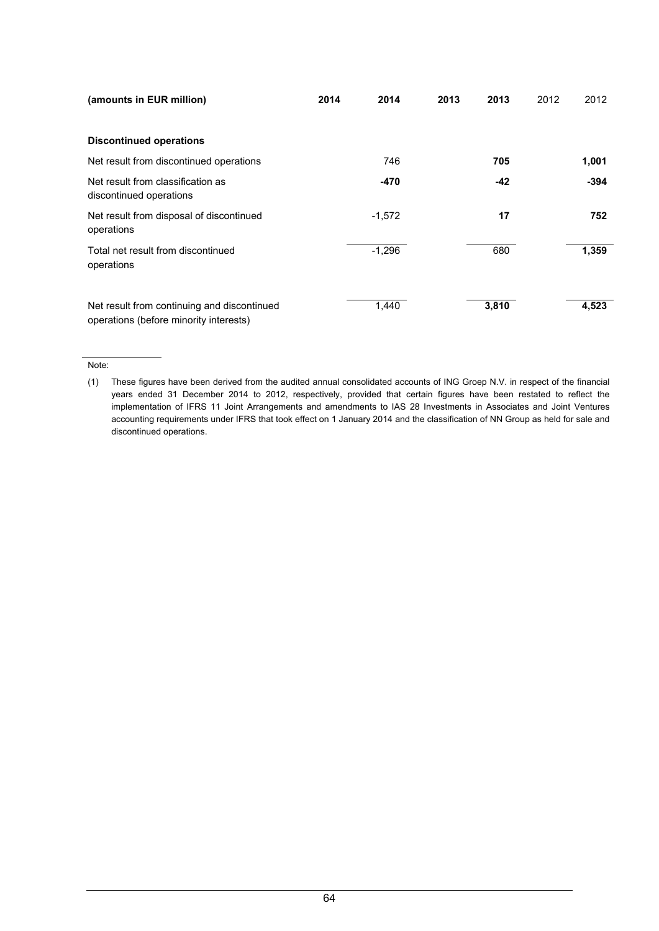| (amounts in EUR million)                                                              | 2014 | 2014     | 2013 | 2013  | 2012 | 2012   |
|---------------------------------------------------------------------------------------|------|----------|------|-------|------|--------|
| <b>Discontinued operations</b>                                                        |      |          |      |       |      |        |
| Net result from discontinued operations                                               |      | 746      |      | 705   |      | 1,001  |
| Net result from classification as<br>discontinued operations                          |      | -470     |      | -42   |      | $-394$ |
| Net result from disposal of discontinued<br>operations                                |      | $-1,572$ |      | 17    |      | 752    |
| Total net result from discontinued<br>operations                                      |      | $-1,296$ |      | 680   |      | 1,359  |
| Net result from continuing and discontinued<br>operations (before minority interests) |      | 1,440    |      | 3,810 |      | 4,523  |

#### Note:

(1) These figures have been derived from the audited annual consolidated accounts of ING Groep N.V. in respect of the financial years ended 31 December 2014 to 2012, respectively, provided that certain figures have been restated to reflect the implementation of IFRS 11 Joint Arrangements and amendments to IAS 28 Investments in Associates and Joint Ventures accounting requirements under IFRS that took effect on 1 January 2014 and the classification of NN Group as held for sale and discontinued operations.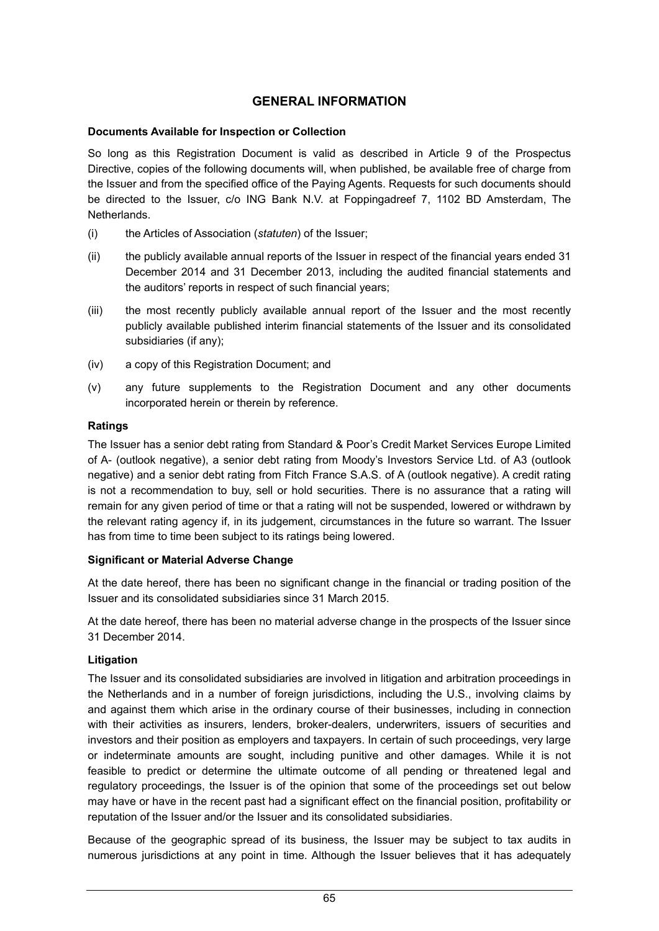# **GENERAL INFORMATION**

#### **Documents Available for Inspection or Collection**

So long as this Registration Document is valid as described in Article 9 of the Prospectus Directive, copies of the following documents will, when published, be available free of charge from the Issuer and from the specified office of the Paying Agents. Requests for such documents should be directed to the Issuer, c/o ING Bank N.V. at Foppingadreef 7, 1102 BD Amsterdam, The Netherlands.

- (i) the Articles of Association (*statuten*) of the Issuer;
- (ii) the publicly available annual reports of the Issuer in respect of the financial years ended 31 December 2014 and 31 December 2013, including the audited financial statements and the auditors' reports in respect of such financial years;
- (iii) the most recently publicly available annual report of the Issuer and the most recently publicly available published interim financial statements of the Issuer and its consolidated subsidiaries (if any);
- (iv) a copy of this Registration Document; and
- (v) any future supplements to the Registration Document and any other documents incorporated herein or therein by reference.

#### **Ratings**

The Issuer has a senior debt rating from Standard & Poor's Credit Market Services Europe Limited of A- (outlook negative), a senior debt rating from Moody's Investors Service Ltd. of A3 (outlook negative) and a senior debt rating from Fitch France S.A.S. of A (outlook negative). A credit rating is not a recommendation to buy, sell or hold securities. There is no assurance that a rating will remain for any given period of time or that a rating will not be suspended, lowered or withdrawn by the relevant rating agency if, in its judgement, circumstances in the future so warrant. The Issuer has from time to time been subject to its ratings being lowered.

#### **Significant or Material Adverse Change**

At the date hereof, there has been no significant change in the financial or trading position of the Issuer and its consolidated subsidiaries since 31 March 2015.

At the date hereof, there has been no material adverse change in the prospects of the Issuer since 31 December 2014.

#### **Litigation**

The Issuer and its consolidated subsidiaries are involved in litigation and arbitration proceedings in the Netherlands and in a number of foreign jurisdictions, including the U.S., involving claims by and against them which arise in the ordinary course of their businesses, including in connection with their activities as insurers, lenders, broker-dealers, underwriters, issuers of securities and investors and their position as employers and taxpayers. In certain of such proceedings, very large or indeterminate amounts are sought, including punitive and other damages. While it is not feasible to predict or determine the ultimate outcome of all pending or threatened legal and regulatory proceedings, the Issuer is of the opinion that some of the proceedings set out below may have or have in the recent past had a significant effect on the financial position, profitability or reputation of the Issuer and/or the Issuer and its consolidated subsidiaries.

Because of the geographic spread of its business, the Issuer may be subject to tax audits in numerous jurisdictions at any point in time. Although the Issuer believes that it has adequately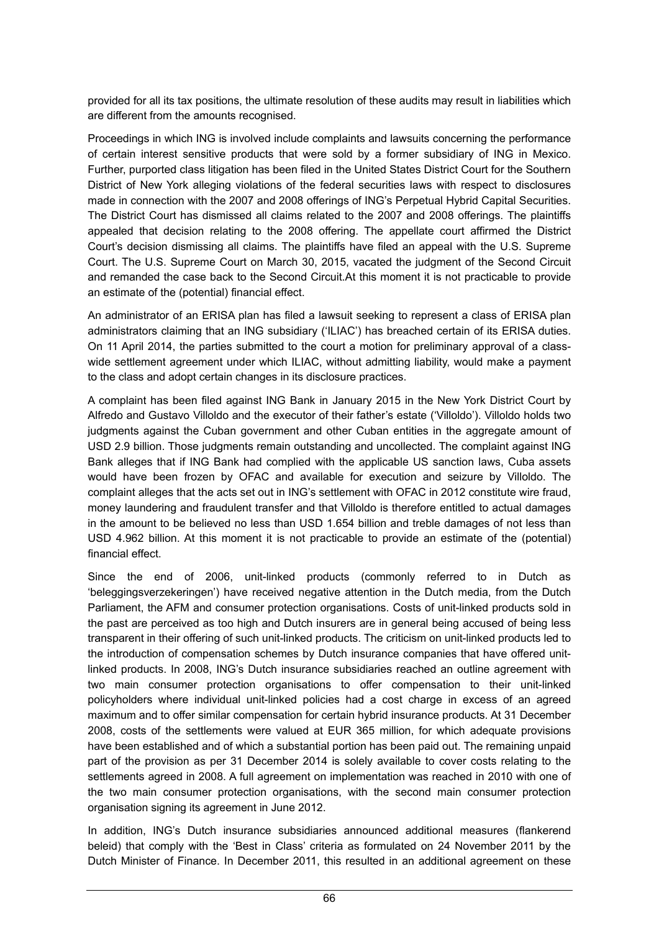provided for all its tax positions, the ultimate resolution of these audits may result in liabilities which are different from the amounts recognised.

Proceedings in which ING is involved include complaints and lawsuits concerning the performance of certain interest sensitive products that were sold by a former subsidiary of ING in Mexico. Further, purported class litigation has been filed in the United States District Court for the Southern District of New York alleging violations of the federal securities laws with respect to disclosures made in connection with the 2007 and 2008 offerings of ING's Perpetual Hybrid Capital Securities. The District Court has dismissed all claims related to the 2007 and 2008 offerings. The plaintiffs appealed that decision relating to the 2008 offering. The appellate court affirmed the District Court's decision dismissing all claims. The plaintiffs have filed an appeal with the U.S. Supreme Court. The U.S. Supreme Court on March 30, 2015, vacated the judgment of the Second Circuit and remanded the case back to the Second Circuit.At this moment it is not practicable to provide an estimate of the (potential) financial effect.

An administrator of an ERISA plan has filed a lawsuit seeking to represent a class of ERISA plan administrators claiming that an ING subsidiary ('ILIAC') has breached certain of its ERISA duties. On 11 April 2014, the parties submitted to the court a motion for preliminary approval of a classwide settlement agreement under which ILIAC, without admitting liability, would make a payment to the class and adopt certain changes in its disclosure practices.

A complaint has been filed against ING Bank in January 2015 in the New York District Court by Alfredo and Gustavo Villoldo and the executor of their father's estate ('Villoldo'). Villoldo holds two judgments against the Cuban government and other Cuban entities in the aggregate amount of USD 2.9 billion. Those judgments remain outstanding and uncollected. The complaint against ING Bank alleges that if ING Bank had complied with the applicable US sanction laws, Cuba assets would have been frozen by OFAC and available for execution and seizure by Villoldo. The complaint alleges that the acts set out in ING's settlement with OFAC in 2012 constitute wire fraud, money laundering and fraudulent transfer and that Villoldo is therefore entitled to actual damages in the amount to be believed no less than USD 1.654 billion and treble damages of not less than USD 4.962 billion. At this moment it is not practicable to provide an estimate of the (potential) financial effect.

Since the end of 2006, unit-linked products (commonly referred to in Dutch as 'beleggingsverzekeringen') have received negative attention in the Dutch media, from the Dutch Parliament, the AFM and consumer protection organisations. Costs of unit-linked products sold in the past are perceived as too high and Dutch insurers are in general being accused of being less transparent in their offering of such unit-linked products. The criticism on unit-linked products led to the introduction of compensation schemes by Dutch insurance companies that have offered unitlinked products. In 2008, ING's Dutch insurance subsidiaries reached an outline agreement with two main consumer protection organisations to offer compensation to their unit-linked policyholders where individual unit-linked policies had a cost charge in excess of an agreed maximum and to offer similar compensation for certain hybrid insurance products. At 31 December 2008, costs of the settlements were valued at EUR 365 million, for which adequate provisions have been established and of which a substantial portion has been paid out. The remaining unpaid part of the provision as per 31 December 2014 is solely available to cover costs relating to the settlements agreed in 2008. A full agreement on implementation was reached in 2010 with one of the two main consumer protection organisations, with the second main consumer protection organisation signing its agreement in June 2012.

In addition, ING's Dutch insurance subsidiaries announced additional measures (flankerend beleid) that comply with the 'Best in Class' criteria as formulated on 24 November 2011 by the Dutch Minister of Finance. In December 2011, this resulted in an additional agreement on these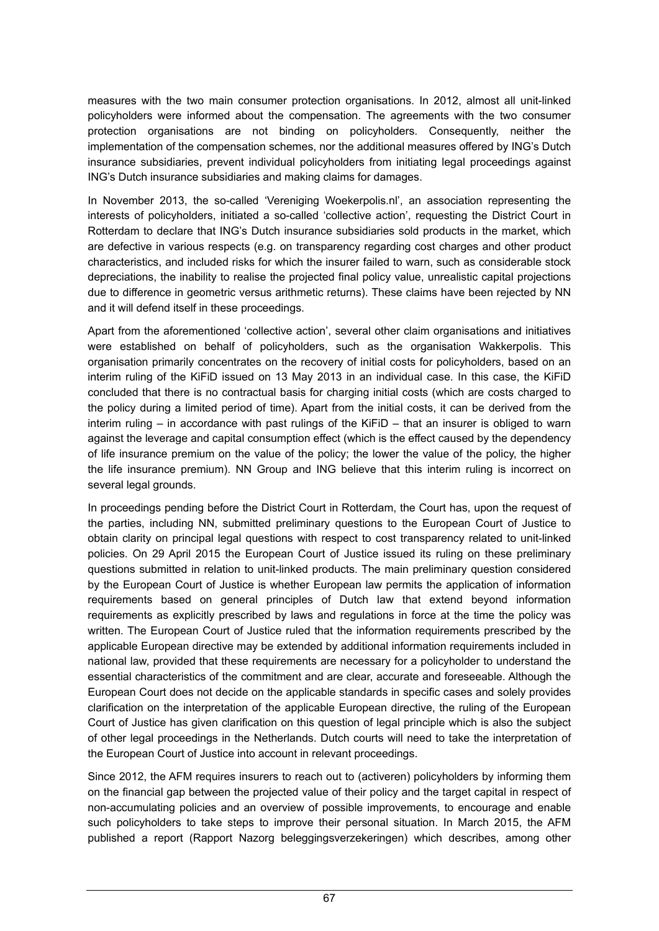measures with the two main consumer protection organisations. In 2012, almost all unit-linked policyholders were informed about the compensation. The agreements with the two consumer protection organisations are not binding on policyholders. Consequently, neither the implementation of the compensation schemes, nor the additional measures offered by ING's Dutch insurance subsidiaries, prevent individual policyholders from initiating legal proceedings against ING's Dutch insurance subsidiaries and making claims for damages.

In November 2013, the so-called 'Vereniging Woekerpolis.nl', an association representing the interests of policyholders, initiated a so-called 'collective action', requesting the District Court in Rotterdam to declare that ING's Dutch insurance subsidiaries sold products in the market, which are defective in various respects (e.g. on transparency regarding cost charges and other product characteristics, and included risks for which the insurer failed to warn, such as considerable stock depreciations, the inability to realise the projected final policy value, unrealistic capital projections due to difference in geometric versus arithmetic returns). These claims have been rejected by NN and it will defend itself in these proceedings.

Apart from the aforementioned 'collective action', several other claim organisations and initiatives were established on behalf of policyholders, such as the organisation Wakkerpolis. This organisation primarily concentrates on the recovery of initial costs for policyholders, based on an interim ruling of the KiFiD issued on 13 May 2013 in an individual case. In this case, the KiFiD concluded that there is no contractual basis for charging initial costs (which are costs charged to the policy during a limited period of time). Apart from the initial costs, it can be derived from the interim ruling – in accordance with past rulings of the KiFiD – that an insurer is obliged to warn against the leverage and capital consumption effect (which is the effect caused by the dependency of life insurance premium on the value of the policy; the lower the value of the policy, the higher the life insurance premium). NN Group and ING believe that this interim ruling is incorrect on several legal grounds.

In proceedings pending before the District Court in Rotterdam, the Court has, upon the request of the parties, including NN, submitted preliminary questions to the European Court of Justice to obtain clarity on principal legal questions with respect to cost transparency related to unit-linked policies. On 29 April 2015 the European Court of Justice issued its ruling on these preliminary questions submitted in relation to unit-linked products. The main preliminary question considered by the European Court of Justice is whether European law permits the application of information requirements based on general principles of Dutch law that extend beyond information requirements as explicitly prescribed by laws and regulations in force at the time the policy was written. The European Court of Justice ruled that the information requirements prescribed by the applicable European directive may be extended by additional information requirements included in national law, provided that these requirements are necessary for a policyholder to understand the essential characteristics of the commitment and are clear, accurate and foreseeable. Although the European Court does not decide on the applicable standards in specific cases and solely provides clarification on the interpretation of the applicable European directive, the ruling of the European Court of Justice has given clarification on this question of legal principle which is also the subject of other legal proceedings in the Netherlands. Dutch courts will need to take the interpretation of the European Court of Justice into account in relevant proceedings.

Since 2012, the AFM requires insurers to reach out to (activeren) policyholders by informing them on the financial gap between the projected value of their policy and the target capital in respect of non-accumulating policies and an overview of possible improvements, to encourage and enable such policyholders to take steps to improve their personal situation. In March 2015, the AFM published a report (Rapport Nazorg beleggingsverzekeringen) which describes, among other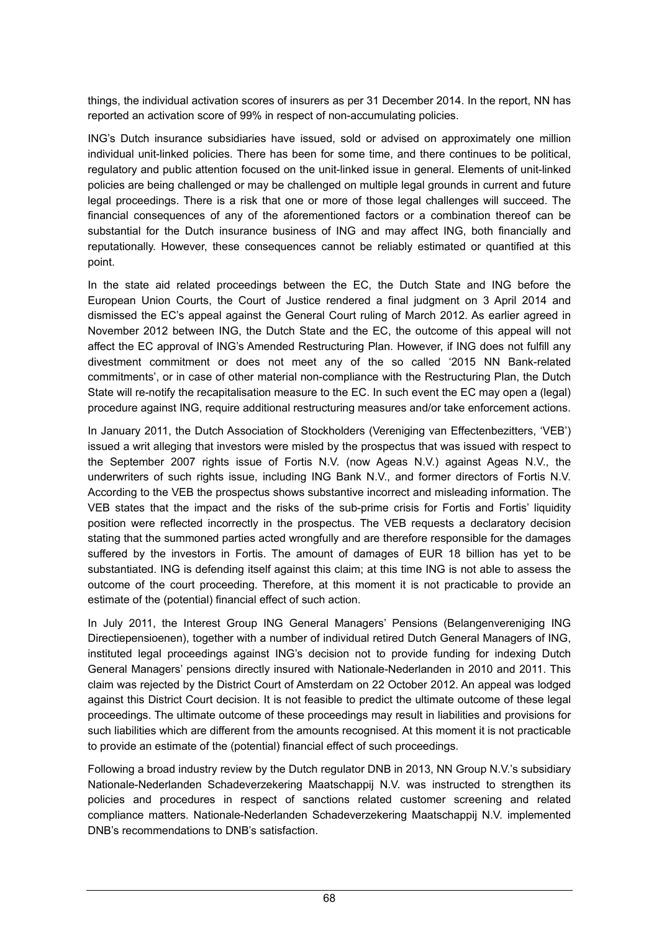things, the individual activation scores of insurers as per 31 December 2014. In the report, NN has reported an activation score of 99% in respect of non-accumulating policies.

ING's Dutch insurance subsidiaries have issued, sold or advised on approximately one million individual unit-linked policies. There has been for some time, and there continues to be political, regulatory and public attention focused on the unit-linked issue in general. Elements of unit-linked policies are being challenged or may be challenged on multiple legal grounds in current and future legal proceedings. There is a risk that one or more of those legal challenges will succeed. The financial consequences of any of the aforementioned factors or a combination thereof can be substantial for the Dutch insurance business of ING and may affect ING, both financially and reputationally. However, these consequences cannot be reliably estimated or quantified at this point.

In the state aid related proceedings between the EC, the Dutch State and ING before the European Union Courts, the Court of Justice rendered a final judgment on 3 April 2014 and dismissed the EC's appeal against the General Court ruling of March 2012. As earlier agreed in November 2012 between ING, the Dutch State and the EC, the outcome of this appeal will not affect the EC approval of ING's Amended Restructuring Plan. However, if ING does not fulfill any divestment commitment or does not meet any of the so called '2015 NN Bank-related commitments', or in case of other material non-compliance with the Restructuring Plan, the Dutch State will re-notify the recapitalisation measure to the EC. In such event the EC may open a (legal) procedure against ING, require additional restructuring measures and/or take enforcement actions.

In January 2011, the Dutch Association of Stockholders (Vereniging van Effectenbezitters, 'VEB') issued a writ alleging that investors were misled by the prospectus that was issued with respect to the September 2007 rights issue of Fortis N.V. (now Ageas N.V.) against Ageas N.V., the underwriters of such rights issue, including ING Bank N.V., and former directors of Fortis N.V. According to the VEB the prospectus shows substantive incorrect and misleading information. The VEB states that the impact and the risks of the sub-prime crisis for Fortis and Fortis' liquidity position were reflected incorrectly in the prospectus. The VEB requests a declaratory decision stating that the summoned parties acted wrongfully and are therefore responsible for the damages suffered by the investors in Fortis. The amount of damages of EUR 18 billion has yet to be substantiated. ING is defending itself against this claim; at this time ING is not able to assess the outcome of the court proceeding. Therefore, at this moment it is not practicable to provide an estimate of the (potential) financial effect of such action.

In July 2011, the Interest Group ING General Managers' Pensions (Belangenvereniging ING Directiepensioenen), together with a number of individual retired Dutch General Managers of ING, instituted legal proceedings against ING's decision not to provide funding for indexing Dutch General Managers' pensions directly insured with Nationale-Nederlanden in 2010 and 2011. This claim was rejected by the District Court of Amsterdam on 22 October 2012. An appeal was lodged against this District Court decision. It is not feasible to predict the ultimate outcome of these legal proceedings. The ultimate outcome of these proceedings may result in liabilities and provisions for such liabilities which are different from the amounts recognised. At this moment it is not practicable to provide an estimate of the (potential) financial effect of such proceedings.

Following a broad industry review by the Dutch regulator DNB in 2013, NN Group N.V.'s subsidiary Nationale-Nederlanden Schadeverzekering Maatschappij N.V. was instructed to strengthen its policies and procedures in respect of sanctions related customer screening and related compliance matters. Nationale-Nederlanden Schadeverzekering Maatschappij N.V. implemented DNB's recommendations to DNB's satisfaction.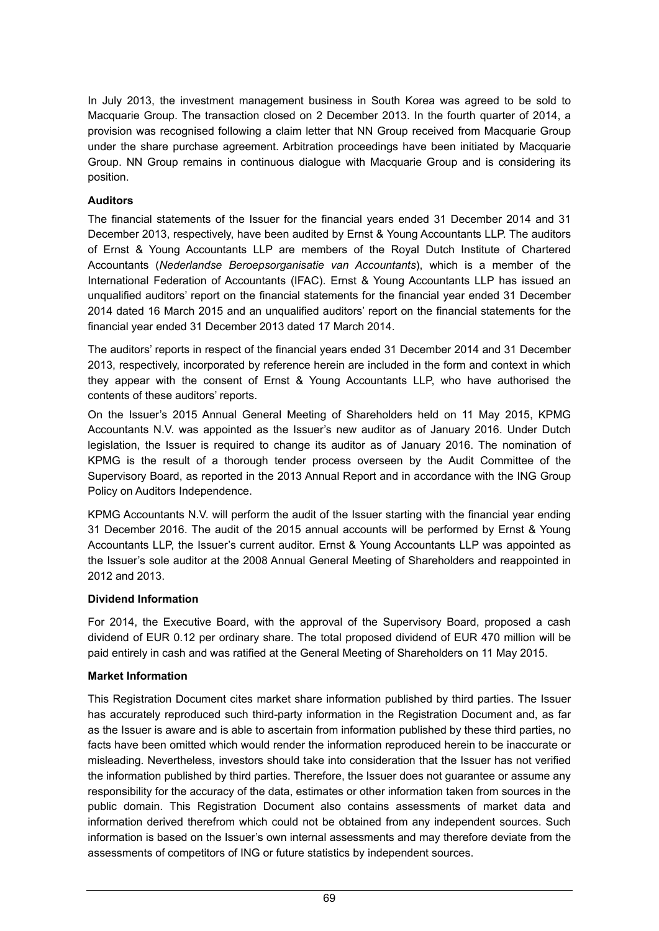In July 2013, the investment management business in South Korea was agreed to be sold to Macquarie Group. The transaction closed on 2 December 2013. In the fourth quarter of 2014, a provision was recognised following a claim letter that NN Group received from Macquarie Group under the share purchase agreement. Arbitration proceedings have been initiated by Macquarie Group. NN Group remains in continuous dialogue with Macquarie Group and is considering its position.

### **Auditors**

The financial statements of the Issuer for the financial years ended 31 December 2014 and 31 December 2013, respectively, have been audited by Ernst & Young Accountants LLP. The auditors of Ernst & Young Accountants LLP are members of the Royal Dutch Institute of Chartered Accountants (*Nederlandse Beroepsorganisatie van Accountants*), which is a member of the International Federation of Accountants (IFAC). Ernst & Young Accountants LLP has issued an unqualified auditors' report on the financial statements for the financial year ended 31 December 2014 dated 16 March 2015 and an unqualified auditors' report on the financial statements for the financial year ended 31 December 2013 dated 17 March 2014.

The auditors' reports in respect of the financial years ended 31 December 2014 and 31 December 2013, respectively, incorporated by reference herein are included in the form and context in which they appear with the consent of Ernst & Young Accountants LLP, who have authorised the contents of these auditors' reports.

On the Issuer's 2015 Annual General Meeting of Shareholders held on 11 May 2015, KPMG Accountants N.V. was appointed as the Issuer's new auditor as of January 2016. Under Dutch legislation, the Issuer is required to change its auditor as of January 2016. The nomination of KPMG is the result of a thorough tender process overseen by the Audit Committee of the Supervisory Board, as reported in the 2013 Annual Report and in accordance with the ING Group Policy on Auditors Independence.

KPMG Accountants N.V. will perform the audit of the Issuer starting with the financial year ending 31 December 2016. The audit of the 2015 annual accounts will be performed by Ernst & Young Accountants LLP, the Issuer's current auditor. Ernst & Young Accountants LLP was appointed as the Issuer's sole auditor at the 2008 Annual General Meeting of Shareholders and reappointed in 2012 and 2013.

### **Dividend Information**

For 2014, the Executive Board, with the approval of the Supervisory Board, proposed a cash dividend of EUR 0.12 per ordinary share. The total proposed dividend of EUR 470 million will be paid entirely in cash and was ratified at the General Meeting of Shareholders on 11 May 2015.

# **Market Information**

This Registration Document cites market share information published by third parties. The Issuer has accurately reproduced such third-party information in the Registration Document and, as far as the Issuer is aware and is able to ascertain from information published by these third parties, no facts have been omitted which would render the information reproduced herein to be inaccurate or misleading. Nevertheless, investors should take into consideration that the Issuer has not verified the information published by third parties. Therefore, the Issuer does not guarantee or assume any responsibility for the accuracy of the data, estimates or other information taken from sources in the public domain. This Registration Document also contains assessments of market data and information derived therefrom which could not be obtained from any independent sources. Such information is based on the Issuer's own internal assessments and may therefore deviate from the assessments of competitors of ING or future statistics by independent sources.